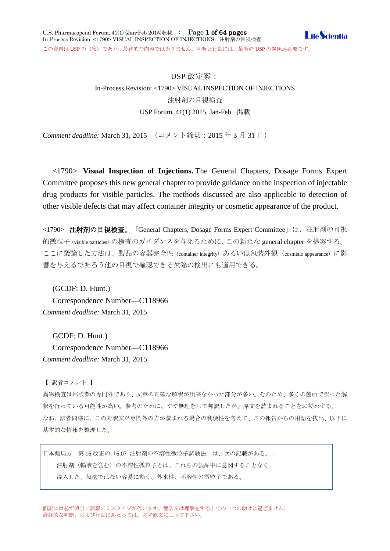# USP 改定案:

# In-Process Revision: <1790> VISUAL INSPECTION OF INJECTIONS 注射剤の目視検査 USP Forum, 41(1) 2015, Jan-Feb. 掲載

*Comment deadline:* March 31, 2015 (コメント締切:2015 年 3 月 31 日)

<1790> **Visual Inspection of Injections.** The General Chapters, Dosage Forms Expert Committee proposes this new general chapter to provide guidance on the inspection of injectable drug products for visible particles. The methods discussed are also applicable to detection of other visible defects that may affect container integrity or cosmetic appearance of the product.

<1790> 注射剤の目視検査。「General Chapters, Dosage Forms Expert Committee」は、注射剤の可視 的微粒子(visible particles)の検査のガイダンスを与えるために、この新たな general chapter を提案する。 ここに議論した方法は、製品の容器完全性 (container integrity) あるいは包装外観 (cosmetic appearance) に影 響を与えるであろう他の目視で確認できる欠陥の検出にも適用できる。

(GCDF: D. Hunt.) Correspondence Number—C118966 *Comment deadline:* March 31, 2015

GCDF: D. Hunt.) Correspondence Number—C118966 *Comment deadline:* March 31, 2015

【 訳者コメント 】

異物検査は邦訳者の専門外であり、文章の正確な解釈が出来なかった部分が多い。そのため、多くの箇所で誤った解 釈を行っている可能性が高い。参考のために、やや無理をして邦訳したが、原文を読まれることをお勧めする。 なお、訳者同様に、この対訳文が専門外の方が読まれる場合の利便性を考えて、この報告からの用語を抜出、以下に 基本的な情報を整理した。

日本薬局方 第 16 改正の「6.07 注射剤の不溶性微粒子試験法」は、次の記載がある。: 注射剤(輸液を含む)の不溶性微粒子とは、これらの製品中に意図することなく 混入した、気泡ではない容易に動く、外来性、不溶性の微粒子である。

翻訳には必ず誤訳/誤謬/ミスタイプが伴います。翻訳文は理解をする上での一つの助けに過ぎません。 最終的な判断、および行動にあたっては、必ず原文によって下さい。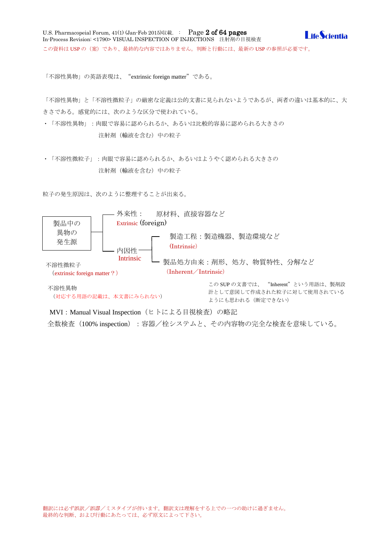「不溶性異物」の英語表現は、"extrinsic foreign matter"である。

「不溶性異物」と「不溶性微粒子」の厳密な定義は公的文書に見られないようであるが、両者の違いは基本的に、大 きさである。感覚的には、次のような区分で使われている。

- ・「不溶性異物」:肉眼で容易に認められるか、あるいは比較的容易に認められる大きさの 注射剤(輸液を含む)中の粒子
- ・「不溶性微粒子」:肉眼で容易に認められるか、あるいはようやく認められる大きさの 注射剤(輸液を含む)中の粒子

粒子の発生原因は、次のように整理することが出来る。



(対応する用語の記載は、本文書にみられない)

計として意図して作成された粒子に対して使用されている ようにも思われる(断定できない)

MVI: Manual Visual Inspection (ヒトによる目視検査)の略記

全数検査 (100% inspection): 容器/栓システムと、その内容物の完全な検査を意味している。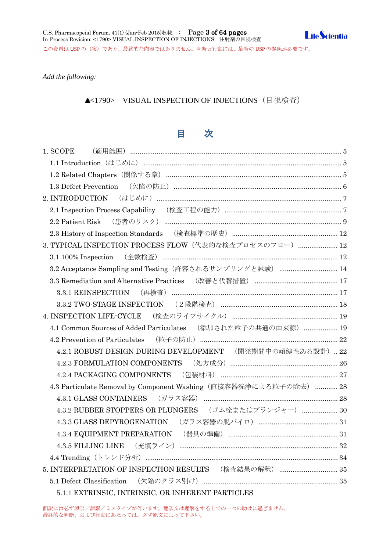*Add the following:*

▲<1790> VISUAL INSPECTION OF INJECTIONS (目視検査)

# 目 次

| 1. SCOPE                                                          |  |
|-------------------------------------------------------------------|--|
|                                                                   |  |
|                                                                   |  |
| 1.3 Defect Prevention                                             |  |
|                                                                   |  |
|                                                                   |  |
|                                                                   |  |
|                                                                   |  |
| 3. TYPICAL INSPECTION PROCESS FLOW (代表的な検査プロセスのフロー)  12           |  |
| 3.1 100% Inspection (全数検査) …………………………………………………………………………… 12       |  |
| 3.2 Acceptance Sampling and Testing (許容されるサンプリングと試験)  14          |  |
|                                                                   |  |
|                                                                   |  |
|                                                                   |  |
|                                                                   |  |
| 4.1 Common Sources of Added Particulates (添加された粒子の共通の由来源)  19     |  |
|                                                                   |  |
| 4.2.1 ROBUST DESIGN DURING DEVELOPMENT (開発期間中の頑健性ある設計)  22        |  |
|                                                                   |  |
|                                                                   |  |
| 4.3 Particulate Removal by Component Washing (直接容器洗浄による粒子の除去)  28 |  |
|                                                                   |  |
| 4.3.2 RUBBER STOPPERS OR PLUNGERS (ゴム栓またはプランジャー)  30              |  |
|                                                                   |  |
|                                                                   |  |
|                                                                   |  |
|                                                                   |  |
| 5. INTERPRETATION OF INSPECTION RESULTS (検査結果の解釈)  35             |  |
|                                                                   |  |
| $\mathbf{r}$                                                      |  |

5.1.1 EXTRINSIC, [INTRINSIC, OR INHERENT PARTICLES](#page-35-0)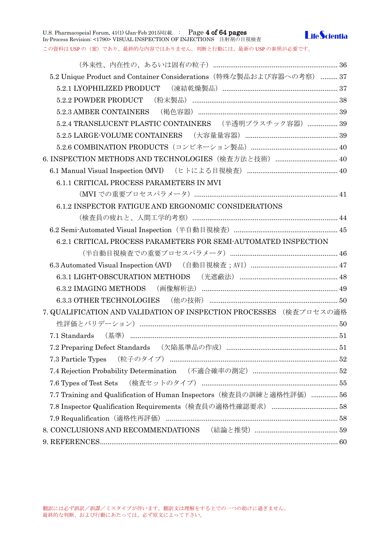U.S. Pharmacopeial Forum, 41(1) (Jan-Feb 2015)収載. : Page 4 of 64 pages In-Process Revision: <1790> VISUAL INSPECTION OF INJECTIONS 注射剤の目視検査



この資料は USP の(案)であり、最終的な内容ではありません。判断と行動には、最新の USP の参照が必要です。

| 5.2 Unique Product and Container Considerations (特殊な製品および容器への考察)  37  |  |
|-----------------------------------------------------------------------|--|
|                                                                       |  |
|                                                                       |  |
|                                                                       |  |
| 5.2.4 TRANSLUCENT PLASTIC CONTAINERS (半透明プラスチック容器)  39                |  |
|                                                                       |  |
|                                                                       |  |
| 6. INSPECTION METHODS AND TECHNOLOGIES (検査方法と技術)  40                  |  |
|                                                                       |  |
| 6.1.1 CRITICAL PROCESS PARAMETERS IN MVI                              |  |
|                                                                       |  |
| 6.1.2 INSPECTOR FATIGUE AND ERGONOMIC CONSIDERATIONS                  |  |
|                                                                       |  |
|                                                                       |  |
| 6.2.1 CRITICAL PROCESS PARAMETERS FOR SEMI-AUTOMATED INSPECTION       |  |
|                                                                       |  |
|                                                                       |  |
|                                                                       |  |
|                                                                       |  |
|                                                                       |  |
| 7. QUALIFICATION AND VALIDATION OF INSPECTION PROCESSES (検査プロセスの適格    |  |
|                                                                       |  |
|                                                                       |  |
|                                                                       |  |
| 7.3 Particle Types (粒子のタイプ) …………………………………………………………………………………52         |  |
|                                                                       |  |
|                                                                       |  |
| 7.7 Training and Qualification of Human Inspectors (検査員の訓練と適格性評価)  56 |  |
|                                                                       |  |
|                                                                       |  |
|                                                                       |  |
|                                                                       |  |
|                                                                       |  |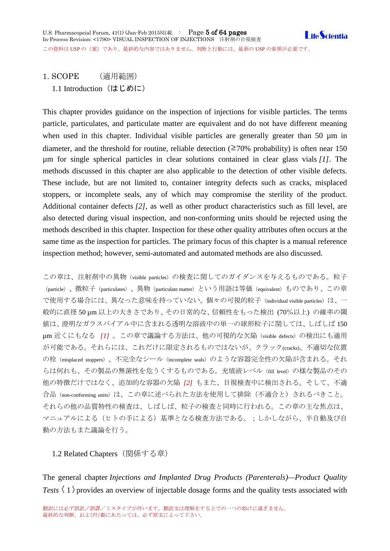<span id="page-4-1"></span><span id="page-4-0"></span>1. SCOPE (適用範囲) 1.1 Introduction (はじめに)

This chapter provides guidance on the inspection of injections for visible particles. The terms particle, particulates, and particulate matter are equivalent and do not have different meaning when used in this chapter. Individual visible particles are generally greater than 50  $\mu$ m in diameter, and the threshold for routine, reliable detection ( $\geq 70\%$  probability) is often near 150 µm for single spherical particles in clear solutions contained in clear glass vials *[1]*. The methods discussed in this chapter are also applicable to the detection of other visible defects. These include, but are not limited to, container integrity defects such as cracks, misplaced stoppers, or incomplete seals, any of which may compromise the sterility of the product. Additional container defects *[2]*, as well as other product characteristics such as fill level, are also detected during visual inspection, and non-conforming units should be rejected using the methods described in this chapter. Inspection for these other quality attributes often occurs at the same time as the inspection for particles. The primary focus of this chapter is a manual reference inspection method; however, semi-automated and automated methods are also discussed.

この章は、注射剤中の異物(visible particles)の検査に関してのガイダンスを与えるものである。粒子 (particle)、微粒子(particulates)、異物(particulate matter)という用語は等価(equivalent)ものであり、この章 で使用する場合には、異なった意味を持っていない。個々の可視的粒子(individual visible particles)は、一 般的に直径 50 µm 以上の大きさであり、その日常的な、信頼性をもった検出 (70%以上) の確率の閾 値は、澄明なガラスバイアル中に含まれる透明な溶液中の単一の球形粒子に関しては、しばしば 150 µm 近くにもなる *[1]* 。この章で議論する方法は、他の可視的な欠陥(visible defects)の検出にも適用 が可能である。それらには、これだけに限定されるものではないが、クラック(cracks)、不適切な位置 の栓 (misplaced stoppers)、不完全なシール (incomplete seals) のような容器完全性の欠陥が含まれる。それ らは何れも、その製品の無菌性を危うくするものである。充填液レベル(fill level)の様な製品のその 他の特徴だけではなく、追加的な容器の欠陥 *[2]* もまた、目視検査中に検出される。そして、不適 合品(non-conforming units)は、この章に述べられた方法を使用して排除(不適合と)されるべきこと。 それらの他の品質特性の検査は、しばしば、粒子の検査と同時に行われる。この章の主な焦点は、 マニュアルによる(ヒトの手による)基準となる検査方法である。;しかしながら、半自動及び自 動の方法もまた議論を行う。

# <span id="page-4-2"></span>1.2 Related Chapters(関係する章)

The general chapter *Injections and Implanted Drug Products (Parenterals)—Product Quality Tests*  $\langle 1 \rangle$  provides an overview of injectable dosage forms and the quality tests associated with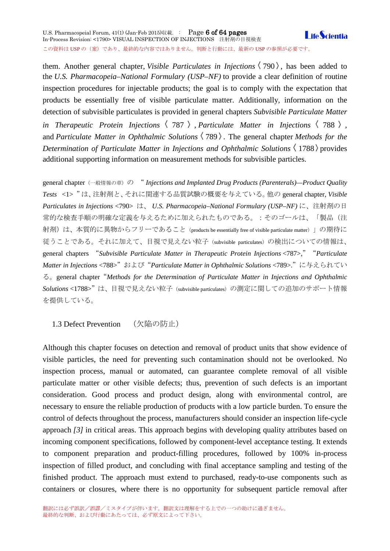U.S. Pharmacopeial Forum, 41(1) (Jan-Feb 2015)収載. : Page 6 of 64 pages **Life**Scientia In-Process Revision: <1790> VISUAL INSPECTION OF INJECTIONS 注射剤の目視検査 この資料は USP の (案)であり、最終的な内容ではありません。判断と行動には、最新の USP の参照が必要です。

them. Another general chapter, *Visible Particulates in Injections*  $\langle 790 \rangle$ , has been added to the *U.S. Pharmacopeia–National Formulary (USP–NF)* to provide a clear definition of routine inspection procedures for injectable products; the goal is to comply with the expectation that products be essentially free of visible particulate matter. Additionally, information on the detection of subvisible particulates is provided in general chapters *Subvisible Particulate Matter in Therapeutic Protein Injections*  $\langle 787 \rangle$ , *Particulate Matter in Injections*  $\langle 788 \rangle$ , and *Particulate Matter in Ophthalmic Solutions*  $\langle 789 \rangle$ . The general chapter *Methods for the Determination of Particulate Matter in Injections and Ophthalmic Solutions*  $\langle$  1788  $\rangle$  provides additional supporting information on measurement methods for subvisible particles.

general chapter(一般情報の章)の "Injections and Implanted Drug Products (Parenterals)—Product Quality *Tests* <1> "は、注射剤と、それに関連する品質試験の概要を与えている。他の general chapter, *Visible Particulates in Injections* <790> は、 *U.S. Pharmacopeia–National Formulary (USP–NF)* に、注射剤の日 常的な検査手順の明確な定義を与えるために加えられたものである。:そのゴールは、「製品(注 射剤)は、本質的に異物からフリーであること (products be essentially free of visible particulate matter)」の期待に 従うことである。それに加えて、目視で見えない粒子(subvisible particulates)の検出についての情報は、 general chapters "*Subvisible Particulate Matter in Therapeutic Protein Injections* <787>,""*Particulate Matter in Injections* <788>"および"*Particulate Matter in Ophthalmic Solutions* <789>."に与えられてい る。general chapter"*Methods for the Determination of Particulate Matter in Injections and Ophthalmic*  Solutions<1788>"は、目視で見えない粒子 (subvisible particulates) の測定に関しての追加のサポート情報 を提供している。

<span id="page-5-0"></span>1.3 Defect Prevention (欠陥の防止)

Although this chapter focuses on detection and removal of product units that show evidence of visible particles, the need for preventing such contamination should not be overlooked. No inspection process, manual or automated, can guarantee complete removal of all visible particulate matter or other visible defects; thus, prevention of such defects is an important consideration. Good process and product design, along with environmental control, are necessary to ensure the reliable production of products with a low particle burden. To ensure the control of defects throughout the process, manufacturers should consider an inspection life-cycle approach *[3]* in critical areas. This approach begins with developing quality attributes based on incoming component specifications, followed by component-level acceptance testing. It extends to component preparation and product-filling procedures, followed by 100% in-process inspection of filled product, and concluding with final acceptance sampling and testing of the finished product. The approach must extend to purchased, ready-to-use components such as containers or closures, where there is no opportunity for subsequent particle removal after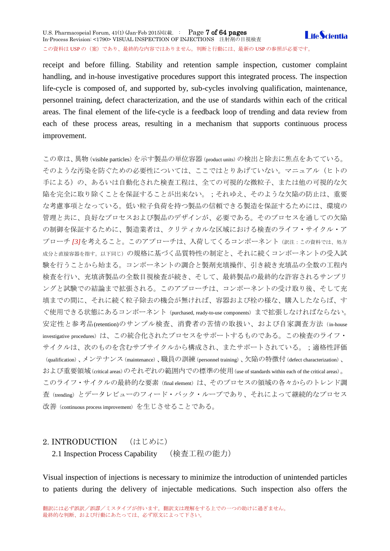receipt and before filling. Stability and retention sample inspection, customer complaint handling, and in-house investigative procedures support this integrated process. The inspection life-cycle is composed of, and supported by, sub-cycles involving qualification, maintenance, personnel training, defect characterization, and the use of standards within each of the critical areas. The final element of the life-cycle is a feedback loop of trending and data review from each of these process areas, resulting in a mechanism that supports continuous process improvement.

この章は、異物(visible particles)を示す製品の単位容器(product units)の検出と除去に焦点をあてている。 そのような汚染を防ぐための必要性については、ここではとりあげていない。マニュアル(ヒトの 手による)の、あるいは自動化された検査工程は、全ての可視的な微粒子、または他の可視的な欠 陥を完全に取り除くことを保証することが出来ない。;それゆえ、そのような欠陥の防止は、重要 な考慮事項となっている。低い粒子負荷を持つ製品の信頼できる製造を保証するためには、環境の 管理と共に、良好なプロセスおよび製品のデザインが、必要である。そのプロセスを通しての欠陥 の制御を保証するために、製造業者は、クリティカルな区域における検査のライフ・サイクル・ア プローチ *[3]*を考えること。このアプローチは、入荷してくるコンポーネント(訳注:この資料では、処方 成分と直接容器を指す。以下同じ)の規格に基づく品質特性の制定と、それに続くコンポーネントの受入試 験を行うことから始まる。コンポーネントの調合と製剤充填操作、引き続き充填品の全数の工程内 検査を行い、充填済製品の全数目視検査が続き、そして、最終製品の最終的な許容されるサンプリ ングと試験での結論まで拡張される。このアプローチは、コンポーネントの受け取り後、そして充 填までの間に、それに続く粒子除去の機会が無ければ、容器および栓の様な、購入したならば、す ぐ使用できる状態にあるコンポーネント(purchased, ready-to-use components)まで拡張しなければならない。 安定性と参考品(retention)のサンプル検査、消費者の苦情の取扱い、および自家調査方法(in-house investigative procedures)は、この統合化されたプロセスをサポートするものである。この検査のライフ· サイクルは、次のものを含むサブサイクルから構成され、またサポートされている。;適格性評価 (qualification)、メンテナンス(maintenance)、職員の訓練(personnel training)、欠陥の特徴付(defect characterization)、 および重要領域(critical areas)のそれぞれの範囲内での標準の使用(use of standards within each of the critical areas)。 このライフ・サイクルの最終的な要素(final element)は、そのプロセスの領域の各々からのトレンド調 査(trending)とデータレビューのフィード・バック・ループであり、それによって継続的なプロセス 改善(continuous process improvement)を生じさせることである。

# <span id="page-6-1"></span><span id="page-6-0"></span>2. INTRODUCTION (はじめに)

2.1 Inspection Process Capability (検査工程の能力)

Visual inspection of injections is necessary to minimize the introduction of unintended particles to patients during the delivery of injectable medications. Such inspection also offers the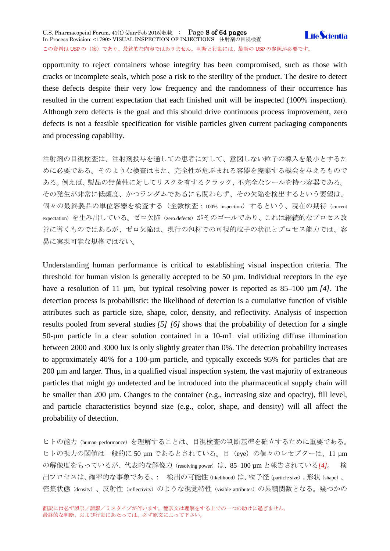opportunity to reject containers whose integrity has been compromised, such as those with cracks or incomplete seals, which pose a risk to the sterility of the product. The desire to detect these defects despite their very low frequency and the randomness of their occurrence has resulted in the current expectation that each finished unit will be inspected (100% inspection). Although zero defects is the goal and this should drive continuous process improvement, zero defects is not a feasible specification for visible particles given current packaging components and processing capability.

注射剤の目視検査は、注射剤投与を通しての患者に対して、意図しない粒子の導入を最小とするた めに必要である。そのような検査はまた、完全性が危ぶまれる容器を廃棄する機会を与えるもので ある。例えば、製品の無菌性に対してリスクを有するクラック、不完全なシールを持つ容器である。 その発生が非常に低頻度、かつランダムであるにも関わらず、その欠陥を検出するという要望は、 個々の最終製品の単位容器を検査する(全数検査;100% inspection)するという、現在の期待(current expectation)を生み出している。ゼロ欠陥(zero defects)がそのゴールであり、これは継続的なプロセス改 善に導くものではあるが、ゼロ欠陥は、現行の包材での可視的粒子の状況とプロセス能力では、容 易に実現可能な規格ではない。

Understanding human performance is critical to establishing visual inspection criteria. The threshold for human vision is generally accepted to be 50 µm. Individual receptors in the eye have a resolution of 11 µm, but typical resolving power is reported as 85–100 µm *[4]*. The detection process is probabilistic: the likelihood of detection is a cumulative function of visible attributes such as particle size, shape, color, density, and reflectivity. Analysis of inspection results pooled from several studies *[5] [6]* shows that the probability of detection for a single 50-µm particle in a clear solution contained in a 10-mL vial utilizing diffuse illumination between 2000 and 3000 lux is only slightly greater than 0%. The detection probability increases to approximately 40% for a 100-µm particle, and typically exceeds 95% for particles that are 200 µm and larger. Thus, in a qualified visual inspection system, the vast majority of extraneous particles that might go undetected and be introduced into the pharmaceutical supply chain will be smaller than 200 µm. Changes to the container (e.g., increasing size and opacity), fill level, and particle characteristics beyond size (e.g., color, shape, and density) will all affect the probability of detection.

ヒトの能力(human performance)を理解することは、目視検査の判断基準を確立するために重要である。 ヒトの視力の閾値は一般的に 50 µm であるとされている。目(eye)の個々のレセプターは、11 µm の解像度をもっているが、代表的な解像力(resolving power)は、85–100 µm と報告されている*[\[4\]](http://www.usppf.com/pf/pub/data/v411/CHA_IPR_411_c1790.html%23CHA_IPR_411_c1790s62)*。 検 出プロセスは、確率的な事象である。: 検出の可能性(likelihood)は、粒子径(particle size)、形状(shape)、 密集状態(density)、反射性(reflectivity)のような視覚特性(visible attributes)の累積関数となる。幾つかの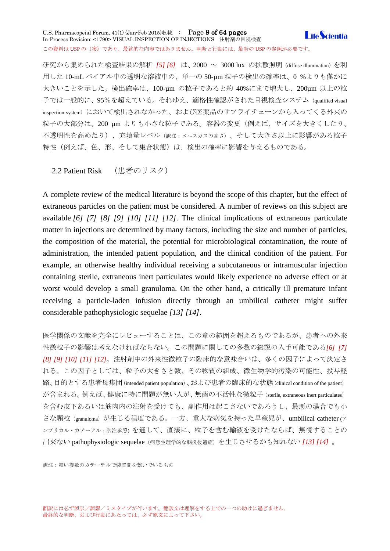### U.S. Pharmacopeial Forum, 41(1) (Jan-Feb 2015)収載. : Page 9 of 64 pages **LifeScientia** In-Process Revision: <1790> VISUAL INSPECTION OF INJECTIONS 注射剤の目視検査 この資料は USP の(案)であり、最終的な内容ではありません。判断と行動には、最新の USP の参照が必要です。

研究から集められた検査結果の解析 *[\[5\] \[6\]](http://www.usppf.com/pf/pub/data/v411/CHA_IPR_411_c1790.html%23CHA_IPR_411_c1790s62)* は、2000 ~ 3000 lux の拡散照明(diffuse illumination)を利 用した 10-mL バイアル中の透明な溶液中の、単一の 50-µm 粒子の検出の確率は、0 %よりも僅かに 大きいことを示した。検出確率は、100-µm の粒子であると約 40%にまで増大し、200µm 以上の粒 子では一般的に、95%を超えている。それゆえ、適格性確認がされた目視検査システム (qualified visual inspection system)において検出されなかった、および医薬品のサプライチェーンから入ってくる外来の 粒子の大部分は、200 µm よりも小さな粒子である。容器の変更(例えば、サイズを大きくしたり、 不透明性を高めたり)、充填量レベル(訳注:メニスカスの高さ)、そして大きさ以上に影響がある粒子 特性(例えば、色、形、そして集合状態)は、検出の確率に影響を与えるものである。

<span id="page-8-0"></span>2.2 Patient Risk (患者のリスク)

A complete review of the medical literature is beyond the scope of this chapter, but the effect of extraneous particles on the patient must be considered. A number of reviews on this subject are available *[6] [7] [8] [9] [10] [11] [12]*. The clinical implications of extraneous particulate matter in injections are determined by many factors, including the size and number of particles, the composition of the material, the potential for microbiological contamination, the route of administration, the intended patient population, and the clinical condition of the patient. For example, an otherwise healthy individual receiving a subcutaneous or intramuscular injection containing sterile, extraneous inert particulates would likely experience no adverse effect or at worst would develop a small granuloma. On the other hand, a critically ill premature infant receiving a particle-laden infusion directly through an umbilical catheter might suffer considerable pathophysiologic sequelae *[13] [14]*.

医学関係の文献を完全にレビューすることは、この章の範囲を超えるものであるが、患者への外来 性微粒子の影響は考えなければならない。この問題に関しての多数の総説の入手可能である*[6] [7] [8] [9] [10] [11] [12]*。注射剤中の外来性微粒子の臨床的な意味合いは、多くの因子によって決定さ れる。この因子としては、粒子の大きさと数、その物質の組成、微生物学的汚染の可能性、投与経 路、目的とする患者母集団(intended patient population)、および患者の臨床的な状態(clinical condition of the patient) が含まれる。例えば、健康に特に問題が無い人が、無菌の不活性な微粒子(sterile, extraneous inert particulates) を含む皮下あるいは筋肉内の注射を受けても、副作用は起こさないであろうし、最悪の場合でも小 さな顆粒(granuloma)が生じる程度である。一方、重大な病気を持った早産児が、umbilical catheter (<sup>ア</sup> ンブリカル・カテーテル;訳注参照) を通して、直接に、粒子を含む輸液を受けたならば、無視することの 出来ない pathophysiologic sequelae(病態生理学的な脳炎後遺症)を生じさせるかも知れない *[13] [14]* 。

訳注:細い複数のカテーテルで装置間を繋いでいるもの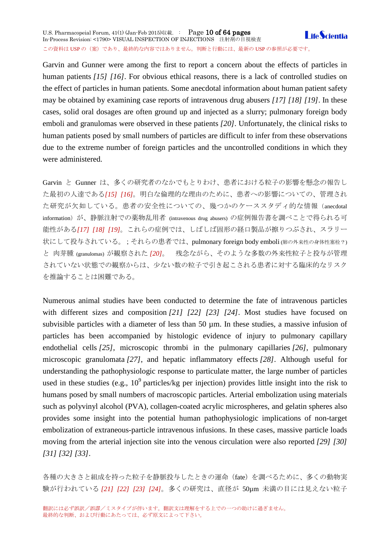U.S. Pharmacopeial Forum, 41(1) (Jan-Feb 2015)収載. : Page 10 of 64 pages **LifeScientia** In-Process Revision: <1790> VISUAL INSPECTION OF INJECTIONS 注射剤の目視検査 この資料は USP の (案) であり、最終的な内容ではありません。判断と行動には、最新の USP の参照が必要です。

Garvin and Gunner were among the first to report a concern about the effects of particles in human patients *[15] [16]*. For obvious ethical reasons, there is a lack of controlled studies on the effect of particles in human patients. Some anecdotal information about human patient safety may be obtained by examining case reports of intravenous drug abusers *[17] [18] [19]*. In these cases, solid oral dosages are often ground up and injected as a slurry; pulmonary foreign body emboli and granulomas were observed in these patients *[20]*. Unfortunately, the clinical risks to human patients posed by small numbers of particles are difficult to infer from these observations due to the extreme number of foreign particles and the uncontrolled conditions in which they were administered.

Garvin と Gunner は、多くの研究者のなかでもとりわけ、患者における粒子の影響を懸念の報告し た最初の人達である*[15] [16]*。明白な倫理的な理由のために、患者への影響についての、管理され た研究が欠如している。患者の安全性についての、幾つかのケーススタディ的な情報(anecdotal information) が、静脈注射での薬物乱用者 (intravenous drug abusers) の症例報告書を調べことで得られる可 能性がある*[17] [18] [19]*。これらの症例では、しばしば固形の経口製品が擦りつぶされ、スラリー 状にして投与されている。;それらの患者では、pulmonary foreign body emboli (肺の外来性の身体性塞栓?) と 肉芽腫 (granulomas) が観察された *[20]*。 残念ながら、そのような多数の外来性粒子と投与が管理 されていない状態での観察からは、少ない数の粒子で引き起こされる患者に対する臨床的なリスク を推論することは困難である。

Numerous animal studies have been conducted to determine the fate of intravenous particles with different sizes and composition *[21] [22] [23] [24]*. Most studies have focused on subvisible particles with a diameter of less than 50  $\mu$ m. In these studies, a massive infusion of particles has been accompanied by histologic evidence of injury to pulmonary capillary endothelial cells *[25]*, microscopic thrombi in the pulmonary capillaries *[26]*, pulmonary microscopic granulomata *[27]*, and hepatic inflammatory effects *[28]*. Although useful for understanding the pathophysiologic response to particulate matter, the large number of particles used in these studies (e.g.,  $10^9$  particles/kg per injection) provides little insight into the risk to humans posed by small numbers of macroscopic particles. Arterial embolization using materials such as polyvinyl alcohol (PVA), collagen-coated acrylic microspheres, and gelatin spheres also provides some insight into the potential human pathophysiologic implications of non-target embolization of extraneous-particle intravenous infusions. In these cases, massive particle loads moving from the arterial injection site into the venous circulation were also reported *[29] [30] [31] [32] [33]*.

各種の大きさと組成を持った粒子を静脈投与したときの運命(fate)を調べるために、多くの動物実 験が行われている *[21] [22] [23] [24]*。多くの研究は、直径が 50µm 未満の目には見えない粒子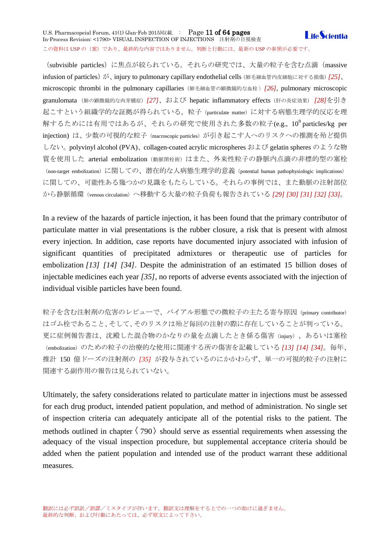### U.S. Pharmacopeial Forum, 41(1) (Jan-Feb 2015)収載. : Page 11 of 64 pages **LifeScientia** In-Process Revision: <1790> VISUAL INSPECTION OF INJECTIONS 注射剤の目視検査 この資料は USP の (案) であり、最終的な内容ではありません。判断と行動には、最新の USP の参照が必要です。

(subvisible particles) に焦点が絞られている。それらの研究では、大量の粒子を含む点滴 (massive infusion of particles) が、injury to pulmonary capillary endothelial cells (肺毛細血管内皮細胞に対する損傷) *[25]*、 microscopic thrombi in the pulmonary capillaries(肺毛細血管の顕微鏡的な血栓 )*[26]*, pulmonary microscopic granulomata (肺の顕微鏡的な肉芽腫症)*[27]*、および hepatic inflammatory effects(肝の炎症効果) *[28]*を引き 起こすという組織学的な証拠が得られている。粒子(particulate matter)に対する病態生理学的反応を理 解するためには有用ではあるが、それらの研究で使用された多数の粒子(e.g.,  $10^9$  particles/kg per injection) は、少数の可視的な粒子 (macroscopic particles) が引き起こす人へのリスクへの推測を殆ど提供 しない<sub>。polyvinyl alcohol (PVA)、collagen-coated acrylic microspheres および gelatin spheres のような物</sub> 質を使用した arterial embolization (動脈閉栓術)はまた、外来性粒子の静脈内点滴の非標的型の塞栓 (non-target embolization)に関しての、潜在的な人病態生理学的意義(potential human pathophysiologic implications) に関しての、可能性ある幾つかの見識をもたらしている。それらの事例では、また動脈の注射部位 から静脈循環(venous circulation)へ移動する大量の粒子負荷も報告されている *[29] [30] [31] [32] [33]*。

In a review of the hazards of particle injection, it has been found that the primary contributor of particulate matter in vial presentations is the rubber closure, a risk that is present with almost every injection. In addition, case reports have documented injury associated with infusion of significant quantities of precipitated admixtures or therapeutic use of particles for embolization *[13] [14] [34]*. Despite the administration of an estimated 15 billion doses of injectable medicines each year *[35]*, no reports of adverse events associated with the injection of individual visible particles have been found.

粒子を含む注射剤の危害のレビューで、バイアル形態での微粒子の主たる寄与原因(primary contributor) はゴム栓であること、そして、そのリスクは殆ど毎回の注射の際に存在していることが判っている。 更に症例報告書は、沈殿した混合物のかなりの量を点滴したとき係る傷害(injury)、あるいは塞栓 (embolization)のための粒子の治療的な使用に関連する所の傷害を記載している *[13] [14] [34]*。毎年、 推計 150 億ドーズの注射剤の *[35]* が投与されているのにかかわらず、単一の可視的粒子の注射に 関連する副作用の報告は見られていない。

Ultimately, the safety considerations related to particulate matter in injections must be assessed for each drug product, intended patient population, and method of administration. No single set of inspection criteria can adequately anticipate all of the potential risks to the patient. The methods outlined in chapter  $\langle 790 \rangle$  should serve as essential requirements when assessing the adequacy of the visual inspection procedure, but supplemental acceptance criteria should be added when the patient population and intended use of the product warrant these additional measures.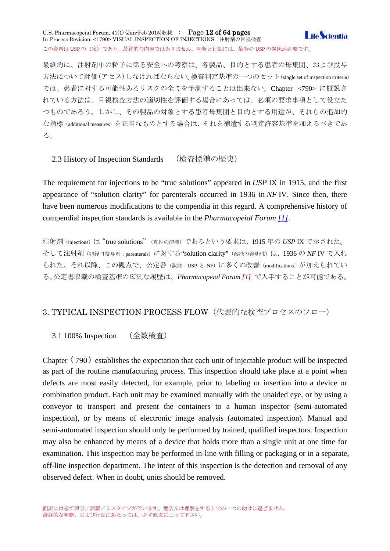U.S. Pharmacopeial Forum, 41(1) (Jan-Feb 2015)収載. : Page 12 of 64 pages **I** ife *Scientia* In-Process Revision: <1790> VISUAL INSPECTION OF INJECTIONS 注射剤の目視検査 この資料は USP の (案)であり、最終的な内容ではありません。判断と行動には、最新の USP の参照が必要です。

最終的に、注射剤中の粒子に係る安全への考察は、各製品、目的とする患者の母集団、および投与 方法について評価(アセス)しなければならない。検査判定基準の一つのセット(single set of inspection criteria) では、患者に対する可能性あるリスクの全てを予測することは出来ない。Chapter <790> に概説さ れている方法は、目視検査方法の適切性を評価する場合にあっては、必須の要求事項として役立た つものであろう。しかし、その製品の対象とする患者母集団と目的とする用途が、それらの追加的 な指標(additional measures)を正当なものとする場合は、それを補遺する判定許容基準を加えるべきであ る。

<span id="page-11-0"></span>2.3 History of Inspection Standards (検査標準の歴史)

The requirement for injections to be "true solutions" appeared in *USP* IX in 1915, and the first appearance of "solution clarity" for parenterals occurred in 1936 in *NF* IV. Since then, there have been numerous modifications to the compendia in this regard. A comprehensive history of compendial inspection standards is available in the *Pharmacopeial Forum [\[1\]](http://www.usppf.com/pf/pub/data/v411/CHA_IPR_411_c1790.html%23CHA_IPR_411_c1790s62)*.

注射剤(injections)は"true solutions"(真性の溶液)であるという要求は、1915 年の *USP* IX で示された。 そして注射剤(非経口投与剤;parenterals)に対する"solution clarity"(溶液の澄明性)は、1936 の *NF* IV で入れ られた。それ以降、この観点で、公定書(訳注: USP と NF)に多くの改善(modifications)が加えられてい る。公定書収載の検査基準の広汎な履歴は、*Pharmacopeial Forum [\[1\]](http://www.usppf.com/pf/pub/data/v411/CHA_IPR_411_c1790.html%23CHA_IPR_411_c1790s62)* で入手することが可能である。

# <span id="page-11-1"></span>3. TYPICAL INSPECTION PROCESS FLOW(代表的な検査プロセスのフロー)

<span id="page-11-2"></span>3.1 100% Inspection (全数検査)

Chapter  $\langle 790 \rangle$  establishes the expectation that each unit of injectable product will be inspected as part of the routine manufacturing process. This inspection should take place at a point when defects are most easily detected, for example, prior to labeling or insertion into a device or combination product. Each unit may be examined manually with the unaided eye, or by using a conveyor to transport and present the containers to a human inspector (semi-automated inspection), or by means of electronic image analysis (automated inspection). Manual and semi-automated inspection should only be performed by trained, qualified inspectors. Inspection may also be enhanced by means of a device that holds more than a single unit at one time for examination. This inspection may be performed in-line with filling or packaging or in a separate, off-line inspection department. The intent of this inspection is the detection and removal of any observed defect. When in doubt, units should be removed.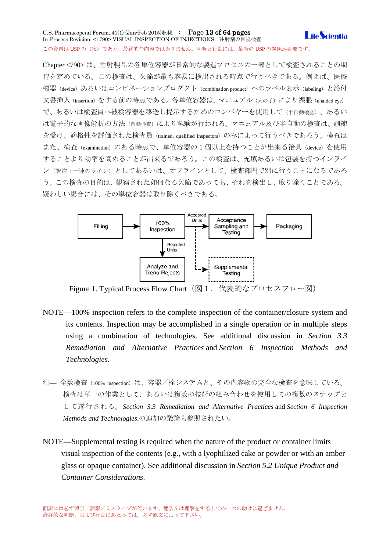U.S. Pharmacopeial Forum, 41(1) (Jan-Feb 2015)収載. : Page 13 of 64 pages **Life**Scientia In-Process Revision: <1790> VISUAL INSPECTION OF INJECTIONS 注射剤の目視検査 この資料は USP の(案)であり、最終的な内容ではありません。判断と行動には、最新の USP の参照が必要です。

Chapter <790> は、注射製品の各単位容器が日常的な製造プロセスの一部として検査されることの期 待を定めている。この検査は、欠陥が最も容易に検出される時点で行うべきである。例えば、医療 機器 (device) あるいはコンビネーションプロダクト (combination product) へのラベル表示 (labeling) と添付 文書挿入(insertion)をする前の時点である。各単位容器は、マニュアル(人の手)により裸眼(unaided eye) で、あるいは検査員へ被検容器を移送し提示するためのコンベヤーを使用して(半自動検査)、あるい は電子的な画像解析の方法(自動検査)により試験が行われる。マニュアル及び半自動の検査は、訓練 を受け、適格性を評価された検査員(trained, qualified inspectors)のみによって行うべきであろう。検査は また、検査 (examination) のある時点で、単位容器の1個以上を持つことが出来る治具 (device) を使用 することより効率を高めることが出来るであろう。この検査は、充填あるいは包装を持つインライ ン(訳注:一連のライン)としてあるいは、オフラインとして、検査部門で別に行うことになるであろ う。この検査の目的は、観察された如何なる欠陥であっても、それを検出し、取り除くことである。 疑わしい場合には、その単位容器は取り除くべきである。



Figure 1. Typical Process Flow Chart (図1. 代表的なプロセスフロー図)

- NOTE—100% inspection refers to the complete inspection of the container/closure system and its contents. Inspection may be accomplished in a single operation or in multiple steps using a combination of technologies. See additional discussion in *Section 3.3 Remediation and Alternative Practices* and *Section 6 Inspection Methods and Technologies*.
- 注— 全数検査 (100% inspection) は、容器/栓システムと、その内容物の完全な検査を意味している。 検査は単一の作業として、あるいは複数の技術の組み合わせを使用しての複数のステップと して遂行される。*Section 3.3 Remediation and Alternative Practices* and *Section 6 Inspection Methods and Technologies*.の追加の議論も参照されたい。
- NOTE—Supplemental testing is required when the nature of the product or container limits visual inspection of the contents (e.g., with a lyophilized cake or powder or with an amber glass or opaque container). See additional discussion in *Section 5.2 Unique Product and Container Considerations*.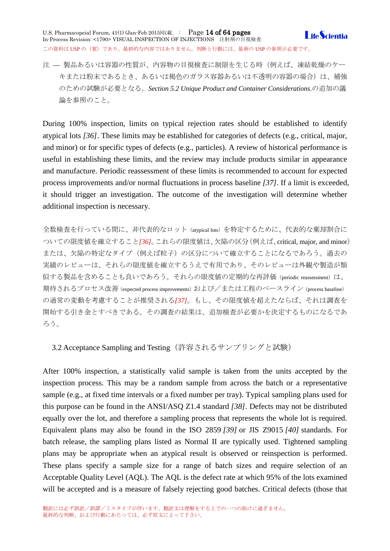U.S. Pharmacopeial Forum, 41(1) (Jan-Feb 2015)収載. : Page 14 of 64 pages In-Process Revision: <1790> VISUAL INSPECTION OF INJECTIONS 注射剤の目視検査 この資料は USP の (案)であり、最終的な内容ではありません。判断と行動には、最新の USP の参照が必要です。



注 — 製品あるいは容器の性質が、内容物の目視検査に制限を生じる時(例えば、凍結乾燥のケー キまたは粉末であるとき、あるいは褐色のガラス容器あるいは不透明の容器の場合)は、補強 のための試験が必要となる。*Section 5.2 Unique Product and Container Considerations*.の追加の議 論を参照のこと。

During 100% inspection, limits on typical rejection rates should be established to identify atypical lots *[36]*. These limits may be established for categories of defects (e.g., critical, major, and minor) or for specific types of defects (e.g., particles). A review of historical performance is useful in establishing these limits, and the review may include products similar in appearance and manufacture. Periodic reassessment of these limits is recommended to account for expected process improvements and/or normal fluctuations in process baseline *[37]*. If a limit is exceeded, it should trigger an investigation. The outcome of the investigation will determine whether additional inspection is necessary.

全数検査を行っている間に、非代表的なロット(atypical lots)を特定するために、代表的な棄却割合に ついての限度値を確立すること*[36]*。これらの限度値は、欠陥の区分(例えば、critical, major, and minor) または、欠陥の特定なタイプ(例えば粒子)の区分について確立することになるであろう。過去の 実績のレビューは、それらの限度値を確立するうえで有用であり、そのレビューは外観や製造が類 似する製品を含めることも良いであろう。それらの限度値の定期的な再評価(periodic reassessment)は、 期待されるプロセス改善(expected process improvements)および/または工程のベースライン(process baseline) の通常の変動を考慮することが推奨される*[37]*。もし、その限度値を超えたならば、それは調査を 開始する引き金とすべきである。その調査の結果は、追加検査が必要かを決定するものになるであ ろう。

<span id="page-13-0"></span>3.2 Acceptance Sampling and Testing (許容されるサンプリングと試験)

After 100% inspection, a statistically valid sample is taken from the units accepted by the inspection process. This may be a random sample from across the batch or a representative sample (e.g., at fixed time intervals or a fixed number per tray). Typical sampling plans used for this purpose can be found in the ANSI/ASQ Z1.4 standard *[38]*. Defects may not be distributed equally over the lot, and therefore a sampling process that represents the whole lot is required. Equivalent plans may also be found in the ISO 2859 *[39]* or JIS Z9015 *[40]* standards. For batch release, the sampling plans listed as Normal II are typically used. Tightened sampling plans may be appropriate when an atypical result is observed or reinspection is performed. These plans specify a sample size for a range of batch sizes and require selection of an Acceptable Quality Level (AQL). The AQL is the defect rate at which 95% of the lots examined will be accepted and is a measure of falsely rejecting good batches. Critical defects (those that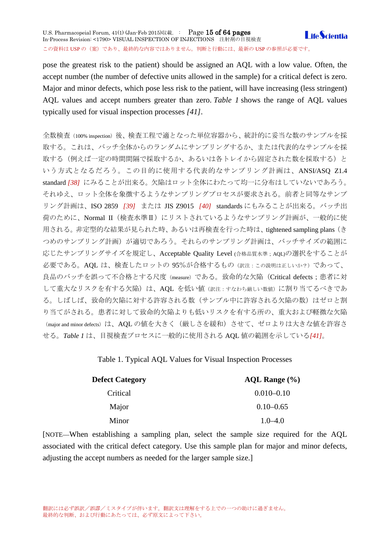pose the greatest risk to the patient) should be assigned an AQL with a low value. Often, the accept number (the number of defective units allowed in the sample) for a critical defect is zero. Major and minor defects, which pose less risk to the patient, will have increasing (less stringent) AQL values and accept numbers greater than zero. *Table 1* shows the range of AQL values typically used for visual inspection processes *[41]*.

全数検査(100% inspection)後、検査工程で適となった単位容器から、統計的に妥当な数のサンプルを採 取する。これは、バッチ全体からのランダムにサンプリングするか、または代表的なサンプルを採 取する(例えば一定の時間間隔で採取するか、あるいは各トレイから固定された数を採取する)と いう方式となるだろう。この目的に使用する代表的なサンプリング計画は、ANSI/ASQ Z1.4 standard *[38]* にみることが出来る。欠陥はロット全体にわたって均一に分布はしていないであろう。 それゆえ、ロット全体を象徴するようなサンプリングプロセスが要求される。前者と同等なサンプ リング計画は、ISO 2859 *[39]* または JIS Z9015 *[40]* standards にもみることが出来る。バッチ出 荷のために、Normal II(検査水準Ⅱ)にリストされているようなサンプリング計画が、一般的に使 用される。非定型的な結果が見られた時、あるいは再検査を行った時は、tightened sampling plans(き つめのサンプリング計画)が適切であろう。それらのサンプリング計画は、バッチサイズの範囲に 応じたサンプリングサイズを規定し、Acceptable Quality Level (合格品質水準;AQL)の選択をすることが 必要である。AQL は、検査したロットの 95%が合格するもの(訳注:この説明は正しいか?)であって、 良品のバッチを誤って不合格とする尺度(measure)である。致命的な欠陥(Critical defects;患者に対 して重大なリスクを有する欠陥)は、AQL を低い値(訳注:すなわち厳しい数値)に割り当てるべきであ る。しばしば、致命的欠陥に対する許容される数(サンプル中に許容される欠陥の数)はゼロと割 り当てがされる。患者に対して致命的欠陥よりも低いリスクを有する所の、重大および軽微な欠陥 (major and minor defects)は、AQL の値を大きく(厳しさを緩和)させて、ゼロよりは大きな値を許容さ せる。*Table 1* は、目視検査プロセスに一般的に使用される AQL 値の範囲を示している*[41]*。

Table 1. Typical AQL Values for Visual Inspection Processes

| <b>Defect Category</b> | AQL Range (%)  |
|------------------------|----------------|
| Critical               | $0.010 - 0.10$ |
| Major                  | $0.10 - 0.65$  |
| Minor                  | $1.0 - 4.0$    |

[NOTE—When establishing a sampling plan, select the sample size required for the AQL associated with the critical defect category. Use this sample plan for major and minor defects, adjusting the accept numbers as needed for the larger sample size.]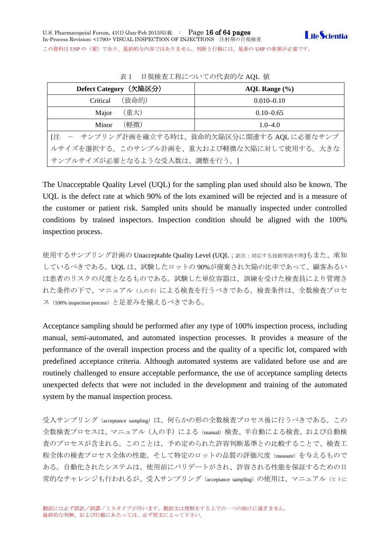

この資料は USP の(案)であり、最終的な内容ではありません。判断と行動には、最新の USP の参照が必要です。

| Defect Category (欠陥区分)                        | AQL Range $(\% )$ |  |
|-----------------------------------------------|-------------------|--|
| (致命的)<br>Critical                             | $0.010 - 0.10$    |  |
| (重大)<br>Major                                 | $0.10 - 0.65$     |  |
| (軽微)<br>Minor                                 | $1.0 - 4.0$       |  |
| [注 - サンプリング計画を確立する時は、致命的欠陥区分に関連する AQL に必要なサンプ |                   |  |
| ルサイズを選択する。このサンプル計画を、重大および軽微な欠陥に対して使用する。大きな    |                   |  |
| サンプルサイズが必要となるような受入数は、調整を行う。]                  |                   |  |

表1 目視検査工程についての代表的な AQL 値

The Unacceptable Quality Level (UQL) for the sampling plan used should also be known. The UQL is the defect rate at which 90% of the lots examined will be rejected and is a measure of the customer or patient risk. Sampled units should be manually inspected under controlled conditions by trained inspectors. Inspection condition should be aligned with the 100% inspection process.

使用するサンプリング計画の Unacceptable Quality Level (UQL;訳注:対応する技術用語不明)もまた、承知 しているべきである。UQL は、試験したロットの 90%が廃棄され欠陥の比率であって、顧客あるい は患者のリスクの尺度となるものである。試験した単位容器は、訓練を受けた検査員により管理さ れた条件の下で、マニュアル(人の手)による検査を行うべきである。検査条件は、全数検査プロセ ス(100% inspection process)と足並みを揃えるべきである。

Acceptance sampling should be performed after any type of 100% inspection process, including manual, semi-automated, and automated inspection processes. It provides a measure of the performance of the overall inspection process and the quality of a specific lot, compared with predefined acceptance criteria. Although automated systems are validated before use and are routinely challenged to ensure acceptable performance, the use of acceptance sampling detects unexpected defects that were not included in the development and training of the automated system by the manual inspection process.

受入サンプリング(acceptance sampling)は、何らかの形の全数検査プロセス後に行うべきである。この 全数検査プロセスは、マニュアル(人の手)による(manual)検査、半自動による検査、および自動検 査のプロセスが含まれる。このことは、予め定められた許容判断基準との比較することで、検査工 程全体の検査プロセス全体の性能、そして特定のロットの品質の評価尺度 (measure) を与えるもので ある。自動化されたシステムは、使用前にバリデートがされ、許容される性能を保証するための日 常的なチャレンジも行われるが、受入サンプリング (acceptance sampling) の使用は、マニュアル(ヒトに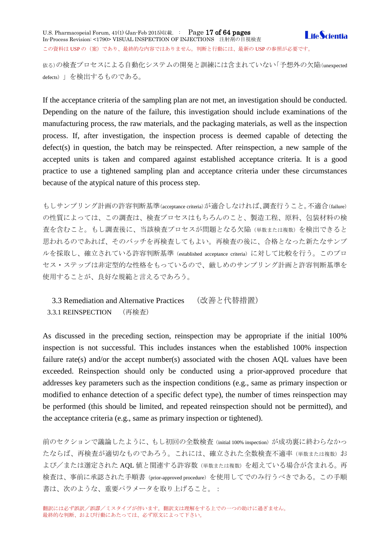依る)の検査プロセスによる自動化システムの開発と訓練には含まれていない「予想外の欠陥(unexpected defects)」を検出するものである。

If the acceptance criteria of the sampling plan are not met, an investigation should be conducted. Depending on the nature of the failure, this investigation should include examinations of the manufacturing process, the raw materials, and the packaging materials, as well as the inspection process. If, after investigation, the inspection process is deemed capable of detecting the defect(s) in question, the batch may be reinspected. After reinspection, a new sample of the accepted units is taken and compared against established acceptance criteria. It is a good practice to use a tightened sampling plan and acceptance criteria under these circumstances because of the atypical nature of this process step.

もしサンプリング計画の許容判断基準(acceptance criteria)が適合しなければ、調査行うこと。不適合(failure) の性質によっては、この調査は、検査プロセスはもちろんのこと、製造工程、原料、包装材料の検 査を含むこと。もし調査後に、当該検査プロセスが問題となる欠陥(単数または複数)を検出できると 思われるのであれば、そのバッチを再検査してもよい。再検査の後に、合格となった新たなサンプ ルを採取し、確立されている許容判断基準(established acceptance criteria)に対して比較を行う。このプロ セス・ステップは非定型的な性格をもっているので、厳しめのサンプリング計画と許容判断基準を 使用することが、良好な規範と言えるであろう。

<span id="page-16-1"></span><span id="page-16-0"></span>3.3 Remediation and Alternative Practices (改善と代替措置) 3.3.1 REINSPECTION (再検査)

As discussed in the preceding section, reinspection may be appropriate if the initial 100% inspection is not successful. This includes instances when the established 100% inspection failure rate(s) and/or the accept number(s) associated with the chosen AQL values have been exceeded. Reinspection should only be conducted using a prior-approved procedure that addresses key parameters such as the inspection conditions (e.g., same as primary inspection or modified to enhance detection of a specific defect type), the number of times reinspection may be performed (this should be limited, and repeated reinspection should not be permitted), and the acceptance criteria (e.g., same as primary inspection or tightened).

前のセクションで議論したように、もし初回の全数検査 (initial 100% inspection) が成功裏に終わらなかっ たならば、再検査が適切なものであろう。これには、確立された全数検査不適率(単数または複数)お よび/または選定された AQL 値と関連する許容数(単数または複数)を超えている場合が含まれる。再 検査は、事前に承認された手順書(prior-approved procedure)を使用してでのみ行うべきである。この手順 書は、次のような、重要パラメータを取り上げること。: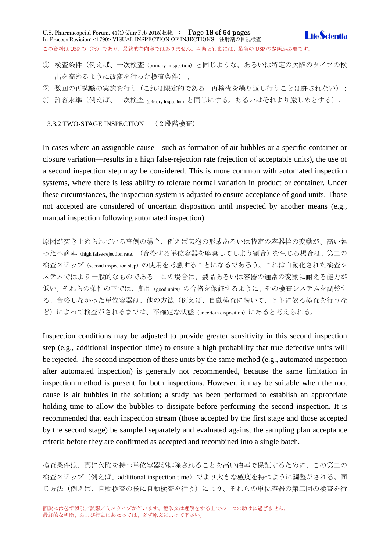U.S. Pharmacopeial Forum, 41(1) (Jan-Feb 2015)収載. : Page 18 of 64 pages **I** ife *Scientia* In-Process Revision: <1790> VISUAL INSPECTION OF INJECTIONS 注射剤の目視検査 この資料は USP の (案)であり、最終的な内容ではありません。判断と行動には、最新の USP の参照が必要です。

- ① 検査条件(例えば、一次検査(primary inspection)と同じような、あるいは特定の欠陥のタイプの検 出を高めるように改変を行った検査条件);
- ② 数回の再試験の実施を行う(これは限定的である。再検査を繰り返し行うことは許されない);
- ③ 許容水準(例えば、一次検査(primary inspection)と同じにする。あるいはそれより厳しめとする)。

<span id="page-17-0"></span>3.3.2 TWO-STAGE INSPECTION (2段階検査)

In cases where an assignable cause—such as formation of air bubbles or a specific container or closure variation—results in a high false-rejection rate (rejection of acceptable units), the use of a second inspection step may be considered. This is more common with automated inspection systems, where there is less ability to tolerate normal variation in product or container. Under these circumstances, the inspection system is adjusted to ensure acceptance of good units. Those not accepted are considered of uncertain disposition until inspected by another means (e.g., manual inspection following automated inspection).

原因が突き止められている事例の場合、例えば気泡の形成あるいは特定の容器栓の変動が、高い誤 った不適率(high false-rejection rate)(合格する単位容器を廃棄してしまう割合)を生じる場合は、第二の 検査ステップ(second inspection step)の使用を考慮することになるであろう。これは自動化された検査シ ステムではより一般的なものである。この場合は、製品あるいは容器の通常の変動に耐える能力が 低い。それらの条件の下では、良品(good units)の合格を保証するように、その検査システムを調整す る。合格しなかった単位容器は、他の方法(例えば、自動検査に続いて、ヒトに依る検査を行うな ど)によって検査がされるまでは、不確定な状態(uncertain disposition)にあると考えられる。

Inspection conditions may be adjusted to provide greater sensitivity in this second inspection step (e.g., additional inspection time) to ensure a high probability that true defective units will be rejected. The second inspection of these units by the same method (e.g., automated inspection after automated inspection) is generally not recommended, because the same limitation in inspection method is present for both inspections. However, it may be suitable when the root cause is air bubbles in the solution; a study has been performed to establish an appropriate holding time to allow the bubbles to dissipate before performing the second inspection. It is recommended that each inspection stream (those accepted by the first stage and those accepted by the second stage) be sampled separately and evaluated against the sampling plan acceptance criteria before they are confirmed as accepted and recombined into a single batch.

検査条件は、真に欠陥を持つ単位容器が排除されることを高い確率で保証するために、この第二の 検査ステップ(例えば、additional inspection time)でより大きな感度を持つように調整がされる。同 じ方法(例えば、自動検査の後に自動検査を行う)により、それらの単位容器の第二回の検査を行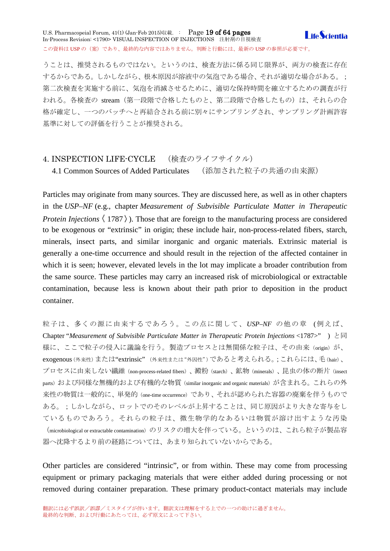### U.S. Pharmacopeial Forum, 41(1) (Jan-Feb 2015)収載. : Page 19 of 64 pages **I** ife *Scientia* In-Process Revision: <1790> VISUAL INSPECTION OF INJECTIONS 注射剤の目視検査 この資料は USP の (案)であり、最終的な内容ではありません。判断と行動には、最新の USP の参照が必要です。

うことは、推奨されるものではない。というのは、検査方法に係る同じ限界が、両方の検査に存在 するからである。しかしながら、根本原因が溶液中の気泡である場合、それが適切な場合がある。; 第二次検査を実施する前に、気泡を消滅させるために、適切な保持時間を確立するための調査が行 われる。各検査の stream(第一段階で合格したものと、第二段階で合格したもの)は、それらの合 格が確定し、一つのバッチへと再結合される前に別々にサンプリングされ、サンプリング計画許容 基準に対しての評価を行うことが推奨される。

# <span id="page-18-0"></span>4. INSPECTION LIFE-CYCLE (検査のライフサイクル)

<span id="page-18-1"></span>4.1 Common Sources of Added Particulates (添加された粒子の共通の由来源)

Particles may originate from many sources. They are discussed here, as well as in other chapters in the *USP–NF* (e.g., chapter *Measurement of Subvisible Particulate Matter in Therapeutic Protein Injections*  $\langle 1787 \rangle$ ). Those that are foreign to the manufacturing process are considered to be exogenous or "extrinsic" in origin; these include hair, non-process-related fibers, starch, minerals, insect parts, and similar inorganic and organic materials. Extrinsic material is generally a one-time occurrence and should result in the rejection of the affected container in which it is seen; however, elevated levels in the lot may implicate a broader contribution from the same source. These particles may carry an increased risk of microbiological or extractable contamination, because less is known about their path prior to deposition in the product container.

粒子は、多くの源に由来するであろう。この点に関して、*USP–NF* の他の章 (例えば、 Chapter "*Measurement of Subvisible Particulate Matter in Therapeutic Protein Injections* <1787>" ) と同 様に、ここで粒子の侵入に議論を行う。製造プロセスとは無関係な粒子は、その由来(origin)が、 exogenous(外来性)または"extrinsic" (外来性または"外因性")であると考えられる。;これらには、毛(hair)、 プロセスに由来しない繊維(non-process-related fibers)、澱粉(starch)、鉱物(minerals)、昆虫の体の断片(insect parts) および同様な無機的および有機的な物質 (similar inorganic and organic materials) が含まれる。これらの外 来性の物質は一般的に、単発的(one-time occurrence)であり、それが認められた容器の廃棄を伴うもので ある。;しかしながら、ロットでのそのレベルが上昇することは、同じ原因がより大きな寄与をし ているものであろう。それらの粒子は、微生物学的なあるいは物質が溶け出すような汚染 (microbiological or extractable contamination)のリスクの増大を伴っている。というのは、これら粒子が製品容 器へ沈降するより前の経路については、あまり知られていないからである。

Other particles are considered "intrinsic", or from within. These may come from processing equipment or primary packaging materials that were either added during processing or not removed during container preparation. These primary product-contact materials may include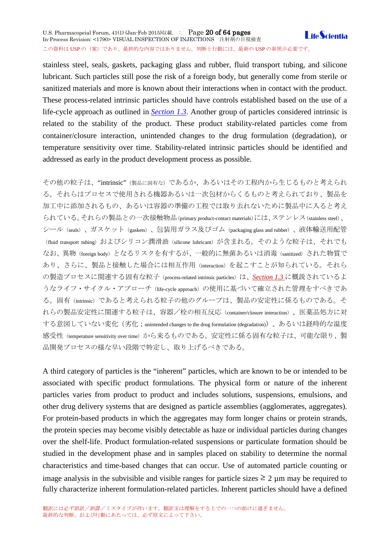stainless steel, seals, gaskets, packaging glass and rubber, fluid transport tubing, and silicone lubricant. Such particles still pose the risk of a foreign body, but generally come from sterile or sanitized materials and more is known about their interactions when in contact with the product. These process-related intrinsic particles should have controls established based on the use of a life-cycle approach as outlined in *[Section 1.3](http://www.usppf.com/pf/pub/data/v411/CHA_IPR_411_c1790.html%23CHA_IPR_411_c1790s5)*. Another group of particles considered intrinsic is

related to the stability of the product. These product stability-related particles come from container/closure interaction, unintended changes to the drug formulation (degradation), or temperature sensitivity over time. Stability-related intrinsic particles should be identified and addressed as early in the product development process as possible.

その他の粒子は、"intrinsic"(製品に固有な)であるか、あるいはその工程内から生じるものと考えられ る。それらはプロセスで使用される機器あるいは一次包材からくるものと考えられており、製品を 加工中に添加されるもの、あるいは容器の準備の工程では取り去れないために製品中に入ると考え られている。それらの製品との一次接触物品(primary product-contact materials)には、ステンレス(stainless steel)、 シール(seals)、ガスケット(gaskets)、包装用ガラス及びゴム(packaging glass and rubber)、液体輸送用配管 (fluid transport tubing) およびシリコン潤滑油 (silicone lubricant) が含まれる。そのような粒子は、それでも なお、異物(foreign body)となるリスクを有するが、一般的に無菌あるいは消毒(sanitized)された物質で あり、さらに、製品と接触した場合には相互作用(interaction)を起こすことが知られている。それら の製造プロセスに関連する固有な粒子 (process-related intrinsic particles)は、*[Section 1.3](http://www.usppf.com/pf/pub/data/v411/CHA_IPR_411_c1790.html%23CHA_IPR_411_c1790s5)* に概説されているよ うなライフ・サイクル・アプローチ (life-cycle approach)の使用に基づいて確立された管理をすべきであ る。固有(intrinsic)であると考えられる粒子の他のグループは、製品の安定性に係るものである。そ れらの製品安定性に関連する粒子は、容器/栓の相互反応(container/closure interaction)、医薬品処方に対 する意図していない変化(劣化;unintended changes to the drug formulation (degradation))、あるいは経時的な温度 感受性(temperature sensitivity over time)から来るものである。安定性に係る固有な粒子は、可能な限り、製 品開発プロセスの様な早い段階で特定し、取り上げるべきである。

A third category of particles is the "inherent" particles, which are known to be or intended to be associated with specific product formulations. The physical form or nature of the inherent particles varies from product to product and includes solutions, suspensions, emulsions, and other drug delivery systems that are designed as particle assemblies (agglomerates, aggregates). For protein-based products in which the aggregates may form longer chains or protein strands, the protein species may become visibly detectable as haze or individual particles during changes over the shelf-life. Product formulation-related suspensions or particulate formation should be studied in the development phase and in samples placed on stability to determine the normal characteristics and time-based changes that can occur. Use of automated particle counting or image analysis in the subvisible and visible ranges for particle sizes  $\geq 2 \mu m$  may be required to fully characterize inherent formulation-related particles. Inherent particles should have a defined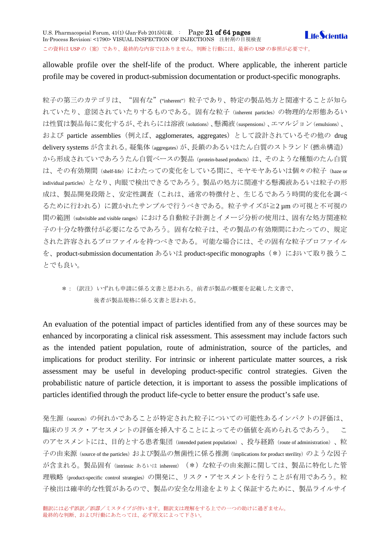allowable profile over the shelf-life of the product. Where applicable, the inherent particle profile may be covered in product-submission documentation or product-specific monographs.

粒子の第三のカテゴリは、"固有な"("inherent")粒子であり、特定の製品処方と関連することが知ら れていたり、意図されていたりするものである。固有な粒子(inherent particles)の物理的な形態あるい は性質は製品毎に変化するが、それらには溶液(solutions)、懸濁液(suspensions)、エマルジョン(emulsions)、 および particle assemblies(例えば、agglomerates, aggregates)として設計されているその他の drug delivery systems が含まれる。 凝集体 (aggregates) が、長鎖のあるいはたん白質のストランド (撚糸構造) から形成されていであろうたん白質ベースの製品(protein-based products)は、そのような種類のたん白質 は、その有効期間(shelf-life)にわたっての変化をしている間に、モヤモヤあるいは個々の粒子(haze or individual particles)となり、肉眼で検出できるであろう。製品の処方に関連する懸濁液あるいは粒子の形 成は、製品開発段階と、安定性調査(これは、通常の特徴付と、生じるであろう時間的変化を調べ るために行われる)に置かれたサンプルで行うべきである。粒子サイズが≧2 µm の可視と不可視の 間の範囲(subvisible and visible ranges)における自動粒子計測とイメージ分析の使用は、固有な処方関連粒 子の十分な特徴付が必要になるであろう。固有な粒子は、その製品の有効期間にわたっての、規定 された許容されるプロファイルを持つべきである。可能な場合には、その固有な粒子プロファイル を、product-submission documentation あるいは product-specific monographs (\*) において取り扱うこ とでも良い。

# \*:(訳注)いずれも申請に係る文書と思われる。前者が製品の概要を記載した文書で、 後者が製品規格に係る文書と思われる。

An evaluation of the potential impact of particles identified from any of these sources may be enhanced by incorporating a clinical risk assessment. This assessment may include factors such as the intended patient population, route of administration, source of the particles, and implications for product sterility. For intrinsic or inherent particulate matter sources, a risk assessment may be useful in developing product-specific control strategies. Given the probabilistic nature of particle detection, it is important to assess the possible implications of particles identified through the product life-cycle to better ensure the product's safe use.

発生源(sources)の何れかであることが特定された粒子についての可能性あるインパクトの評価は、 臨床のリスク・アセスメントの評価を挿入することによってその価値を高められるであろう。 こ のアセスメントには、目的とする患者集団(intended patient population)、投与経路(route of administration)、粒 子の由来源(source of the particles)および製品の無菌性に係る推測(implications for product sterility)のような因子 が含まれる。製品固有(intrinsic あるいは inherent) (\*)な粒子の由来源に関しては、製品に特化した管 理戦略(product-specific control strategies)の開発に、リスク・アセスメントを行うことが有用であろう。粒 子検出は確率的な性質があるので、製品の安全な用途をよりよく保証するために、製品ライルサイ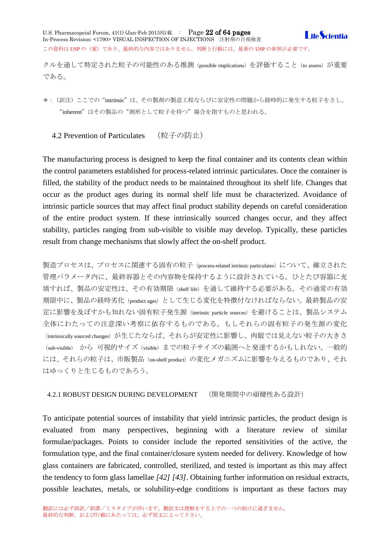クルを通して特定された粒子の可能性のある推測(possible implications)を評価すること(to assess)が重要 である。

\*:(訳注)ここでの"intrinsic"は、その製剤の製造工程ならびに安定性の問題から経時的に発生する粒子をさし、 "inherent"はその製品の"剤形として粒子を待つ"場合を指すものと思われる。

<span id="page-21-0"></span>4.2 Prevention of Particulates (粒子の防止)

The manufacturing process is designed to keep the final container and its contents clean within the control parameters established for process-related intrinsic particulates. Once the container is filled, the stability of the product needs to be maintained throughout its shelf life. Changes that occur as the product ages during its normal shelf life must be characterized. Avoidance of intrinsic particle sources that may affect final product stability depends on careful consideration of the entire product system. If these intrinsically sourced changes occur, and they affect stability, particles ranging from sub-visible to visible may develop. Typically, these particles result from change mechanisms that slowly affect the on-shelf product.

製造プロセスは、プロセスに関連する固有の粒子 (process-related intrinsic particulates) について、確立された 管理パラメータ内に、最終容器とその内容物を保持するように設計されている。ひとたび容器に充 填すれば、製品の安定性は、その有効期限(shelf life)を通して維持する必要がある。その通常の有効 期限中に、製品の経時劣化(product ages)として生じる変化を特徴付なければならない。最終製品の安 定に影響を及ぼすかも知れない固有粒子発生源(intrinsic particle sources)を避けることは、製品システム 全体にわたっての注意深い考察に依存するものである。もしそれらの固有粒子の発生源の変化 (intrinsically sourced changes) が生じたならば、それらが安定性に影響し、肉眼では見えない粒子の大きさ (sub-visible) から 可視的サイズ (visible) までの粒子サイズの範囲へと発達するかもしれない。一般的 には、それらの粒子は、市販製品 (on-shelf product)の変化メガニズムに影響を与えるものであり、それ はゆっくりと生じるものであろう。

<span id="page-21-1"></span>4.2.1 ROBUST DESIGN DURING DEVELOPMENT (開発期間中の頑健性ある設計)

To anticipate potential sources of instability that yield intrinsic particles, the product design is evaluated from many perspectives, beginning with a literature review of similar formulae/packages. Points to consider include the reported sensitivities of the active, the formulation type, and the final container/closure system needed for delivery. Knowledge of how glass containers are fabricated, controlled, sterilized, and tested is important as this may affect the tendency to form glass lamellae *[42] [43]*. Obtaining further information on residual extracts, possible leachates, metals, or solubility-edge conditions is important as these factors may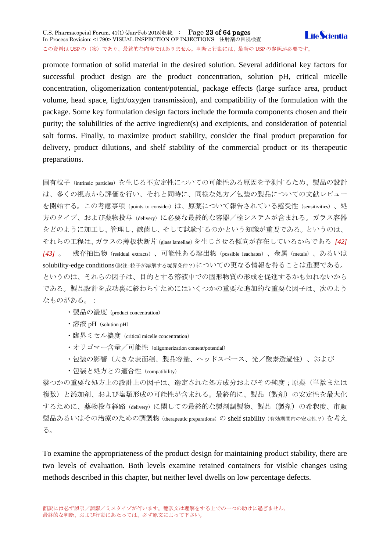U.S. Pharmacopeial Forum, 41(1) (Jan-Feb 2015)収載. : Page 23 of 64 pages **LifeScientia** In-Process Revision: <1790> VISUAL INSPECTION OF INJECTIONS 注射剤の目視検査 この資料は USP の (案)であり、最終的な内容ではありません。判断と行動には、最新の USP の参照が必要です。

promote formation of solid material in the desired solution. Several additional key factors for successful product design are the product concentration, solution pH, critical micelle concentration, oligomerization content/potential, package effects (large surface area, product volume, head space, light/oxygen transmission), and compatibility of the formulation with the package. Some key formulation design factors include the formula components chosen and their purity; the solubilities of the active ingredient(s) and excipients, and consideration of potential salt forms. Finally, to maximize product stability, consider the final product preparation for delivery, product dilutions, and shelf stability of the commercial product or its therapeutic preparations.

固有粒子(intrinsic particles)を生じる不安定性についての可能性ある原因を予測するため、製品の設計 は、多くの視点から評価を行い、それと同時に、同様な処方/包装の製品についての文献レビュー を開始する。この考慮事項(points to consider)は、原薬について報告されている感受性(sensitivities)、処 方のタイプ、および薬物投与 (delivery) に必要な最終的な容器/栓システムが含まれる。ガラス容器 をどのように加工し、管理し、滅菌し、そして試験するのかという知識が重要である。というのは、 それらの工程は、ガラスの薄板状断片(glass lamellae)を生じさせる傾向が存在しているからである *[42] [43]* 。 残存抽出物(residual extracts)、可能性ある溶出物(possible leachates)、金属(metals)、あるいは solubility-edge conditions(訳注:粒子が溶解する境界条件?)についての更なる情報を得ることは重要である。 というのは、それらの因子は、目的とする溶液中での固形物質の形成を促進するかも知れないから である。製品設計を成功裏に終わらすためにはいくつかの重要な追加的な重要な因子は、次のよう なものがある。:

- ・製品の濃度(product concentration)
- 溶液 pH (solution pH)
- ・臨界ミセル濃度(critical micelle concentration)
- ・オリゴマー含量/可能性 (oligomerization content/potential)
- ・包装の影響(大きな表面積、製品容量、ヘッドスペース、光/酸素透過性)、および
- ・包装と処方との適合性 (compatibility)

幾つかの重要な処方上の設計上の因子は、選定された処方成分およびその純度;原薬(単数または 複数)と添加剤、および塩類形成の可能性が含まれる。最終的に、製品(製剤)の安定性を最大化 するために、薬物投与経路(delivery)に関しての最終的な製剤調製物、製品(製剤)の希釈度、市販 製品あるいはその治療のための調製物 (therapeutic preparations) の shelf stability (有効期間内の安定性?)を考え る。

To examine the appropriateness of the product design for maintaining product stability, there are two levels of evaluation. Both levels examine retained containers for visible changes using methods described in this chapter, but neither level dwells on low percentage defects.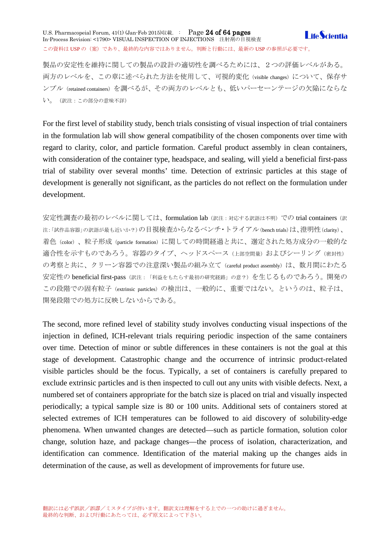U.S. Pharmacopeial Forum, 41(1) (Jan-Feb 2015)収載. : Page 24 of 64 pages In-Process Revision: <1790> VISUAL INSPECTION OF INJECTIONS 注射剤の目視検査 この資料は USP の (案) であり、最終的な内容ではありません。判断と行動には、最新の USP の参照が必要です。

**I** ife *Scientia* 

製品の安定性を維持に関しての製品の設計の適切性を調べるためには、2つの評価レベルがある。 両方のレベルを、この章に述べられた方法を使用して、可視的変化(visible changes)について、保存サ ンプル(retained containers)を調べるが、その両方のレベルとも、低いパーセーンテージの欠陥にならな い。(訳注:この部分の意味不詳)

For the first level of stability study, bench trials consisting of visual inspection of trial containers in the formulation lab will show general compatibility of the chosen components over time with regard to clarity, color, and particle formation. Careful product assembly in clean containers, with consideration of the container type, headspace, and sealing, will yield a beneficial first-pass trial of stability over several months' time. Detection of extrinsic particles at this stage of development is generally not significant, as the particles do not reflect on the formulation under development.

安定性調査の最初のレベルに関しては、formulation lab (訳注:対応する訳語は不明)での trial containers (訳 注: 「試作品容器」の訳語が最も近いか?)の目視検査からなるベンチ・トライアル(bench trials)は、澄明性(clarity)、 着色(color)、粒子形成(particle formation)に関しての時間経過と共に、選定された処方成分の一般的な 適合性を示すものであろう。容器のタイプ、ヘッドスペース (上部空間量) およびシーリング (密封性) の考察と共に、クリーン容器での注意深い製品の組み立て (careful product assembly) は、数月間にわたる 安定性の beneficial first-pass (訳注:「利益をもたらす最初の研究経路」の意?)を生じるものであろう。開発の この段階での固有粒子 (extrinsic particles) の検出は、一般的に、重要ではない。というのは、粒子は、 開発段階での処方に反映しないからである。

The second, more refined level of stability study involves conducting visual inspections of the injection in defined, ICH-relevant trials requiring periodic inspection of the same containers over time. Detection of minor or subtle differences in these containers is not the goal at this stage of development. Catastrophic change and the occurrence of intrinsic product-related visible particles should be the focus. Typically, a set of containers is carefully prepared to exclude extrinsic particles and is then inspected to cull out any units with visible defects. Next, a numbered set of containers appropriate for the batch size is placed on trial and visually inspected periodically; a typical sample size is 80 or 100 units. Additional sets of containers stored at selected extremes of ICH temperatures can be followed to aid discovery of solubility-edge phenomena. When unwanted changes are detected—such as particle formation, solution color change, solution haze, and package changes—the process of isolation, characterization, and identification can commence. Identification of the material making up the changes aids in determination of the cause, as well as development of improvements for future use.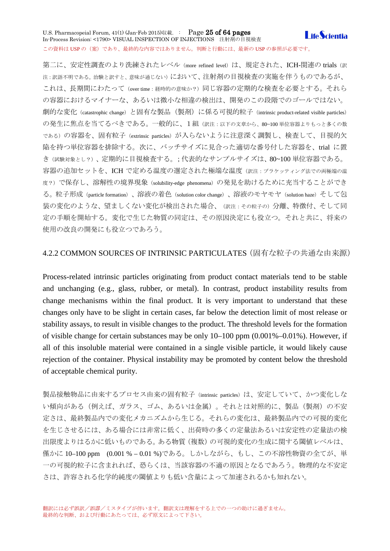### U.S. Pharmacopeial Forum, 41(1) (Jan-Feb 2015)収載. : Page 25 of 64 pages **Life**Scientia In-Process Revision: <1790> VISUAL INSPECTION OF INJECTIONS 注射剤の目視検査 この資料は USP の (案) であり、最終的な内容ではありません。判断と行動には、最新の USP の参照が必要です。

第二に、安定性調査のより洗練されたレベル (more refined level) は、規定された、ICH-関連の trials (訳 注:訳語不明である。治験と訳すと、意味が通じない)において、注射剤の目視検査の実施を伴うものであるが、 これは、長期間にわたって(over time:経時的の意味か?)同じ容器の定期的な検査を必要とする。それら の容器におけるマイナーな、あるいは微小な相違の検出は、開発のこの段階でのゴールではない。 劇的な変化(catastrophic change)と固有な製品(製剤)に係る可視的粒子(intrinsic product-related visible particles) の発生に焦点を当てるべきである。一般的に、1組(訳注:以下の文章から、80~100単位容器よりもっと多くの数 である)の容器を、固有粒子(extrinsic particles)が入らないように注意深く調製し、検査して、目視的欠 陥を持つ単位容器を排除する。次に、バッチサイズに見合った適切な番号付した容器を、trial に置 き(試験対象とし?)、定期的に目視検査する。;代表的なサンプルサイズは、80~100 単位容器である。 容器の追加セットを、ICH で定める温度の選定された極端な温度(訳注:ブラケッティング法での両極端の温 度?)で保存し、溶解性の境界現象(solubility-edge phenomena)の発見を助けるために充当することができ る。粒子形成(particle formation)、溶液の着色(solution color change)、溶液のモヤモヤ(solution haze)そして包 装の変化のような、望ましくない変化が検出された場合、(訳注:その粒子の)分離、特徴付、そして同 定の手順を開始する。変化で生じた物質の同定は、その原因決定にも役立つ。それと共に、将来の 使用の改良の開発にも役立つであろう。

# 4.2.2 COMMON SOURCES OF INTRINSIC PARTICULATES(固有な粒子の共通な由来源)

Process-related intrinsic particles originating from product contact materials tend to be stable and unchanging (e.g., glass, rubber, or metal). In contrast, product instability results from change mechanisms within the final product. It is very important to understand that these changes only have to be slight in certain cases, far below the detection limit of most release or stability assays, to result in visible changes to the product. The threshold levels for the formation of visible change for certain substances may be only 10–100 ppm (0.001%–0.01%). However, if all of this insoluble material were contained in a single visible particle, it would likely cause rejection of the container. Physical instability may be promoted by content below the threshold of acceptable chemical purity.

製品接触物品に由来するプロセス由来の固有粒子 (intrinsic particles) は、安定していて、かつ変化しな い傾向がある(例えば、ガラス、ゴム、あるいは金属)。それとは対照的に、製品(製剤)の不安 定さは、最終製品内での変化メカニズムから生じる。それらの変化は、最終製品内での可視的変化 を生じさせるには、ある場合には非常に低く、出荷時の多くの定量法あるいは安定性の定量法の検 出限度よりはるかに低いものである。ある物質(複数)の可視的変化の生成に関する閾値レベルは、 僅かに 10–100 ppm (0.001 % – 0.01 %)である。しかしながら、もし、この不溶性物資の全てが、単 一の可視的粒子に含まれれば、恐らくは、当該容器の不適の原因となるであろう。物理的な不安定 さは、許容される化学的純度の閾値よりも低い含量によって加速されるかも知れない。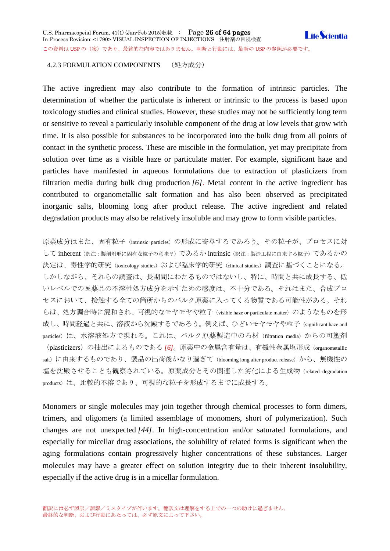<span id="page-25-0"></span>The active ingredient may also contribute to the formation of intrinsic particles. The determination of whether the particulate is inherent or intrinsic to the process is based upon toxicology studies and clinical studies. However, these studies may not be sufficiently long term or sensitive to reveal a particularly insoluble component of the drug at low levels that grow with time. It is also possible for substances to be incorporated into the bulk drug from all points of contact in the synthetic process. These are miscible in the formulation, yet may precipitate from solution over time as a visible haze or particulate matter. For example, significant haze and particles have manifested in aqueous formulations due to extraction of plasticizers from filtration media during bulk drug production *[6]*. Metal content in the active ingredient has contributed to organometallic salt formation and has also been observed as precipitated inorganic salts, blooming long after product release. The active ingredient and related degradation products may also be relatively insoluble and may grow to form visible particles.

原薬成分はまた、固有粒子(intrinsic particles)の形成に寄与するであろう。その粒子が、プロセスに対 して inherent (訳注:製剤剤形に固有な粒子の意味?)であるか intrinsic (訳注:製造工程に由来する粒子)であるかの 決定は、毒性学的研究 (toxicology studies) および臨床学的研究 (clinical studies) 調査に基づくことになる。 しかしながら、それらの調査は、長期間にわたるものではないし、特に、時間と共に成長する、低 いレベルでの医薬品の不溶性処方成分を示すための感度は、不十分である。それはまた、合成プロ セスにおいて、接触する全ての箇所からのバルク原薬に入ってくる物質である可能性がある。それ らは、処方調合時に混和され、可視的なモヤモヤや粒子 (visible haze or particulate matter) のようなものを形 成し、時間経過と共に、溶液から沈殿するであろう。例えば、ひどいモヤモヤや粒子(significant haze and particles)は、水溶液処方で現れる。これは、バルク原薬製造中のろ材(filtration media)からの可塑剤 (plasticizers)の抽出によるものである *[6]*。原薬中の金属含有量は、有機性金属塩形成(organometallic salt)に由来するものであり、製品の出荷後かなり過ぎて(blooming long after product release)から、無機性の 塩を沈殿させることも観察されている。原薬成分とその関連した劣化による生成物 (related degradation products)は、比較的不溶であり、可視的な粒子を形成するまでに成長する。

Monomers or single molecules may join together through chemical processes to form dimers, trimers, and oligomers (a limited assemblage of monomers, short of polymerization). Such changes are not unexpected *[44]*. In high-concentration and/or saturated formulations, and especially for micellar drug associations, the solubility of related forms is significant when the aging formulations contain progressively higher concentrations of these substances. Larger molecules may have a greater effect on solution integrity due to their inherent insolubility, especially if the active drug is in a micellar formulation.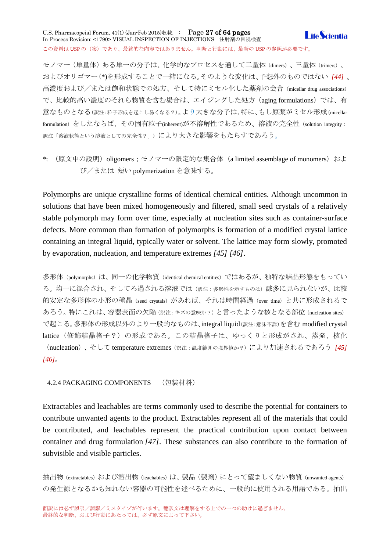U.S. Pharmacopeial Forum, 41(1) (Jan-Feb 2015)収載. : Page 27 of 64 pages **I** ife *Scientia* In-Process Revision: <1790> VISUAL INSPECTION OF INJECTIONS 注射剤の目視検査 この資料は USP の (案)であり、最終的な内容ではありません。判断と行動には、最新の USP の参照が必要です。

モノマー(単量体)ある単一の分子は、化学的なプロセスを通して二量体(dimers)、三量体(trimers)、 およびオリゴマー(\*)を形成することで一緒になる。そのような変化は、予想外のものではない *[44]* 。 高濃度および/または飽和状態での処方、そして特にミセル化した薬剤の会合(micellar drug associations) で、比較的高い濃度のそれら物質を含む場合は、エイジングした処方(aging formulations)では、有 意なものとなる(訳注:粒子形成を起こし易くなる?)。より大きな分子は、特に、もし原薬がミセル形成(micellar formulation)をしたならば、その固有粒子(inherent)が不溶解性であるため、溶液の完全性(solution integrity: 訳注「溶液状態という溶液としての完全性?」)により大きな影響をもたらすであろう。

\*: (原文中の説明) oligomers;モノマーの限定的な集合体 (a limited assemblage of monomers) およ び/または 短い polymerization を意味する。

Polymorphs are unique crystalline forms of identical chemical entities. Although uncommon in solutions that have been mixed homogeneously and filtered, small seed crystals of a relatively stable polymorph may form over time, especially at nucleation sites such as container-surface defects. More common than formation of polymorphs is formation of a modified crystal lattice containing an integral liquid, typically water or solvent. The lattice may form slowly, promoted by evaporation, nucleation, and temperature extremes *[45] [46]*.

多形体(polymorphs)は、同一の化学物質(identical chemical entities)ではあるが、独特な結晶形態をもってい る。均一に混合され、そしてろ過される溶液では(訳注:多形性を示すものは)滅多に見られないが、比較 的安定な多形体の小形の種晶(seed crystals)があれば、それは時間経過(over time)と共に形成されるで あろう。特にこれは、容器表面の欠陥(訳注:キズの意味か?)と言ったような核となる部位(nucleation sites) で起こる。多形体の形成以外のより一般的なものは、integral liquid(訳注:意味不詳)を含む modified crystal lattice(修飾結晶格子?)の形成である。この結晶格子は、ゆっくりと形成がされ、蒸発、核化 (nucleation)、そして temperature extremes(訳注:温度範囲の境界値か?)により加速されるであろう *[45] [46]*。

### <span id="page-26-0"></span>4.2.4 PACKAGING COMPONENTS (包装材料)

Extractables and leachables are terms commonly used to describe the potential for containers to contribute unwanted agents to the product. Extractables represent all of the materials that could be contributed, and leachables represent the practical contribution upon contact between container and drug formulation *[47]*. These substances can also contribute to the formation of subvisible and visible particles.

抽出物(extractables)および溶出物(leachables)は、製品(製剤)にとって望ましくない物質(unwanted agents) の発生源となるかも知れない容器の可能性を述べるために、一般的に使用される用語である。抽出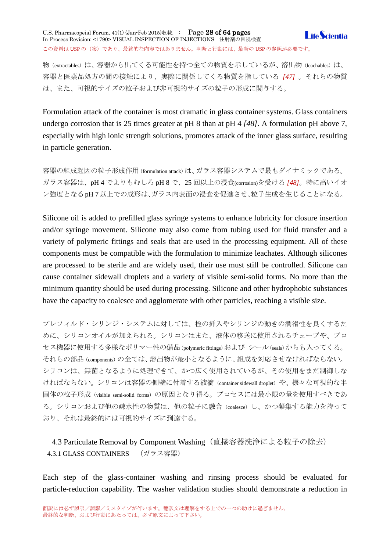U.S. Pharmacopeial Forum, 41(1) (Jan-Feb 2015)収載. : Page 28 of 64 pages **LifeScientia** In-Process Revision: <1790> VISUAL INSPECTION OF INJECTIONS 注射剤の目視検査 この資料は USP の (案)であり、最終的な内容ではありません。判断と行動には、最新の USP の参照が必要です。

物 (extractables) は、容器から出てくる可能性を持つ全ての物質を示しているが、溶出物 (leachables) は、 容器と医薬品処方の間の接触により、実際に関係してくる物質を指している *[47]* 。それらの物質 は、また、可視的サイズの粒子および非可視的サイズの粒子の形成に関与する。

Formulation attack of the container is most dramatic in glass container systems. Glass containers undergo corrosion that is 25 times greater at pH 8 than at pH 4 *[48]*. A formulation pH above 7, especially with high ionic strength solutions, promotes attack of the inner glass surface, resulting in particle generation.

容器の組成起因の粒子形成作用(formulation attack)は、ガラス容器システムで最もダイナミックである。 ガラス容器は、pH 4 でよりもむしろ pH 8 で、25 回以上の浸食(corrosion)を受ける *[48]*。特に高いイオ ン強度となるpH 7以上での成形は、ガラス内表面の浸食を促進させ、粒子生成を生じることになる。

Silicone oil is added to prefilled glass syringe systems to enhance lubricity for closure insertion and/or syringe movement. Silicone may also come from tubing used for fluid transfer and a variety of polymeric fittings and seals that are used in the processing equipment. All of these components must be compatible with the formulation to minimize leachates. Although silicones are processed to be sterile and are widely used, their use must still be controlled. Silicone can cause container sidewall droplets and a variety of visible semi-solid forms. No more than the minimum quantity should be used during processing. Silicone and other hydrophobic substances have the capacity to coalesce and agglomerate with other particles, reaching a visible size.

プレフィルド・シリンジ・システムに対しては、栓の挿入やシリンジの動きの潤滑性を良くするた めに、シリコンオイルが加えられる。シリコンはまた、液体の移送に使用されるチューブや、プロ セス機器に使用する多様なポリマー性の備品(polymeric fittings)および シール(seals)からも入ってくる。 それらの部品(components)の全ては、溶出物が最小となるように、組成を対応させなければならない。 シリコンは、無菌となるように処理できて、かつ広く使用されているが、その使用をまだ制御しな ければならない。シリコンは容器の側壁に付着する液滴 (container sidewall droplet) や、様々な可視的な半 固体の粒子形成(visible semi-solid forms)の原因となり得る。プロセスには最小限の量を使用すべきであ る。シリコンおよび他の疎水性の物質は、他の粒子に融合(coalesce)し、かつ凝集する能力を持って おり、それは最終的には可視的サイズに到達する。

<span id="page-27-1"></span><span id="page-27-0"></span>4.3 Particulate Removal by Component Washing (直接容器洗浄による粒子の除去) 4.3.1 GLASS CONTAINERS (ガラス容器)

Each step of the glass-container washing and rinsing process should be evaluated for particle-reduction capability. The washer validation studies should demonstrate a reduction in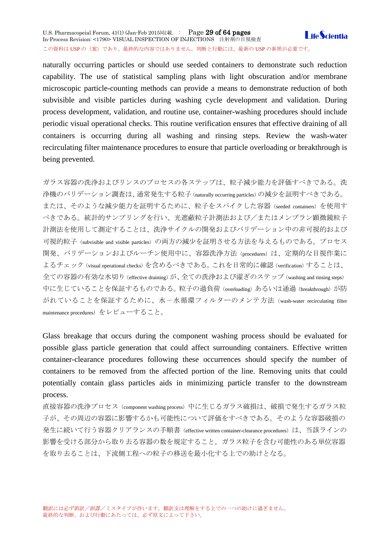### U.S. Pharmacopeial Forum, 41(1) (Jan-Feb 2015)収載. : Page 29 of 64 pages **Life**Scientia In-Process Revision: <1790> VISUAL INSPECTION OF INJECTIONS 注射剤の目視検査 この資料は USP の (案)であり、最終的な内容ではありません。判断と行動には、最新の USP の参照が必要です。

naturally occurring particles or should use seeded containers to demonstrate such reduction capability. The use of statistical sampling plans with light obscuration and/or membrane microscopic particle-counting methods can provide a means to demonstrate reduction of both subvisible and visible particles during washing cycle development and validation. During process development, validation, and routine use, container-washing procedures should include periodic visual operational checks. This routine verification ensures that effective draining of all containers is occurring during all washing and rinsing steps. Review the wash-water recirculating filter maintenance procedures to ensure that particle overloading or breakthrough is being prevented.

ガラス容器の洗浄およびリンスのプロセスの各ステップは、粒子減少能力を評価すべきである。洗 浄機のバリデーション調査は、通常発生する粒子(naturally occurring particles)の減少を証明すべきである。 または、そのような減少能力を証明するために、粒子をスパイクした容器(seeded containers)を使用す べきである。統計的サンプリングを行い、光遮蔽粒子計測法および/またはメンブラン顕微鏡粒子 計測法を使用して測定することは、洗浄サイクルの開発およびバリデーション中の非可視的および 可視的粒子 (subvisible and visible particles) の両方の減少を証明させる方法を与えるものである。プロセス 開発、バリデーションおよびルーチン使用中に、容器洗浄方法 (procedures) は、定期的な目視作業に よるチェック (visual operational checks) を含めるべきである。これを日常的に確認 (verification) することは、 全ての容器の有効な水切り(effective draining)が、全ての洗浄および濯ぎのステップ(washing and rinsing steps) 中に生じていることを保証するものである。粒子の過負荷 (overloading) あるいは通過 (breakthrough) が防 がれていることを保証するために、水ー水循環フィルターのメンテ方法 (wash-water recirculating filter maintenance procedures)をレビューすること。

Glass breakage that occurs during the component washing process should be evaluated for possible glass particle generation that could affect surrounding containers. Effective written container-clearance procedures following these occurrences should specify the number of containers to be removed from the affected portion of the line. Removing units that could potentially contain glass particles aids in minimizing particle transfer to the downstream process.

直接容器の洗浄プロセス (component washing process) 中に生じるガラス破損は、破損で発生するガラス粒 子が、その周辺の容器に影響するかも可能性について評価をすべきである。そのような容器破損の 発生に続いて行う容器クリアランスの手順書 (effective written container-clearance procedures)は、当該ラインの 影響を受ける部分から取り去る容器の数を規定すること。ガラス粒子を含む可能性のある単位容器 を取り去ることは、下流側工程への粒子の移送を最小化する上での助けとなる。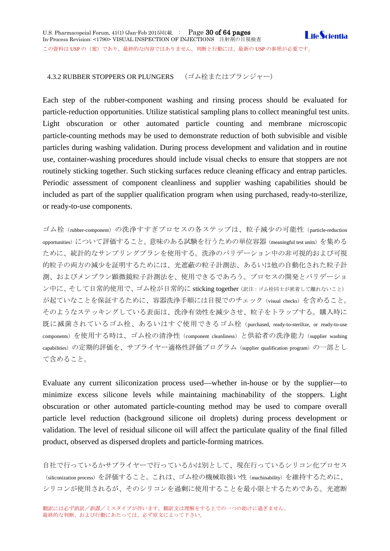<span id="page-29-0"></span>Each step of the rubber-component washing and rinsing process should be evaluated for particle-reduction opportunities. Utilize statistical sampling plans to collect meaningful test units. Light obscuration or other automated particle counting and membrane microscopic particle-counting methods may be used to demonstrate reduction of both subvisible and visible particles during washing validation. During process development and validation and in routine use, container-washing procedures should include visual checks to ensure that stoppers are not routinely sticking together. Such sticking surfaces reduce cleaning efficacy and entrap particles. Periodic assessment of component cleanliness and supplier washing capabilities should be included as part of the supplier qualification program when using purchased, ready-to-sterilize, or ready-to-use components.

ゴム栓(rubber-component)の洗浄すすぎプロセスの各ステップは、粒子減少の可能性(particle-reduction opportunities)について評価すること。意味のある試験を行うための単位容器(meaningful test units)を集める ために、統計的なサンプリングプランを使用する。洗浄のバリデーション中の非可視的および可視 的粒子の両方の減少を証明するためには、光遮蔽の粒子計測法、あるいは他の自動化された粒子計 測、およびメンブラン顕微鏡粒子計測法を、使用できるであろう。プロセスの開発とバリデーショ ン中に、そして日常的使用で、ゴム栓が日常的に sticking together (訳注: ゴム栓同士が密着して離れないこと) が起ていなことを保証するために、容器洗浄手順には目視でのチェック(visual checks)を含めること。 そのようなステッキングしている表面は、洗浄有効性を減少させ、粒子をトラップする。購入時に 既に滅菌されているゴム栓、あるいはすぐ使用できるゴム栓(purchased, ready-to-sterilize, or ready-to-use components) を使用する時は、ゴム栓の清浄性 (component cleanliness) と供給者の洗浄能力 (supplier washing capabilities)の定期的評価を、サプライヤー適格性評価プログラム (supplier qualification program)の一部とし て含めること。

Evaluate any current siliconization process used—whether in-house or by the supplier—to minimize excess silicone levels while maintaining machinability of the stoppers. Light obscuration or other automated particle-counting method may be used to compare overall particle level reduction (background silicone oil droplets) during process development or validation. The level of residual silicone oil will affect the particulate quality of the final filled product, observed as dispersed droplets and particle-forming matrices.

自社で行っているかサプライヤーで行っているかは別として、現在行っているシリコン化プロセス (siliconization process)を評価すること。これは、ゴム栓の機械取扱い性 (machinability) を維持するために、 シリコンが使用されるが、そのシリコンを過剰に使用することを最小限とするためである。光遮断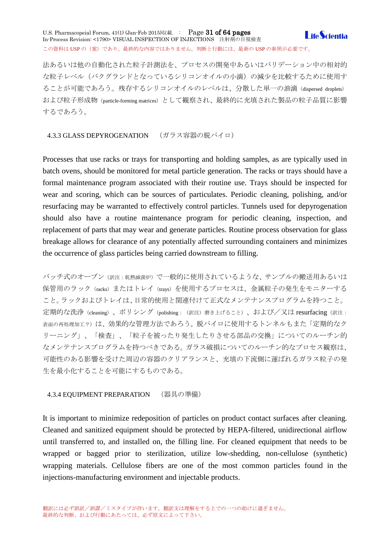### U.S. Pharmacopeial Forum,  $41(1)$  (Jan-Feb 2015)収載. : Page 31 of 64 pages **I** ife *Scientia* In-Process Revision: <1790> VISUAL INSPECTION OF INJECTIONS 注射剤の目視検査 この資料は USP の (案)であり、最終的な内容ではありません。判断と行動には、最新の USP の参照が必要です。

法あるいは他の自動化された粒子計測法を、プロセスの開発中あるいはバリデーション中の相対的 な粒子レベル(バクグランドとなっているシリコンオイルの小滴)の減少を比較するために使用す ることが可能であろう。残存するシリコンオイルのレベルは、分散した単一の油滴(dispersed droplets) および粒子形成物(particle-forming matrices)として観察され、最終的に充填された製品の粒子品質に影響 するであろう。

### <span id="page-30-0"></span>4.3.3 GLASS DEPYROGENATION (ガラス容器の脱パイロ)

Processes that use racks or trays for transporting and holding samples, as are typically used in batch ovens, should be monitored for metal particle generation. The racks or trays should have a formal maintenance program associated with their routine use. Trays should be inspected for wear and scoring, which can be sources of particulates. Periodic cleaning, polishing, and/or resurfacing may be warranted to effectively control particles. Tunnels used for depyrogenation should also have a routine maintenance program for periodic cleaning, inspection, and replacement of parts that may wear and generate particles. Routine process observation for glass breakage allows for clearance of any potentially affected surrounding containers and minimizes the occurrence of glass particles being carried downstream to filling.

バッチ式のオーブン(訳注:乾熱滅菌炉)で一般的に使用されているような、サンプルの搬送用あるいは 保管用のラック (racks) またはトレイ (trays) を使用するプロセスは、金属粒子の発生をモニターする こと。ラックおよびトレイは、日常的使用と関連付けて正式なメンテナンスプログラムを持つこと。 定期的な洗浄 (cleaning)、ポリシング (polishing: (訳注) 磨き上げること)、および/又は resurfacing (訳注: 表面の再処理加工?)は、効果的な管理方法であろう。脱パイロに使用するトンネルもまた「定期的なク リーニング」、「検査」、「粒子を被ったり発生したりさせる部品の交換」についてのルーチン的 なメンテナンスプログラムを持つべきである。ガラス破損についてのルーチン的なプロセス観察は、 可能性のある影響を受けた周辺の容器のクリアランスと、充填の下流側に運ばれるガラス粒子の発 生を最小化することを可能にするものである。

### <span id="page-30-1"></span>4.3.4 EQUIPMENT PREPARATION (器具の準備)

It is important to minimize redeposition of particles on product contact surfaces after cleaning. Cleaned and sanitized equipment should be protected by HEPA-filtered, unidirectional airflow until transferred to, and installed on, the filling line. For cleaned equipment that needs to be wrapped or bagged prior to sterilization, utilize low-shedding, non-cellulose (synthetic) wrapping materials. Cellulose fibers are one of the most common particles found in the injections-manufacturing environment and injectable products.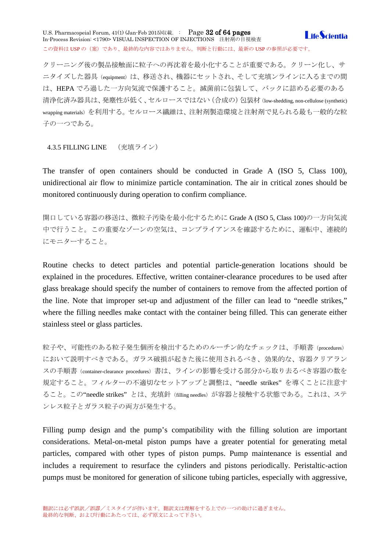U.S. Pharmacopeial Forum, 41(1) (Jan-Feb 2015)収載. : Page 32 of 64 pages **I** ife *Scientia* In-Process Revision: <1790> VISUAL INSPECTION OF INJECTIONS 注射剤の目視検査 この資料は USP の(案)であり、最終的な内容ではありません。判断と行動には、最新の USP の参照が必要です。

クリーニング後の製品接触面に粒子への再沈着を最小化することが重要である。クリーン化し、サ ニタイズした器具 (equipment) は、移送され、機器にセットされ、そして充填ンラインに入るまでの間 は、HEPA でろ過した一方向気流で保護すること。滅菌前に包装して、バックに詰める必要のある 清浄化済み器具は、発塵性が低く、セルロースではない(合成の)包装材(low-shedding, non-cellulose (synthetic) wrapping materials)を利用する。セルロース繊維は、注射剤製造環境と注射剤で見られる最も一般的な粒 子の一つである。

<span id="page-31-0"></span>4.3.5 FILLING LINE (充填ライン)

The transfer of open containers should be conducted in Grade A (ISO 5, Class 100), unidirectional air flow to minimize particle contamination. The air in critical zones should be monitored continuously during operation to confirm compliance.

開口している容器の移送は、微粒子汚染を最小化するために Grade A (ISO 5, Class 100)の一方向気流 中で行うこと。この重要なゾーンの空気は、コンプライアンスを確認するために、運転中、連続的 にモニターすること。

Routine checks to detect particles and potential particle-generation locations should be explained in the procedures. Effective, written container-clearance procedures to be used after glass breakage should specify the number of containers to remove from the affected portion of the line. Note that improper set-up and adjustment of the filler can lead to "needle strikes," where the filling needles make contact with the container being filled. This can generate either stainless steel or glass particles.

粒子や、可能性のある粒子発生個所を検出するためのルーチン的なチェックは、手順書(procedures) において説明すべきである。ガラス破損が起きた後に使用されるべき、効果的な、容器クリアラン スの手順書 (container-clearance procedures) 書は、ラインの影響を受ける部分から取り去るべき容器の数を 規定すること。フィルターの不適切なセットアップと調整は、"needle strikes"を導くことに注意す ること。この"needle strikes" とは、充填針(filling needles)が容器と接触する状態である。これは、ステ ンレス粒子とガラス粒子の両方が発生する。

Filling pump design and the pump's compatibility with the filling solution are important considerations. Metal-on-metal piston pumps have a greater potential for generating metal particles, compared with other types of piston pumps. Pump maintenance is essential and includes a requirement to resurface the cylinders and pistons periodically. Peristaltic-action pumps must be monitored for generation of silicone tubing particles, especially with aggressive,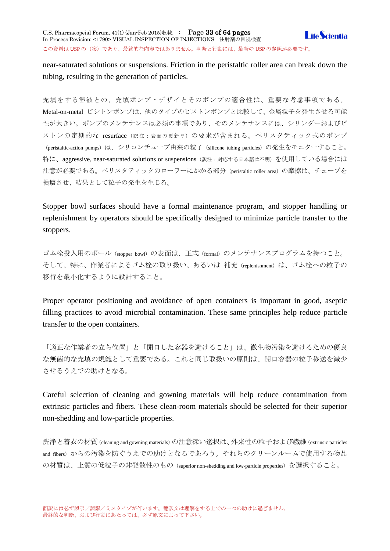near-saturated solutions or suspensions. Friction in the peristaltic roller area can break down the tubing, resulting in the generation of particles.

充填をする溶液との、充填ポンプ・デザイとそのポンプの適合性は、重要な考慮事項である。 Metal-on-metal ピシトンポンプは、他のタイプのピストンポンプと比較して、金属粒子を発生させる可能 性が大きい。ポンプのメンテナンスは必須の事項であり、そのメンテナンスには、シリンダーおよびピ ストンの定期的な resurface (訳注:表面の更新?)の要求が含まれる。ペリスタティック式のポンプ (peristaltic-action pumps) は、シリコンチューブ由来の粒子 (silicone tubing particles) の発生をモニターすること。 特に、aggressive, near-saturated solutions or suspensions(訳注:対応する日本語は不明)を使用している場合には 注意が必要である。ペリスタティックのローラーにかかる部分(peristaltic roller area)の摩擦は、チューブを 損壊させ、結果として粒子の発生を生じる。

Stopper bowl surfaces should have a formal maintenance program, and stopper handling or replenishment by operators should be specifically designed to minimize particle transfer to the stoppers.

ゴム栓投入用のボール(stopper bowl)の表面は、正式(formal)のメンテナンスプログラムを持つこと。 そして、特に、作業者によるゴム栓の取り扱い、あるいは 補充 (replenishment)は、ゴム栓への粒子の 移行を最小化するように設計すること。

Proper operator positioning and avoidance of open containers is important in good, aseptic filling practices to avoid microbial contamination. These same principles help reduce particle transfer to the open containers.

「適正な作業者の立ち位置」と「開口した容器を避けること」は、微生物汚染を避けるための優良 な無菌的な充填の規範として重要である。これと同じ取扱いの原則は、開口容器の粒子移送を減少 させるうえでの助けとなる。

Careful selection of cleaning and gowning materials will help reduce contamination from extrinsic particles and fibers. These clean-room materials should be selected for their superior non-shedding and low-particle properties.

洗浄と着衣の材質(cleaning and gowning materials)の注意深い選択は、外来性の粒子および繊維(extrinsic particles and fibers)からの汚染を防ぐうえでの助けとなるであろう。それらのクリーンルームで使用する物品 の材質は、上質の低粒子の非発散性のもの(superior non-shedding and low-particle properties)を選択すること。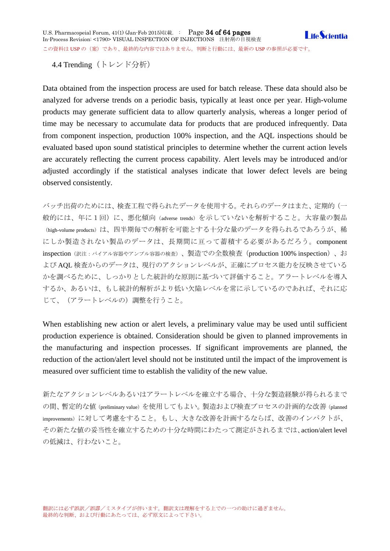<span id="page-33-0"></span>4.4 Trending (トレンド分析)

Data obtained from the inspection process are used for batch release. These data should also be analyzed for adverse trends on a periodic basis, typically at least once per year. High-volume products may generate sufficient data to allow quarterly analysis, whereas a longer period of time may be necessary to accumulate data for products that are produced infrequently. Data from component inspection, production 100% inspection, and the AQL inspections should be evaluated based upon sound statistical principles to determine whether the current action levels are accurately reflecting the current process capability. Alert levels may be introduced and/or adjusted accordingly if the statistical analyses indicate that lower defect levels are being observed consistently.

バッチ出荷のためには、検査工程で得られたデータを使用する。それらのデータはまた、定期的(一 般的には、年に1回)に、悪化傾向(adverse trends)を示していないを解析すること。大容量の製品 (high-volume products)は、四半期毎での解析を可能とする十分な量のデータを得られるであろうが、稀 にしか製造されない製品のデータは、長期間に亘って蓄積する必要があるだろう。component inspection(訳注:バイアル容器やアンプル容器の検査)、製造での全数検査(production 100% inspection)、お よび AQL 検査からのデータは、現行のアクションレベルが、正確にプロセス能力を反映させている かを調べるために、しっかりとした統計的な原則に基づいて評価すること。アラートレベルを導入 するか、あるいは、もし統計的解析がより低い欠陥レベルを常に示しているのであれば、それに応 じて、(アラートレベルの)調整を行うこと。

When establishing new action or alert levels, a preliminary value may be used until sufficient production experience is obtained. Consideration should be given to planned improvements in the manufacturing and inspection processes. If significant improvements are planned, the reduction of the action/alert level should not be instituted until the impact of the improvement is measured over sufficient time to establish the validity of the new value.

新たなアクションレベルあるいはアラートレベルを確立する場合、十分な製造経験が得られるまで の間、暫定的な値(preliminary value)を使用してもよい。製造および検査プロセスの計画的な改善(planned improvements)に対して考慮をすること。もし、大きな改善を計画するならば、改善のインパクトが、 その新たな値の妥当性を確立するための十分な時間にわたって測定がされるまでは、action/alert level の低減は、行わないこと。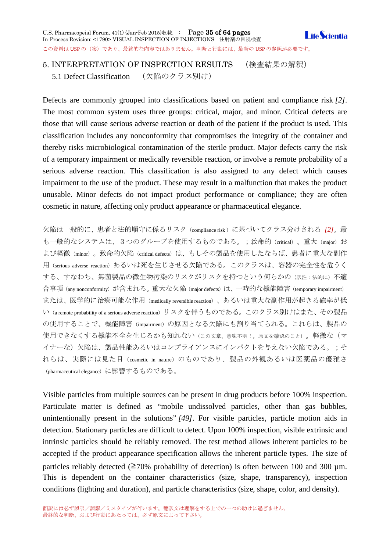<span id="page-34-0"></span>5. INTERPRETATION OF INSPECTION RESULTS (検査結果の解釈)

<span id="page-34-1"></span>5.1 Defect Classification (欠陥のクラス別け)

Defects are commonly grouped into classifications based on patient and compliance risk *[2]*. The most common system uses three groups: critical, major, and minor. Critical defects are those that will cause serious adverse reaction or death of the patient if the product is used. This classification includes any nonconformity that compromises the integrity of the container and thereby risks microbiological contamination of the sterile product. Major defects carry the risk of a temporary impairment or medically reversible reaction, or involve a remote probability of a serious adverse reaction. This classification is also assigned to any defect which causes impairment to the use of the product. These may result in a malfunction that makes the product unusable. Minor defects do not impact product performance or compliance; they are often cosmetic in nature, affecting only product appearance or pharmaceutical elegance.

欠陥は一般的に、患者と法的順守に係るリスク(compliance risk )に基づいてクラス分けされる *[2]*。最 も一般的なシステムは、3つのグループを使用するものである。;致命的(critical)、重大(major)お よび軽微(minor)。致命的欠陥(critical defects)は、もしその製品を使用したならば、患者に重大な副作 用 (serious adverse reaction) あるいは死を生じさせる欠陥である。このクラスは、容器の完全性を危うく する、すなわち、無菌製品の微生物汚染のリスクがリスクを持つという何らかの(訳注:法的に)不適 合事項 (any nonconformity) が含まれる。 重大な欠陥 (major defects) は、一時的な機能障害 (temporary impairment) または、医学的に治療可能な作用(medically reversible reaction)、あるいは重大な副作用が起きる確率が低 い(a remote probability of a serious adverse reaction)リスクを伴うものである。このクラス別けはまた、その製品 の使用することで、機能障害(impairment)の原因となる欠陥にも割り当てられる。これらは、製品の 使用できなくする機能不全を生じるかも知れない(この文章、意味不明!。原文を確認のこと)。軽微な(マ イナーな)欠陥は、製品性能あるいはコンプライアンスにインパクトを与えない欠陥である。;そ れらは、実際には見た目(cosmetic in nature)のものであり、製品の外観あるいは医薬品の優雅さ (pharmaceutical elegance)に影響するものである。

Visible particles from multiple sources can be present in drug products before 100% inspection. Particulate matter is defined as "mobile undissolved particles, other than gas bubbles, unintentionally present in the solutions" *[49]*. For visible particles, particle motion aids in detection. Stationary particles are difficult to detect. Upon 100% inspection, visible extrinsic and intrinsic particles should be reliably removed. The test method allows inherent particles to be accepted if the product appearance specification allows the inherent particle types. The size of particles reliably detected ( $\geq 70\%$  probability of detection) is often between 100 and 300 µm. This is dependent on the container characteristics (size, shape, transparency), inspection conditions (lighting and duration), and particle characteristics (size, shape, color, and density).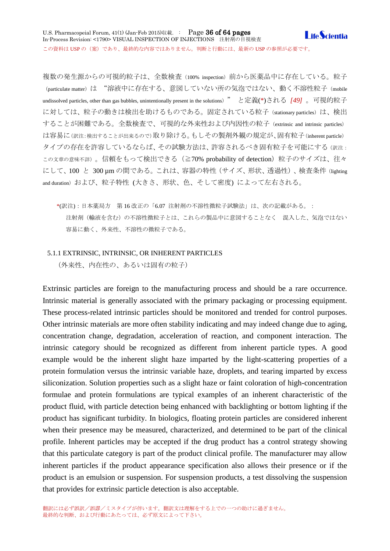複数の発生源からの可視的粒子は、全数検査 (100% inspection) 前から医薬品中に存在している。粒子 (particulate matter) は "溶液中に存在する、意図していない所の気泡ではない、動く不溶性粒子 (mobile undissolved particles, other than gas bubbles, unintentionally present in the solutions) " と定義(\*)される *[49]* 。可視的粒子 に対しては、粒子の動きは検出を助けるものである。固定されている粒子 (stationary particles) は、検出 することが困難である。全数検査で、可視的な外来性および内因性の粒子(extrinsic and intrinsic particles) は容易に(訳注:検出することが出来るので)取り除ける。もしその製剤外観の規定が、固有粒子(inherent particle) タイプの存在を許容しているならば、その試験方法は、許容されるべき固有粒子を可能にする(訳注: この文章の意味不詳)。信頼をもって検出できる(≧70% probability of detection)粒子のサイズは、往々 にして、100 と 300 µm の間である。これは、容器の特性(サイズ、形状、透過性)、検査条件(lighting and duration) および、粒子特性 (大きさ、形状、色、そして密度) によって左右される。

\*(訳注):日本薬局方 第 16 改正の「6.07 注射剤の不溶性微粒子試験法」は、次の記載がある。: 注射剤(輸液を含む)の不溶性微粒子とは、これらの製品中に意図することなく 混入した、気泡ではない 容易に動く、外来性、不溶性の微粒子である。

### <span id="page-35-0"></span>5.1.1 EXTRINSIC, INTRINSIC, OR INHERENT PARTICLES

(外来性、内在性の、あるいは固有の粒子)

Extrinsic particles are foreign to the manufacturing process and should be a rare occurrence. Intrinsic material is generally associated with the primary packaging or processing equipment. These process-related intrinsic particles should be monitored and trended for control purposes. Other intrinsic materials are more often stability indicating and may indeed change due to aging, concentration change, degradation, acceleration of reaction, and component interaction. The intrinsic category should be recognized as different from inherent particle types. A good example would be the inherent slight haze imparted by the light-scattering properties of a protein formulation versus the intrinsic variable haze, droplets, and tearing imparted by excess siliconization. Solution properties such as a slight haze or faint coloration of high-concentration formulae and protein formulations are typical examples of an inherent characteristic of the product fluid, with particle detection being enhanced with backlighting or bottom lighting if the product has significant turbidity. In biologics, floating protein particles are considered inherent when their presence may be measured, characterized, and determined to be part of the clinical profile. Inherent particles may be accepted if the drug product has a control strategy showing that this particulate category is part of the product clinical profile. The manufacturer may allow inherent particles if the product appearance specification also allows their presence or if the product is an emulsion or suspension. For suspension products, a test dissolving the suspension that provides for extrinsic particle detection is also acceptable.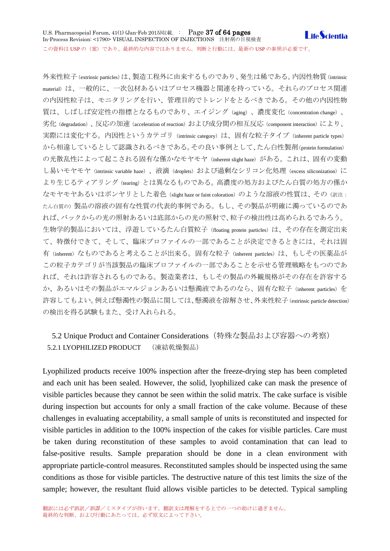外来性粒子(extrinsic particles)は、製造工程外に由来するものであり、発生は稀である。内因性物質(intrinsic material)は、一般的に、一次包材あるいはプロセス機器と関連を持っている。それらのプロセス関連 の内因性粒子は、モニタリングを行い、管理目的でトレンドをとるべきである。その他の内因性物 質は、しばしば安定性の指標となるものであり、エイジング(aging)、濃度変化(concentration change)、 劣化(degradation)、反応の加速(acceleration of reaction)および成分間の相互反応(component interaction)により、 実際には変化する。内因性というカテゴリ (intrinsic category) は、固有な粒子タイプ (inherent particle types) から相違しているとして認識されるべきである。その良い事例として、たん白性製剤(protein formulation) の光散乱性によって起こされる固有な僅かなモヤモヤ(inherent slight haze)がある。これは、固有の変動 し易いモヤモヤ(intrinsic variable haze)、液滴(droplets)および過剰なシリコン化処理(excess siliconization)に より生じるティアリング (tearing) とは異なるものである。高濃度の処方およびたん白質の処方の僅か なモヤモヤあるいはボンヤリとした着色(slight haze or faint coloration)のような溶液の性質は、その(訳注: たん白質の)製品の溶液の固有な性質の代表的事例である。もし、その製品が明確に濁っているのであ れば、バックからの光の照射あるいは底部からの光の照射で、粒子の検出性は高められるであろう。 生物学的製品においては、浮遊しているたん白質粒子 (floating protein particles) は、その存在を測定出来 て、特徴付できて、そして、臨床プロファイルの一部であることが決定できるときには、それは固 有(inherent)なものであると考えることが出来る。固有な粒子(inherent particles)は、もしその医薬品が この粒子カテゴリが当該製品の臨床プロファイルの一部であることを示せる管理戦略をもつのであ れば、それは許容されるものである。製造業者は、もしその製品の外観規格がその存在を許容する か、あるいはその製品がエマルジョンあるいは懸濁液であるのなら、固有な粒子(inherent particles)を 許容してもよい。例えば懸濁性の製品に関しては、懸濁液を溶解させ、外来性粒子(extrinsic particle detection) の検出を得る試験もまた、受け入れられる。

# <span id="page-36-1"></span><span id="page-36-0"></span>5.2 Unique Product and Container Considerations(特殊な製品および容器への考察) 5.2.1 LYOPHILIZED PRODUCT (凍結乾燥製品)

Lyophilized products receive 100% inspection after the freeze-drying step has been completed and each unit has been sealed. However, the solid, lyophilized cake can mask the presence of visible particles because they cannot be seen within the solid matrix. The cake surface is visible during inspection but accounts for only a small fraction of the cake volume. Because of these challenges in evaluating acceptability, a small sample of units is reconstituted and inspected for visible particles in addition to the 100% inspection of the cakes for visible particles. Care must be taken during reconstitution of these samples to avoid contamination that can lead to false-positive results. Sample preparation should be done in a clean environment with appropriate particle-control measures. Reconstituted samples should be inspected using the same conditions as those for visible particles. The destructive nature of this test limits the size of the sample; however, the resultant fluid allows visible particles to be detected. Typical sampling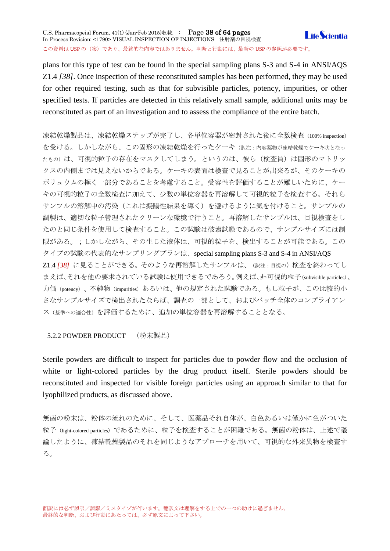plans for this type of test can be found in the special sampling plans S-3 and S-4 in ANSI/AQS Z1.4 *[38]*. Once inspection of these reconstituted samples has been performed, they may be used for other required testing, such as that for subvisible particles, potency, impurities, or other specified tests. If particles are detected in this relatively small sample, additional units may be reconstituted as part of an investigation and to assess the compliance of the entire batch.

凍結乾燥製品は、凍結乾燥ステップが完了し、各単位容器が密封された後に全数検査(100% inspection) を受ける。しかしながら、この固形の凍結乾燥を行ったケーキ(訳注:内容薬物が凍結乾燥でケーキ状となっ たもの)は、可視的粒子の存在をマスクしてしまう。というのは、彼ら(検査員)は固形のマトリッ クスの内側までは見えないからである。ケーキの表面は検査で見ることが出来るが、そのケーキの ボリュウムの極く一部分であることを考慮すること。受容性を評価することが難しいために、ケー キの可視的粒子の全数検査に加えて、少数の単位容器を再溶解して可視的粒子を検査する。それら サンプルの溶解中の汚染(これは擬陽性結果を導く)を避けるように気を付けること。サンプルの 調製は、適切な粒子管理されたクリーンな環境で行うこと。再溶解したサンプルは、目視検査をし たのと同じ条件を使用して検査すること。この試験は破壊試験であるので、サンプルサイズには制 限がある。;しかしながら、その生じた液体は、可視的粒子を、検出することが可能である。この タイプの試験の代表的なサンプリングプランは、special sampling plans S-3 and S-4 in ANSI/AQS Z1.4 *[38]* に見ることができる。そのような再溶解したサンプルは、(訳注:目視の)検査を終わってし まえば、それを他の要求されている試験に使用できるであろう。例えば、非可視的粒子(subvisible particles)、 力価(potency)、不純物(impurities)あるいは、他の規定された試験である。もし粒子が、この比較的小 さなサンプルサイズで検出されたならば、調査の一部として、およびバッチ全体のコンプライアン ス(基準への適合性)を評価するために、追加の単位容器を再溶解することとなる。

# <span id="page-37-0"></span>5.2.2 POWDER PRODUCT (粉末製品)

Sterile powders are difficult to inspect for particles due to powder flow and the occlusion of white or light-colored particles by the drug product itself. Sterile powders should be reconstituted and inspected for visible foreign particles using an approach similar to that for lyophilized products, as discussed above.

無菌の粉末は、粉体の流れのために、そして、医薬品それ自体が、白色あるいは僅かに色がついた 粒子(light-colored particles)であるために、粒子を検査することが困難である。無菌の粉体は、上述で議 論したように、凍結乾燥製品のそれを同じようなアプローチを用いて、可視的な外来異物を検査す る。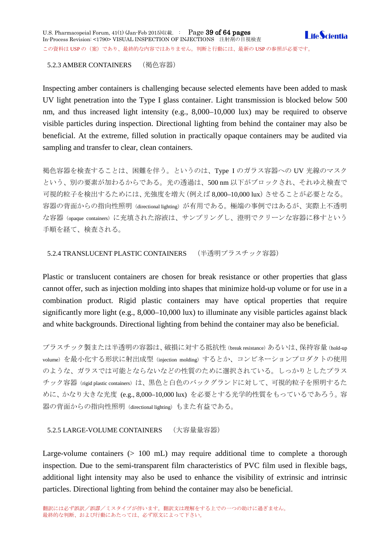# <span id="page-38-0"></span>5.2.3 AMBER CONTAINERS (褐色容器)

Inspecting amber containers is challenging because selected elements have been added to mask UV light penetration into the Type I glass container. Light transmission is blocked below 500 nm, and thus increased light intensity (e.g., 8,000–10,000 lux) may be required to observe visible particles during inspection. Directional lighting from behind the container may also be beneficial. At the extreme, filled solution in practically opaque containers may be audited via sampling and transfer to clear, clean containers.

褐色容器を検査することは、困難を伴う。というのは、Type I のガラス容器への UV 光線のマスク という、別の要素が加わるからである。光の透過は、500 nm 以下がブロックされ、それゆえ検査で 可視的粒子を検出するためには、光強度を増大(例えば 8,000–10,000 lux)させることが必要となる。 容器の背面からの指向性照明 (directional lighting) が有用である。極端の事例ではあるが、実際上不透明 な容器(opaque containers)に充填された溶液は、サンプリングし、澄明でクリーンな容器に移すという 手順を経て、検査される。

<span id="page-38-1"></span>5.2.4 TRANSLUCENT PLASTIC CONTAINERS (半透明プラスチック容器)

Plastic or translucent containers are chosen for break resistance or other properties that glass cannot offer, such as injection molding into shapes that minimize hold-up volume or for use in a combination product. Rigid plastic containers may have optical properties that require significantly more light (e.g., 8,000–10,000 lux) to illuminate any visible particles against black and white backgrounds. Directional lighting from behind the container may also be beneficial.

プラスチック製または半透明の容器は、破損に対する抵抗性(break resistance)あるいは、保持容量(hold-up volume)を最小化する形状に射出成型(injection molding)するとか、コンビネーションプロダクトの使用 のような、ガラスでは可能とならないなどの性質のために選択されている。しっかりとしたプラス チック容器(rigid plastic containers)は、黒色と白色のバックグランドに対して、可視的粒子を照明するた めに、かなり大きな光度 (e.g., 8,000–10,000 lux) を必要とする光学的性質をもっているであろう。容 器の背面からの指向性照明(directional lighting)もまた有益である。

# <span id="page-38-2"></span>5.2.5 LARGE-VOLUME CONTAINERS (大容量量容器)

Large-volume containers  $(> 100 \text{ mL})$  may require additional time to complete a thorough inspection. Due to the semi-transparent film characteristics of PVC film used in flexible bags, additional light intensity may also be used to enhance the visibility of extrinsic and intrinsic particles. Directional lighting from behind the container may also be beneficial.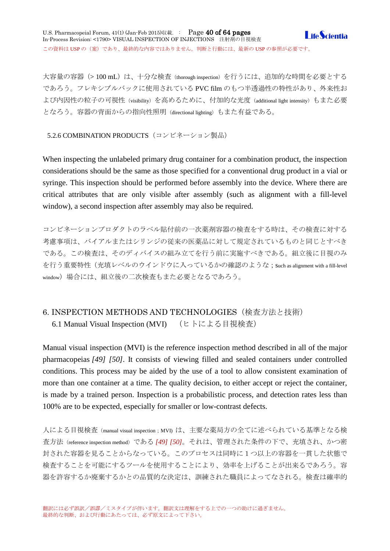大容量の容器(>100 mL)は、十分な検査(thorough inspection)を行うには、追加的な時間を必要とする であろう。フレキシブルバックに使用されている PVC film のもつ半透過性の特性があり、外来性お よび内因性の粒子の可視性(visibility)を高めるために、付加的な光度(additional light intensity)もまた必要 となろう。容器の背面からの指向性照明(directional lighting)もまた有益である。

<span id="page-39-0"></span>5.2.6 COMBINATION PRODUCTS (コンビネーション製品)

When inspecting the unlabeled primary drug container for a combination product, the inspection considerations should be the same as those specified for a conventional drug product in a vial or syringe. This inspection should be performed before assembly into the device. Where there are critical attributes that are only visible after assembly (such as alignment with a fill-level window), a second inspection after assembly may also be required.

コンビネーションプロダクトのラベル貼付前の一次薬剤容器の検査をする時は、その検査に対する 考慮事項は、バイアルまたはシリンジの従来の医薬品に対して規定されているものと同じとすべき である。この検査は、そのディバイスの組み立てを行う前に実施すべきである。組立後に目視のみ を行う重要特性(充填レベルのウインドウに入っているかの確認のような;such as alignment with a fill-level window)場合には、組立後の二次検査もまた必要となるであろう。

# <span id="page-39-2"></span><span id="page-39-1"></span>6. INSPECTION METHODS AND TECHNOLOGIES(検査方法と技術) 6.1 Manual Visual Inspection (MVI) (ヒトによる目視検査)

Manual visual inspection (MVI) is the reference inspection method described in all of the major pharmacopeias *[49] [50]*. It consists of viewing filled and sealed containers under controlled conditions. This process may be aided by the use of a tool to allow consistent examination of more than one container at a time. The quality decision, to either accept or reject the container, is made by a trained person. Inspection is a probabilistic process, and detection rates less than 100% are to be expected, especially for smaller or low-contrast defects.

人による目視検査 (manual visual inspection; MVI) は、主要な薬局方の全てに述べられている基準となる検 査方法(reference inspection method)である *[49] [50]*。それは、管理された条件の下で、充填され、かつ密 封された容器を見ることからなっている。このプロセスは同時に1つ以上の容器を一貫した状態で 検査することを可能にするツールを使用することにより、効率を上げることが出来るであろう。容 器を許容するか廃棄するかとの品質的な決定は、訓練された職員によってなされる。検査は確率的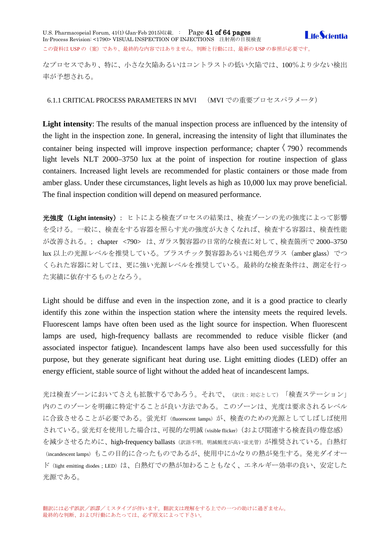U.S. Pharmacopeial Forum, 41(1) (Jan-Feb 2015)収載. : Page 41 of 64 pages In-Process Revision: <1790> VISUAL INSPECTION OF INJECTIONS 注射剤の目視検査 この資料は USP の (案)であり、最終的な内容ではありません。判断と行動には、最新の USP の参照が必要です。

**LifeScientia** 

なプロセスであり、特に、小さな欠陥あるいはコントラストの低い欠陥では、100%より少ない検出 率が予想される。

<span id="page-40-0"></span>6.1.1 CRITICAL PROCESS PARAMETERS IN MVI (MVI での重要プロセスパラメータ)

**Light intensity**: The results of the manual inspection process are influenced by the intensity of the light in the inspection zone. In general, increasing the intensity of light that illuminates the container being inspected will improve inspection performance: chapter  $\langle 790 \rangle$  recommends light levels NLT 2000–3750 lux at the point of inspection for routine inspection of glass containers. Increased light levels are recommended for plastic containers or those made from amber glass. Under these circumstances, light levels as high as 10,000 lux may prove beneficial. The final inspection condition will depend on measured performance.

光強度(**Light intensity**): ヒトによる検査プロセスの結果は、検査ゾーンの光の強度によって影響 を受ける。一般に、検査をする容器を照らす光の強度が大きくなれば、検査する容器は、検査性能 が改善される。; chapter <790> は、ガラス製容器の日常的な検査に対して、検査箇所で 2000–3750 lux 以上の光源レベルを推奨している。プラスチック製容器あるいは褐色ガラス (amber glass)でつ くられた容器に対しては、更に強い光源レベルを推奨している。最終的な検査条件は、測定を行っ た実績に依存するものとなろう。

Light should be diffuse and even in the inspection zone, and it is a good practice to clearly identify this zone within the inspection station where the intensity meets the required levels. Fluorescent lamps have often been used as the light source for inspection. When fluorescent lamps are used, high-frequency ballasts are recommended to reduce visible flicker (and associated inspector fatigue). Incandescent lamps have also been used successfully for this purpose, but they generate significant heat during use. Light emitting diodes (LED) offer an energy efficient, stable source of light without the added heat of incandescent lamps.

光は検査ゾーンにおいてさえも拡散するであろう。それで、(訳注:対応として)「検査ステーション」 内のこのゾーンを明確に特定することが良い方法である。このゾーンは、光度は要求されるレベル に合致させることが必要である。蛍光灯 (fluorescent lamps) が、検査のための光源としてしばしば使用 されている。蛍光灯を使用した場合は、可視的な明滅(visible flicker)(および関連する検査員の倦怠感) を減少させるために、high-frequency ballasts (訳語不明。明滅頻度が高い蛍光管)が推奨されている。白熱灯 (incandescent lamps)もこの目的に合ったものであるが、使用中にかなりの熱が発生する。発光ダイオー ド(light emitting diodes ; LED)は、白熱灯での熱が加わることもなく、エネルギー効率の良い、安定した 光源である。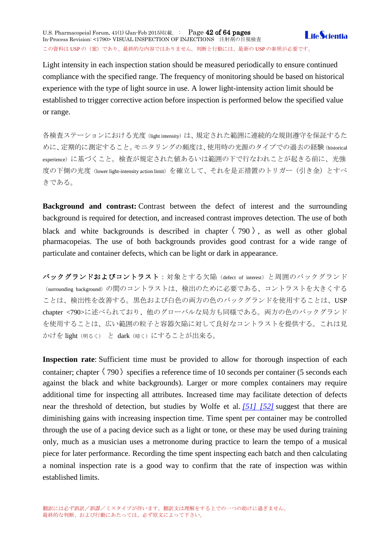U.S. Pharmacopeial Forum, 41(1) (Jan-Feb 2015)収載. : Page 42 of 64 pages In-Process Revision: <1790> VISUAL INSPECTION OF INJECTIONS 注射剤の目視検査 この資料は USP の (案)であり、最終的な内容ではありません。判断と行動には、最新の USP の参照が必要です。



Light intensity in each inspection station should be measured periodically to ensure continued compliance with the specified range. The frequency of monitoring should be based on historical experience with the type of light source in use. A lower light-intensity action limit should be established to trigger corrective action before inspection is performed below the specified value or range.

各検査ステーションにおける光度(light intensity)は、規定された範囲に連続的な規則遵守を保証するた めに、定期的に測定すること。モニタリングの頻度は、使用時の光源のタイプでの過去の経験(historical experience)に基づくこと。検査が規定された値あるいは範囲の下で行なわれことが起きる前に、光強 度の下側の光度(lower light-intensity action limit)を確立して、それを是正措置のトリガー(引き金)とすべ きである。

**Background and contrast:** Contrast between the defect of interest and the surrounding background is required for detection, and increased contrast improves detection. The use of both black and white backgrounds is described in chapter  $\langle 790 \rangle$ , as well as other global pharmacopeias. The use of both backgrounds provides good contrast for a wide range of particulate and container defects, which can be light or dark in appearance.

バックグランドおよびコントラスト:対象とする欠陥 (defect of interest) と周囲のバックグランド (surrounding background)の間のコントラストは、検出のために必要である、コントラストを大きくする ことは、検出性を改善する。黒色および白色の両方の色のバックグランドを使用することは、USP chapter <790>に述べられており、他のグローバルな局方も同様である。両方の色のバックグランド を使用することは、広い範囲の粒子と容器欠陥に対して良好なコントラストを提供する。これは見 かけを light (明るく) と dark (暗く) にすることが出来る。

**Inspection rate**: Sufficient time must be provided to allow for thorough inspection of each container; chapter  $\langle 790 \rangle$  specifies a reference time of 10 seconds per container (5 seconds each against the black and white backgrounds). Larger or more complex containers may require additional time for inspecting all attributes. Increased time may facilitate detection of defects near the threshold of detection, but studies by Wolfe et al. *[\[51\] \[52\]](http://www.usppf.com/pf/pub/data/v411/CHA_IPR_411_c1790.html%23CHA_IPR_411_c1790s62)* suggest that there are diminishing gains with increasing inspection time. Time spent per container may be controlled through the use of a pacing device such as a light or tone, or these may be used during training only, much as a musician uses a metronome during practice to learn the tempo of a musical piece for later performance. Recording the time spent inspecting each batch and then calculating a nominal inspection rate is a good way to confirm that the rate of inspection was within established limits.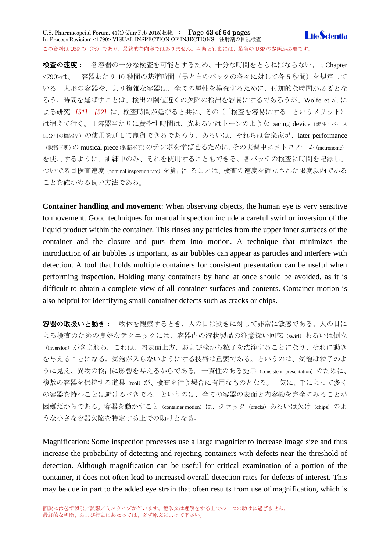U.S. Pharmacopeial Forum, 41(1) (Jan-Feb 2015)収載. : Page 43 of 64 pages **LifeScientia** In-Process Revision: <1790> VISUAL INSPECTION OF INJECTIONS 注射剤の目視検査 この資料は USP の (案) であり、最終的な内容ではありません。判断と行動には、最新の USP の参照が必要です。

検査の速度: 各容器の十分な検査を可能とするため、十分な時間をとらねばならない。; Chapter <790>は、1容器あたり 10 秒間の基準時間(黒と白のバックの各々に対して各 5 秒間)を規定して いる。大形の容器や、より複雑な容器は、全ての属性を検査するために、付加的な時間が必要とな ろう。時間を延ばすことは、検出の閾値近くの欠陥の検出を容易にするであろうが、Wolfe et al. に よる研究 *[51] [\[52\]](http://www.usppf.com/pf/pub/data/v411/CHA_IPR_411_c1790.html%23CHA_IPR_411_c1790s62)* は、検査時間が延びると共に、その(「検査を容易にする」というメリット) は消えて行く。1容器当たりに費やす時間は、光あるいはトーンのような pacing device (訳注:ペース 配分用の機器?)の使用を通して制御できるであろう。あるいは、それらは音楽家が、later performance (訳語不明)の musical piece(訳語不明)のテンポを学ばせるために、その実習中にメトロノーム(metronome) を使用するように、訓練中のみ、それを使用することもできる。各バッチの検査に時間を記録し、 ついで名目検査速度(nominal inspection rate)を算出することは、検査の速度を確立された限度以内である ことを確かめる良い方法である。

**Container handling and movement**: When observing objects, the human eye is very sensitive to movement. Good techniques for manual inspection include a careful swirl or inversion of the liquid product within the container. This rinses any particles from the upper inner surfaces of the container and the closure and puts them into motion. A technique that minimizes the introduction of air bubbles is important, as air bubbles can appear as particles and interfere with detection. A tool that holds multiple containers for consistent presentation can be useful when performing inspection. Holding many containers by hand at once should be avoided, as it is difficult to obtain a complete view of all container surfaces and contents. Container motion is also helpful for identifying small container defects such as cracks or chips.

容器の取扱いと動き: 物体を観察するとき、人の目は動きに対して非常に敏感である。人の目に よる検査のための良好なテクニックには、容器内の液状製品の注意深い回転(swirl)あるいは倒立 (inversion)が含まれる。これは、内表面上方、および栓から粒子を洗浄することになり、それに動き を与えることになる。気泡が入らないようにする技術は重要である。というのは、気泡は粒子のよ うに見え、異物の検出に影響を与えるからである。一貫性のある提示 (consistent presentation) のために、 複数の容器を保持する道具(tool)が、検査を行う場合に有用なものとなる。一気に、手によって多く の容器を持つことは避けるべきでる。というのは、全ての容器の表面と内容物を完全にみることが 困難だからである。容器を動かすこと (container motion) は、クラック (cracks) あるいは欠け (chips) のよ うな小さな容器欠陥を特定する上での助けとなる。

Magnification: Some inspection processes use a large magnifier to increase image size and thus increase the probability of detecting and rejecting containers with defects near the threshold of detection. Although magnification can be useful for critical examination of a portion of the container, it does not often lead to increased overall detection rates for defects of interest. This may be due in part to the added eye strain that often results from use of magnification, which is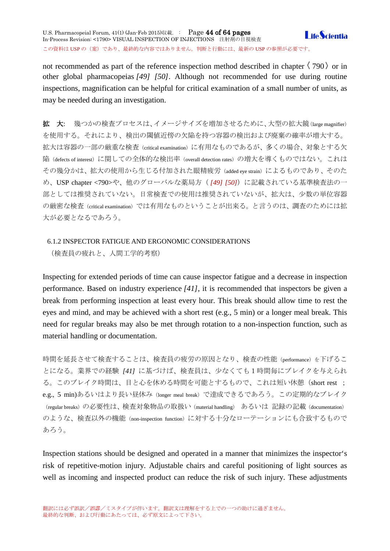not recommended as part of the reference inspection method described in chapter  $\langle 790 \rangle$  or in other global pharmacopeias *[49] [50]*. Although not recommended for use during routine inspections, magnification can be helpful for critical examination of a small number of units, as may be needed during an investigation.

拡 大: 幾つかの検査プロセスは、イメージサイズを増加させるために、大型の拡大鏡(large magnifier) を使用する。それにより、検出の閾値近傍の欠陥を持つ容器の検出および廃棄の確率が増大する。 拡大は容器の一部の厳重な検査(critical examination)に有用なものであるが、多くの場合、対象とする欠 陥(defects of interest)に関しての全体的な検出率(overall detection rates)の増大を導くものではない。これは その幾分かは、拡大の使用から生じる付加された眼精疲労(added eye strain)によるものであり、そのた め、USP chapter <790>や、他のグローバルな薬局方( *[49] [50]*)に記載されている基準検査法の一 部としては推奨されていない。日常検査での使用は推奨されていないが、拡大は、少数の単位容器 の厳密な検査(critical examination)では有用なものということが出来る。と言うのは、調査のためには拡 大が必要となるであろう。

# <span id="page-43-0"></span>6.1.2 INSPECTOR FATIGUE AND ERGONOMIC CONSIDERATIONS

(検査員の疲れと、人間工学的考察)

Inspecting for extended periods of time can cause inspector fatigue and a decrease in inspection performance. Based on industry experience *[41]*, it is recommended that inspectors be given a break from performing inspection at least every hour. This break should allow time to rest the eyes and mind, and may be achieved with a short rest (e.g., 5 min) or a longer meal break. This need for regular breaks may also be met through rotation to a non-inspection function, such as material handling or documentation.

時間を延長させて検査することは、検査員の疲労の原因となり、検査の性能(performance)を下げるこ とになる。業界での経験 *[41]* に基づけば、検査員は、少なくても1時間毎にブレイクを与えられ る。このブレイク時間は、目と心を休める時間を可能とするもので、これは短い休憩(short rest ; e.g., 5 min)あるいはより長い昼休み(longer meal break)で達成できるであろう。この定期的なブレイク (regular breaks)の必要性は、検査対象物品の取扱い (material handling) あるいは 記録の記載 (documentation) のような、検査以外の機能 (non-inspection function) に対する十分なローテーションにも合致するもので あろう。

Inspection stations should be designed and operated in a manner that minimizes the inspector's risk of repetitive-motion injury. Adjustable chairs and careful positioning of light sources as well as incoming and inspected product can reduce the risk of such injury. These adjustments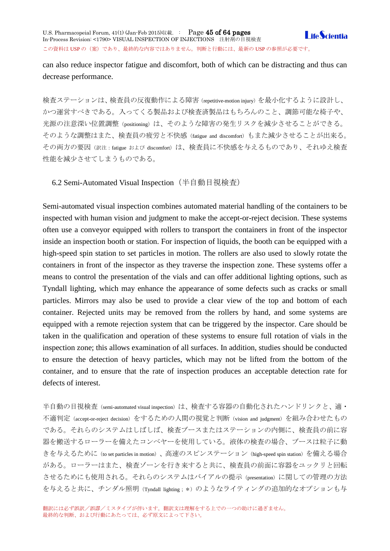can also reduce inspector fatigue and discomfort, both of which can be distracting and thus can

検査ステーションは、検査員の反復動作による障害(repetitive-motion injury)を最小化するように設計し、 かつ運営すべきである。入ってくる製品および検査済製品はもちろんのこと、調節可能な椅子や、 光源の注意深い位置調整 (positioning) は、そのような障害の発生リスクを減少させることができる。 そのような調整はまた、検査員の疲労と不快感(fatigue and discomfort)もまた減少させることが出来る。 その両方の要因(訳注:fatigue および discomfort)は、検査員に不快感を与えるものであり、それゆえ検査 性能を減少させてしまうものである。

<span id="page-44-0"></span>6.2 Semi-Automated Visual Inspection(半自動目視検査)

decrease performance.

Semi-automated visual inspection combines automated material handling of the containers to be inspected with human vision and judgment to make the accept-or-reject decision. These systems often use a conveyor equipped with rollers to transport the containers in front of the inspector inside an inspection booth or station. For inspection of liquids, the booth can be equipped with a high-speed spin station to set particles in motion. The rollers are also used to slowly rotate the containers in front of the inspector as they traverse the inspection zone. These systems offer a means to control the presentation of the vials and can offer additional lighting options, such as Tyndall lighting, which may enhance the appearance of some defects such as cracks or small particles. Mirrors may also be used to provide a clear view of the top and bottom of each container. Rejected units may be removed from the rollers by hand, and some systems are equipped with a remote rejection system that can be triggered by the inspector. Care should be taken in the qualification and operation of these systems to ensure full rotation of vials in the inspection zone; this allows examination of all surfaces. In addition, studies should be conducted to ensure the detection of heavy particles, which may not be lifted from the bottom of the container, and to ensure that the rate of inspection produces an acceptable detection rate for defects of interest.

半自動の目視検査 (semi-automated visual inspection) は、検査する容器の自動化されたハンドリンクと、適· 不適判定(accept-or-reject decision)をするための人間の視覚と判断(vision and judgment)を組み合わせたもの である。それらのシステムはしばしば、検査ブースまたはステーションの内側に、検査員の前に容 器を搬送するローラーを備えたコンベヤーを使用している。液体の検査の場合、ブースは粒子に動 きを与えるために(to set particles in motion)、高速のスピンステーション(high-speed spin station)を備える場合 がある。ローラーはまた、検査ゾーンを行き来すると共に、検査員の前面に容器をユックリと回転 させるためにも使用される。それらのシステムはバイアルの提示(presentation)に関しての管理の方法 を与えると共に、チンダル照明 (Tyndall lighting; \*) のようなライティングの追加的なオプションも与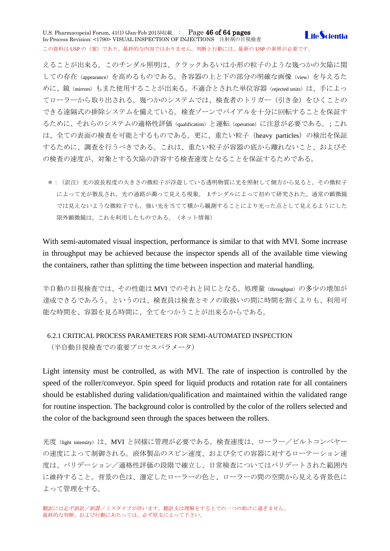U.S. Pharmacopeial Forum, 41(1) (Jan-Feb 2015)収載. : Page 46 of 64 pages **I** ife *Scientia* In-Process Revision: <1790> VISUAL INSPECTION OF INJECTIONS 注射剤の目視検査 この資料は USP の(案)であり、最終的な内容ではありません。判断と行動には、最新の USP の参照が必要です。

えることが出来る。このチンダル照明は、クラックあるいは小形の粒子のような幾つかの欠陥に関 しての存在(appearance)を高めるものである。各容器の上と下の部分の明確な画像(view)を与えるた めに、鏡 (mirrors) もまた使用することが出来る。不適合とされた単位容器 (rejected units) は、手によっ てローラーから取り出される。幾つかのシステムでは、検査者のトリガー(引き金)をひくことの できる遠隔式の排除システムを備えている。検査ゾーンでバイアルを十分に回転することを保証す るために、それらのシステムの適格性評価(qualification)と運転(operation)に注意が必要である。;これ は、全ての表面の検査を可能とするものである。更に、重たい粒子 (heavy particles) の検出を保証 するために、調査を行うべきである。これは、重たい粒子が容器の底から離れないこと、およびそ の検査の速度が、対象とする欠陥の許容する検査速度となることを保証するためである。

\*:(訳注)光の波長程度の大きさの微粒子が浮遊している透明物質に光を照射して側方から見ると,その微粒子 によって光が散乱され,光の通路が濁って見える現象。 J.チンダルによって初めて研究された。通常の顕微鏡 では見えないような微粒子でも、強い光を当てて横から観測することにより光った点として見えるようにした 限外顕微鏡は,これを利用したものである。(ネット情報)

With semi-automated visual inspection, performance is similar to that with MVI. Some increase in throughput may be achieved because the inspector spends all of the available time viewing the containers, rather than splitting the time between inspection and material handling.

半自動の目視検査では、その性能は MVI でのそれと同じとなる。処理量(throughput) の多少の増加が 達成できるであろう。というのは、検査員は検査とモノの取扱いの間に時間を割くよりも、利用可 能な時間を、容器を見る時間に、全てをつかうことが出来るからである。

# <span id="page-45-0"></span>6.2.1 CRITICAL PROCESS PARAMETERS FOR SEMI-AUTOMATED INSPECTION

(半自動目視検査での重要プロセスパラメータ)

Light intensity must be controlled, as with MVI. The rate of inspection is controlled by the speed of the roller/conveyor. Spin speed for liquid products and rotation rate for all containers should be established during validation/qualification and maintained within the validated range for routine inspection. The background color is controlled by the color of the rollers selected and the color of the background seen through the spaces between the rollers.

光度(light intensity)は、MVI と同様に管理が必要である。検査速度は、ローラー/ビルトコンベヤー の速度によって制御される。液体製品のスピン速度、および全ての容器に対するローテーション速 度は、バリデーション/適格性評価の段階で確立し、日常検査についてはバリデートされた範囲内 に維持すること。背景の色は、選定したローラーの色と、ローラーの間の空間から見える背景色に よって管理をする。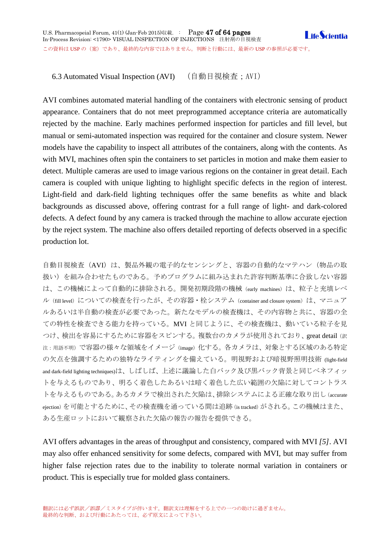<span id="page-46-0"></span>6.3 Automated Visual Inspection (AVI) (自動目視検査;AVI)

AVI combines automated material handling of the containers with electronic sensing of product appearance. Containers that do not meet preprogrammed acceptance criteria are automatically rejected by the machine. Early machines performed inspection for particles and fill level, but manual or semi-automated inspection was required for the container and closure system. Newer models have the capability to inspect all attributes of the containers, along with the contents. As with MVI, machines often spin the containers to set particles in motion and make them easier to detect. Multiple cameras are used to image various regions on the container in great detail. Each camera is coupled with unique lighting to highlight specific defects in the region of interest. Light-field and dark-field lighting techniques offer the same benefits as white and black backgrounds as discussed above, offering contrast for a full range of light- and dark-colored defects. A defect found by any camera is tracked through the machine to allow accurate ejection by the reject system. The machine also offers detailed reporting of defects observed in a specific production lot.

自動目視検査 (AVI) は、製品外観の電子的なセンシングと、容器の自動的なマテハン(物品の取 扱い)を組み合わせたものである。予めプログラムに組み込まれた許容判断基準に合致しない容器 は、この機械によって自動的に排除される。開発初期段階の機械 (early machines) は、粒子と充填レベ ル(fill level)についての検査を行ったが、その容器・栓システム (container and closure system)は、マニュア ルあるいは半自動の検査が必要であった。新たなモデルの検査機は、その内容物と共に、容器の全 ての特性を検査できる能力を持っている。MVI と同じように、その検査機は、動いている粒子を見 つけ、検出を容易にするために容器をスピンする。複数台のカメラが使用されており、great detail (訳 注: 用語不明)で容器の様々な領域をイメージ(image)化する。各カメラは、対象とする区域のある特定 の欠点を強調するための独特なライティングを備えている。明視野および暗視野照明技術 (light-field and dark-field lighting techniques)は、しばしば、上述に議論した白バック及び黒バック背景と同じベネフィッ トを与えるものであり、明るく着色したあるいは暗く着色した広い範囲の欠陥に対してコントラス トを与えるものである。あるカメラで検出された欠陥は、排除システムによる正確な取り出し(accurate ejection)を可能とするために、その検査機を通っている間は追跡(is tracked)がされる。この機械はまた、 ある生産ロットにおいて観察された欠陥の報告の報告を提供できる。

AVI offers advantages in the areas of throughput and consistency, compared with MVI *[5]*. AVI may also offer enhanced sensitivity for some defects, compared with MVI, but may suffer from higher false rejection rates due to the inability to tolerate normal variation in containers or product. This is especially true for molded glass containers.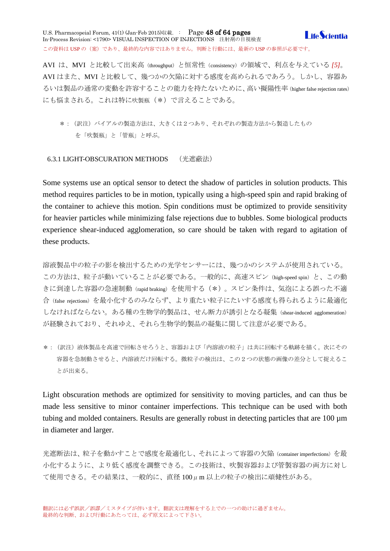U.S. Pharmacopeial Forum, 41(1) (Jan-Feb 2015)収載. : Page 48 of 64 pages **I** ife *Scientia* In-Process Revision: <1790> VISUAL INSPECTION OF INJECTIONS 注射剤の目視検査 この資料は USP の (案)であり、最終的な内容ではありません。判断と行動には、最新の USP の参照が必要です。

AVI は、MVI と比較して出来高(throughput)と恒常性(consistency)の領域で、利点を与えている *[5]*。 AVI はまた、MVI と比較して、幾つかの欠陥に対する感度を高められるであろう。しかし、容器あ るいは製品の通常の変動を許容することの能力を持たないために、高い擬陽性率(higher false rejection rates) にも悩まされる。これは特に吹製瓶(\*)で言えることである。

\*:(訳注)バイアルの製造方法は、大きくは2つあり、それぞれの製造方法から製造したもの を「吹製瓶」と「管瓶」と呼ぶ。

### <span id="page-47-0"></span>6.3.1 LIGHT-OBSCURATION METHODS (光遮蔽法)

Some systems use an optical sensor to detect the shadow of particles in solution products. This method requires particles to be in motion, typically using a high-speed spin and rapid braking of the container to achieve this motion. Spin conditions must be optimized to provide sensitivity for heavier particles while minimizing false rejections due to bubbles. Some biological products experience shear-induced agglomeration, so care should be taken with regard to agitation of these products.

溶液製品中の粒子の影を検出するための光学センサーには、幾つかのシステムが使用されている。 この方法は、粒子が動いていることが必要である。一般的に、高速スピン(high-speed spin)と、この動 きに到達した容器の急速制動(rapid braking)を使用する(\*)。スピン条件は、気泡による誤った不適 合(false rejections)を最小化するのみならず、より重たい粒子にたいする感度も得られるように最適化 しなければならない。ある種の生物学的製品は、せん断力が誘引となる凝集(shear-induced agglomeration) が経験されており、それゆえ、それら生物学的製品の凝集に関して注意が必要である。

\*:(訳注)液体製品を高速で回転させろうと、容器および「内溶液の粒子」は共に回転する軌跡を描く。次にその 容器を急制動させると、内溶液だけ回転する。微粒子の検出は、この2つの状態の画像の差分として捉えるこ とが出来る。

Light obscuration methods are optimized for sensitivity to moving particles, and can thus be made less sensitive to minor container imperfections. This technique can be used with both tubing and molded containers. Results are generally robust in detecting particles that are 100 µm in diameter and larger.

光遮断法は、粒子を動かすことで感度を最適化し、それによって容器の欠陥(container imperfections)を最 小化するように、より低く感度を調整できる。この技術は、吹製容器および管製容器の両方に対し て使用できる。その結果は、一般的に、直径 100μm 以上の粒子の検出に頑健性がある。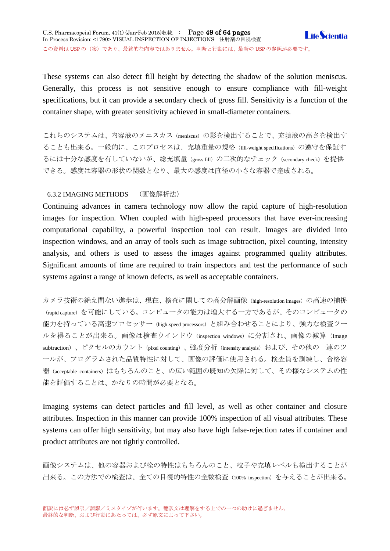These systems can also detect fill height by detecting the shadow of the solution meniscus. Generally, this process is not sensitive enough to ensure compliance with fill-weight specifications, but it can provide a secondary check of gross fill. Sensitivity is a function of the container shape, with greater sensitivity achieved in small-diameter containers.

これらのシステムは、内容液のメニスカス(meniscus)の影を検出することで、充填液の高さを検出す ることも出来る。一般的に、このプロセスは、充填重量の規格(fill-weight specifications)の遵守を保証す るには十分な感度を有していないが、総充填量(gross fill)の二次的なチェック (secondary check)を提供 できる。感度は容器の形状の関数となり、最大の感度は直径の小さな容器で達成される。

# <span id="page-48-0"></span>6.3.2 IMAGING METHODS (画像解析法)

Continuing advances in camera technology now allow the rapid capture of high-resolution images for inspection. When coupled with high-speed processors that have ever-increasing computational capability, a powerful inspection tool can result. Images are divided into inspection windows, and an array of tools such as image subtraction, pixel counting, intensity analysis, and others is used to assess the images against programmed quality attributes. Significant amounts of time are required to train inspectors and test the performance of such systems against a range of known defects, as well as acceptable containers.

カメラ技術の絶え間ない進歩は、現在、検査に関しての高分解画像 (high-resolution images) の高速の捕捉 (rapid capture)を可能にしている。コンピュータの能力は増大する一方であるが、そのコンピュータの 能力を持っている高速プロセッサー(high-speed processors)と組み合わせることにより、強力な検査ツー ルを得ることが出来る。画像は検査ウインドウ(inspection windows)に分割され、画像の減算(image subtraction)、ピクセルのカウント(pixel counting)、強度分析(intensity analysis)および、その他の一連のツ ールが、プログラムされた品質特性に対して、画像の評価に使用される。検査員を訓練し、合格容 器(acceptable containers)はもちろんのこと、の広い範囲の既知の欠陥に対して、その様なシステムの性 能を評価することは、かなりの時間が必要となる。

Imaging systems can detect particles and fill level, as well as other container and closure attributes. Inspection in this manner can provide 100% inspection of all visual attributes. These systems can offer high sensitivity, but may also have high false-rejection rates if container and product attributes are not tightly controlled.

画像システムは、他の容器および栓の特性はもちろんのこと、粒子や充填レベルも検出することが 出来る。この方法での検査は、全ての目視的特性の全数検査(100% inspection)を与えることが出来る。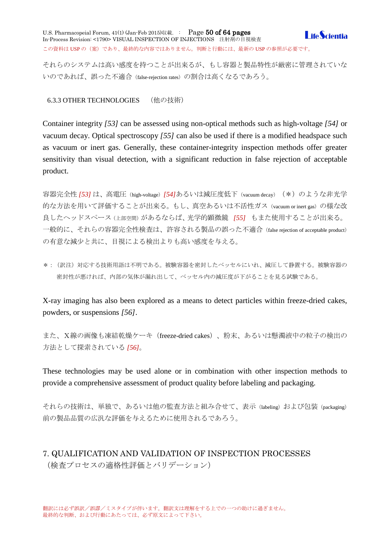U.S. Pharmacopeial Forum, 41(1) (Jan-Feb 2015)収載. : Page 50 of 64 pages **I** ife Scientia In-Process Revision: <1790> VISUAL INSPECTION OF INJECTIONS 注射剤の目視検査 この資料は USP の (案)であり、最終的な内容ではありません。判断と行動には、最新の USP の参照が必要です。

それらのシステムは高い感度を持つことが出来るが、もし容器と製品特性が厳密に管理されていな いのであれば、誤った不適合(false-rejection rates)の割合は高くなるであろう。

<span id="page-49-0"></span>6.3.3 OTHER TECHNOLOGIES (他の技術)

Container integrity *[53]* can be assessed using non-optical methods such as high-voltage *[54]* or vacuum decay. Optical spectroscopy *[55]* can also be used if there is a modified headspace such as vacuum or inert gas. Generally, these container-integrity inspection methods offer greater sensitivity than visual detection, with a significant reduction in false rejection of acceptable product.

容器完全性 *[53]* は、高電圧(high-voltage)*[54]*あるいは減圧度低下(vacuum decay)(\*)のような非光学 的な方法を用いて評価することが出来る。もし、真空あるいは不活性ガス(vacuum or inert gas)の様な改 良したヘッドスペース(上部空間)があるならば、光学的顕微鏡 *[55]* もまた使用することが出来る。 一般的に、それらの容器完全性検査は、許容される製品の誤った不適合(false rejection of acceptable product) の有意な減少と共に、目視による検出よりも高い感度を与える。

\*:(訳注)対応する技術用語は不明である。被験容器を密封したベッセルにいれ、減圧して静置する。被験容器の 密封性が悪ければ、内部の気体が漏れ出して、ベッセル内の減圧度が下がることを見る試験である。

X-ray imaging has also been explored as a means to detect particles within freeze-dried cakes, powders, or suspensions *[56]*.

また、X線の画像も凍結乾燥ケーキ (freeze-dried cakes)、粉末、あるいは懸濁液中の粒子の検出の 方法として探索されている *[56]*。

These technologies may be used alone or in combination with other inspection methods to provide a comprehensive assessment of product quality before labeling and packaging.

それらの技術は、単独で、あるいは他の監査方法と組み合せて、表示 (labeling) および包装 (packaging) 前の製品品質の広汎な評価を与えるために使用されるであろう。

# <span id="page-49-1"></span>7. QUALIFICATION AND VALIDATION OF INSPECTION PROCESSES (検査プロセスの適格性評価とバリデーション)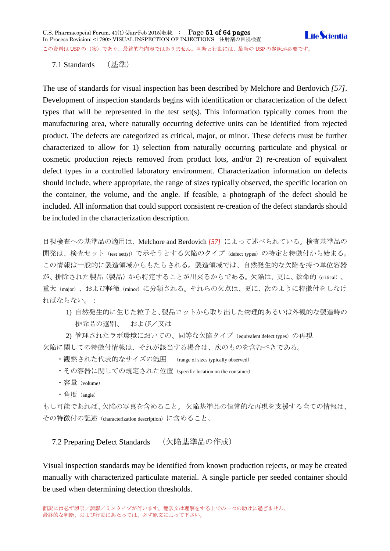U.S. Pharmacopeial Forum, 41(1) (Jan-Feb 2015)収載. : Page 51 of 64 pages **I** ife *Scientia* In-Process Revision: <1790> VISUAL INSPECTION OF INJECTIONS 注射剤の目視検査 この資料は USP の (案)であり、最終的な内容ではありません。判断と行動には、最新の USP の参照が必要です。

<span id="page-50-0"></span>7.1 Standards (基準)

The use of standards for visual inspection has been described by Melchore and Berdovich *[57]*. Development of inspection standards begins with identification or characterization of the defect types that will be represented in the test set(s). This information typically comes from the manufacturing area, where naturally occurring defective units can be identified from rejected product. The defects are categorized as critical, major, or minor. These defects must be further characterized to allow for 1) selection from naturally occurring particulate and physical or cosmetic production rejects removed from product lots, and/or 2) re-creation of equivalent defect types in a controlled laboratory environment. Characterization information on defects should include, where appropriate, the range of sizes typically observed, the specific location on the container, the volume, and the angle. If feasible, a photograph of the defect should be included. All information that could support consistent re-creation of the defect standards should be included in the characterization description.

目視検査への基準品の適用は、Melchore and Berdovich *[57]* によって述べられている。検査基準品の 開発は、検査セット (test set(s)) で示そうとする欠陥のタイプ (defect types) の特定と特徴付から始まる。 この情報は一般的に製造領域からもたらされる。製造領域では、自然発生的な欠陥を持つ単位容器 が、排除された製品(製品)から特定することが出来るからである。欠陥は、更に、致命的(critical)、 重大(major)、および軽微(minor)に分類される。それらの欠点は、更に、次のように特徴付をしなけ ればならない。:

1) 自然発生的に生じた粒子と、製品ロットから取り出した物理的あるいは外観的な製造時の 排除品の選別、 および/又は

2) 管理されたラボ環境においての、同等な欠陥タイプ (equivalent defect types) の再現 欠陥に関しての特徴付情報は、それが該当する場合は、次のものを含むべきである。

・観察された代表的なサイズの範囲 (range of sizes typically observed)

- ・その容器に関しての規定された位置 (specific location on the container)
- ・容量(volume)
- ・角度(angle)

もし可能であれば、欠陥の写真を含めること。欠陥基準品の恒常的な再現を支援する全ての情報は、 その特徴付の記述(characterization description)に含めること。

<span id="page-50-1"></span>7.2 Preparing Defect Standards (欠陥基準品の作成)

Visual inspection standards may be identified from known production rejects, or may be created manually with characterized particulate material. A single particle per seeded container should be used when determining detection thresholds.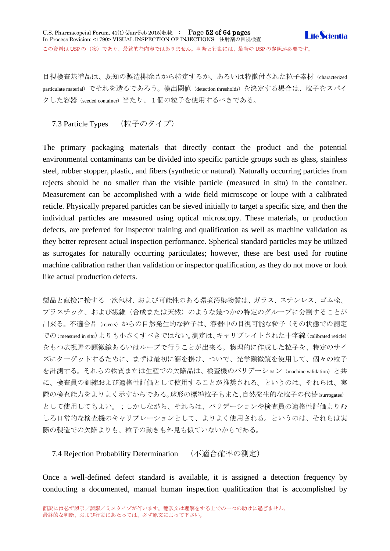目視検査基準品は、既知の製造排除品から特定するか、あるいは特徴付された粒子素材(characterized particulate material)でそれを造るであろう。検出閾値 (detection thresholds) を決定する場合は、粒子をスパイ クした容器(seeded container)当たり、1個の粒子を使用するべきである。

<span id="page-51-0"></span>7.3 Particle Types (粒子のタイプ)

The primary packaging materials that directly contact the product and the potential environmental contaminants can be divided into specific particle groups such as glass, stainless steel, rubber stopper, plastic, and fibers (synthetic or natural). Naturally occurring particles from rejects should be no smaller than the visible particle (measured in situ) in the container. Measurement can be accomplished with a wide field microscope or loupe with a calibrated reticle. Physically prepared particles can be sieved initially to target a specific size, and then the individual particles are measured using optical microscopy. These materials, or production defects, are preferred for inspector training and qualification as well as machine validation as they better represent actual inspection performance. Spherical standard particles may be utilized as surrogates for naturally occurring particulates; however, these are best used for routine machine calibration rather than validation or inspector qualification, as they do not move or look like actual production defects.

製品と直接に接する一次包材、および可能性のある環境汚染物質は、ガラス、ステンレス、ゴム栓、 プラスチック、および繊維(合成または天然)のような幾つかの特定のグルーブに分割することが 出来る。不適合品(rejects)からの自然発生的な粒子は、容器中の目視可能な粒子(その状態での測定 での:measured in situ)よりも小さくすべきではない。測定は、キャリブレイトされた十字線(calibrated reticle) をもつ広視野の顕微鏡あるいはループで行うことが出来る。物理的に作成した粒子を、特定のサイ ズにターゲットするために、まずは最初に篩を掛け、ついで、光学顕微鏡を使用して、個々の粒子 を計測する。それらの物質または生産での欠陥品は、検査機のバリデーション (machine validation) と共 に、検査員の訓練および適格性評価として使用することが推奨される。というのは、それらは、実 際の検査能力をよりよく示すからである。球形の標準粒子もまた、自然発生的な粒子の代替(surrogates) として使用してもよい。;しかしながら、それらは、バリデーションや検査員の適格性評価よりむ しろ日常的な検査機のキャリブレーションとして、よりよく使用される。というのは、それらは実 際の製造での欠陥よりも、粒子の動きも外見も似ていないからである。

<span id="page-51-1"></span>7.4 Rejection Probability Determination (不適合確率の測定)

Once a well-defined defect standard is available, it is assigned a detection frequency by conducting a documented, manual human inspection qualification that is accomplished by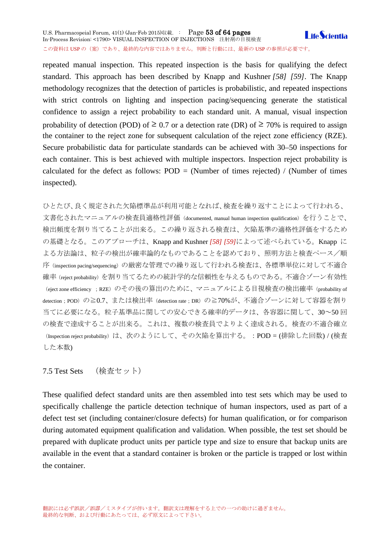### U.S. Pharmacopeial Forum, 41(1) (Jan-Feb 2015)収載. : Page 53 of 64 pages **LifeScientia** In-Process Revision: <1790> VISUAL INSPECTION OF INJECTIONS 注射剤の目視検査 この資料は USP の (案)であり、最終的な内容ではありません。判断と行動には、最新の USP の参照が必要です。

repeated manual inspection. This repeated inspection is the basis for qualifying the defect standard. This approach has been described by Knapp and Kushner *[58] [59]*. The Knapp methodology recognizes that the detection of particles is probabilistic, and repeated inspections with strict controls on lighting and inspection pacing/sequencing generate the statistical confidence to assign a reject probability to each standard unit. A manual, visual inspection probability of detection (POD) of  $\geq 0.7$  or a detection rate (DR) of  $\geq 70\%$  is required to assign the container to the reject zone for subsequent calculation of the reject zone efficiency (RZE). Secure probabilistic data for particulate standards can be achieved with 30–50 inspections for each container. This is best achieved with multiple inspectors. Inspection reject probability is calculated for the defect as follows:  $POD = (Number of times rejected) / (Number of times)$ inspected).

ひとたび、良く規定された欠陥標準品が利用可能となれば、検査を繰り返すことによって行われる、 文書化されたマニュアルの検査員適格性評価(documented, manual human inspection qualification)を行うことで、 検出頻度を割り当てることが出来る。この繰り返される検査は、欠陥基準の適格性評価をするため の基礎となる。このアプローチは、Knapp and Kushner *[58] [59]*によって述べられている。Knapp に よる方法論は、粒子の検出が確率論的なものであることを認めており、照明方法と検査ペース/順 序(inspection pacing/sequencing)の厳密な管理での繰り返して行われる検査は、各標準単位に対して不適合 確率(reject probability)を割り当てるための統計学的な信頼性を与えるものである。不適合ゾーン有効性 (eject zone efficiency ; RZE)のその後の算出のために、マニュアルによる目視検査の検出確率(probability of detection; POD)の≧0.7、または検出率 (detection rate;DR)の≧70%が、不適合ゾーンに対して容器を割り 当てに必要になる。粒子基準品に関しての安心できる確率的データは、各容器に関して、30~50 回 の検査で達成することが出来る。これは、複数の検査員でよりよく達成される。検査の不適合確立 (Inspection reject probability)は、次のようにして、その欠陥を算出する。: POD = (排除した回数) / (検査 した本数)

7.5 Test Sets (検査セット)

These qualified defect standard units are then assembled into test sets which may be used to specifically challenge the particle detection technique of human inspectors, used as part of a defect test set (including container/closure defects) for human qualification, or for comparison during automated equipment qualification and validation. When possible, the test set should be prepared with duplicate product units per particle type and size to ensure that backup units are available in the event that a standard container is broken or the particle is trapped or lost within the container.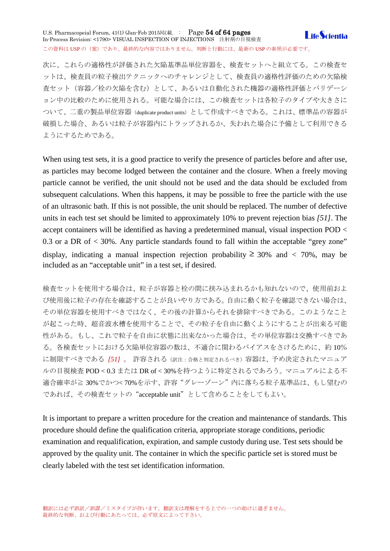U.S. Pharmacopeial Forum, 41(1) (Jan-Feb 2015)収載. : Page 54 of 64 pages **I** ife *Scientia* In-Process Revision: <1790> VISUAL INSPECTION OF INJECTIONS 注射剤の目視検査 この資料は USP の (案)であり、最終的な内容ではありません。判断と行動には、最新の USP の参照が必要です。

次に、これらの適格性が評価された欠陥基準品単位容器を、検査セットへと組立てる。この検査セ ットは、検査員の粒子検出テクニックへのチャレンジとして、検査員の適格性評価のための欠陥検 査セット(容器/栓の欠陥を含む)として、あるいは自動化された機器の適格性評価とバリデーシ ョン中の比較のために使用される。可能な場合には、この検査セットは各粒子のタイプや大きさに ついて、二重の製品単位容器(duplicate product units)として作成すべきである。これは、標準品の容器が 破損した場合、あるいは粒子が容器内にトラップされるか、失われた場合に予備として利用できる ようにするためである。

When using test sets, it is a good practice to verify the presence of particles before and after use, as particles may become lodged between the container and the closure. When a freely moving particle cannot be verified, the unit should not be used and the data should be excluded from subsequent calculations. When this happens, it may be possible to free the particle with the use of an ultrasonic bath. If this is not possible, the unit should be replaced. The number of defective units in each test set should be limited to approximately 10% to prevent rejection bias *[51]*. The accept containers will be identified as having a predetermined manual, visual inspection POD < 0.3 or a DR of < 30%. Any particle standards found to fall within the acceptable "grey zone" display, indicating a manual inspection rejection probability  $\geq 30\%$  and  $\lt$  70%, may be included as an "acceptable unit" in a test set, if desired.

検査セットを使用する場合は、粒子が容器と栓の間に挟み込まれるかも知れないので、使用前およ び使用後に粒子の存在を確認することが良いやり方である。自由に動く粒子を確認できない場合は、 その単位容器を使用すべきではなく、その後の計算からそれを排除すべきである。このようなこと が起こった時、超音波水槽を使用することで、その粒子を自由に動くようにすることが出来る可能 性がある。もし、これで粒子を自由に状態に出来なかった場合は、その単位容器は交換すべきであ る。各検査セットにおける欠陥単位容器の数は、不適合に関わるバイアスをさけるために、約 10% に制限すべきである *[51]* 。 許容される(訳注:合格と判定されるべき)容器は、予め決定されたマニュア ルの目視検査 POD < 0.3 または DR of < 30%を持つように特定されるであろう。マニュアルによる不 適合確率が≧ 30%でかつく70%を示す、許容"グレーゾーン"内に落ちる粒子基準品は、もし望むの であれば、その検査セットの"acceptable unit"として含めることをしてもよい。

It is important to prepare a written procedure for the creation and maintenance of standards. This procedure should define the qualification criteria, appropriate storage conditions, periodic examination and requalification, expiration, and sample custody during use. Test sets should be approved by the quality unit. The container in which the specific particle set is stored must be clearly labeled with the test set identification information.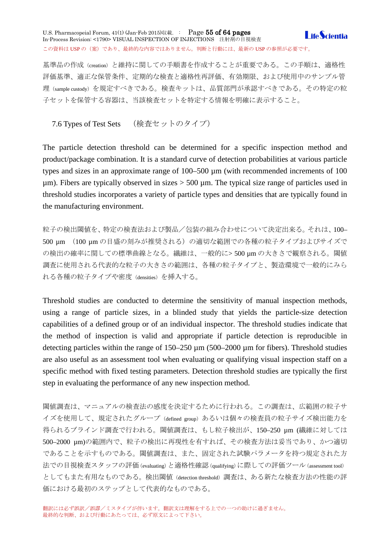### U.S. Pharmacopeial Forum, 41(1) (Jan-Feb 2015)収載. : Page 55 of 64 pages **I** ife *Scientia* In-Process Revision: <1790> VISUAL INSPECTION OF INJECTIONS 注射剤の目視検査 この資料は USP の (案)であり、最終的な内容ではありません。判断と行動には、最新の USP の参照が必要です。

基準品の作成(creation)と維持に関しての手順書を作成することが重要である。この手順は、適格性 評価基準、適正な保管条件、定期的な検査と適格性再評価、有効期限、および使用中のサンプル管 理(sample custody)を規定すべきである。検査キットは、品質部門が承認すべきである。その特定の粒 子セットを保管する容器は、当該検査セットを特定する情報を明確に表示すること。

<span id="page-54-0"></span>7.6 Types of Test Sets (検査セットのタイプ)

The particle detection threshold can be determined for a specific inspection method and product/package combination. It is a standard curve of detection probabilities at various particle types and sizes in an approximate range of 100–500 µm (with recommended increments of 100  $\mu$ m). Fibers are typically observed in sizes  $>$  500  $\mu$ m. The typical size range of particles used in threshold studies incorporates a variety of particle types and densities that are typically found in the manufacturing environment.

粒子の検出閾値を、特定の検査法および製品/包装の組み合わせについて決定出来る。それは、100– 500 um (100 um の目盛の刻みが推奨される)の適切な範囲での各種の粒子タイプおよびサイズで の検出の確率に関しての標準曲線となる。繊維は、一般的に> 500 µm の大きさで観察される。閾値 調査に使用される代表的な粒子の大きさの範囲は、各種の粒子タイプと、製造環境で一般的にみら れる各種の粒子タイプや密度(densities)を挿入する。

Threshold studies are conducted to determine the sensitivity of manual inspection methods, using a range of particle sizes, in a blinded study that yields the particle-size detection capabilities of a defined group or of an individual inspector. The threshold studies indicate that the method of inspection is valid and appropriate if particle detection is reproducible in detecting particles within the range of 150–250  $\mu$ m (500–2000  $\mu$ m for fibers). Threshold studies are also useful as an assessment tool when evaluating or qualifying visual inspection staff on a specific method with fixed testing parameters. Detection threshold studies are typically the first step in evaluating the performance of any new inspection method.

閾値調査は、マニュアルの検査法の感度を決定するために行われる。この調査は、広範囲の粒子サ イズを使用して、規定されたグループ (defined group)あるいは個々の検査員の粒子サイズ検出能力を 得られるブラインド調査で行われる。閾値調査は、もし粒子検出が、150–250 µm (繊維に対しては 500–2000 µm)の範囲内で、粒子の検出に再現性を有すれば、その検査方法は妥当であり、かつ適切 であることを示すものである。閾値調査は、また、固定された試験パラメータを持つ規定された方 法での目視検査スタッフの評価(evaluating)と適格性確認(qualifying)に際しての評価ツール (assessment tool) としてもまた有用なものである。検出閾値(detection threshold)調査は、ある新たな検査方法の性能の評 価における最初のステップとして代表的なものである。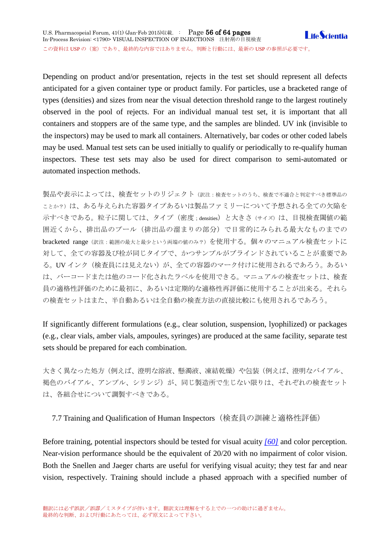Depending on product and/or presentation, rejects in the test set should represent all defects anticipated for a given container type or product family. For particles, use a bracketed range of types (densities) and sizes from near the visual detection threshold range to the largest routinely observed in the pool of rejects. For an individual manual test set, it is important that all containers and stoppers are of the same type, and the samples are blinded. UV ink (invisible to the inspectors) may be used to mark all containers. Alternatively, bar codes or other coded labels may be used. Manual test sets can be used initially to qualify or periodically to re-qualify human inspectors. These test sets may also be used for direct comparison to semi-automated or automated inspection methods.

製品や表示によっては、検査セットのリジェクト(訳注:検査セットのうち、検査で不適合と判定すべき標準品の ことか?)は、ある与えられた容器タイプあるいは製品ファミリーについて予想される全ての欠陥を 示すべきである。粒子に関しては、タイプ (密度;densities) と大きさ(サイズ)は、目視検査閾値の範 囲近くから、排出品のプール(排出品の溜まりの部分)で日常的にみられる最大なものまでの bracketed range(訳注:範囲の最大と最少という両端の値のみ?)を使用する。個々のマニュアル検査セットに 対して、全ての容器及び栓が同じタイプで、かつサンプルがブラインドされていることが重要であ る。UV インク(検査員には見えない)が、全ての容器のマーク付けに使用されるであろう。あるい は、バーコードまたは他のコード化されたラベルを使用できる。マニュアルの検査セットは、検査 員の適格性評価のために最初に、あるいは定期的な適格性再評価に使用することが出来る。それら の検査セットはまた、半自動あるいは全自動の検査方法の直接比較にも使用されるであろう。

If significantly different formulations (e.g., clear solution, suspension, lyophilized) or packages (e.g., clear vials, amber vials, ampoules, syringes) are produced at the same facility, separate test sets should be prepared for each combination.

大きく異なった処方(例えば、澄明な溶液、懸濁液、凍結乾燥)や包装(例えば、澄明なバイアル、 褐色のバイアル、アンプル、シリンジ)が、同じ製造所で生じない限りは、それぞれの検査セット は、各組合せについて調製すべきである。

<span id="page-55-0"></span>7.7 Training and Qualification of Human Inspectors(検査員の訓練と適格性評価)

Before training, potential inspectors should be tested for visual acuity *[\[60\]](http://www.usppf.com/pf/pub/data/v411/CHA_IPR_411_c1790.html%23CHA_IPR_411_c1790s62)* and color perception. Near-vision performance should be the equivalent of 20/20 with no impairment of color vision. Both the Snellen and Jaeger charts are useful for verifying visual acuity; they test far and near vision, respectively. Training should include a phased approach with a specified number of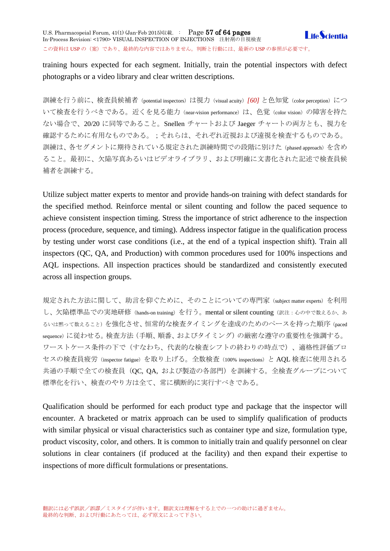training hours expected for each segment. Initially, train the potential inspectors with defect photographs or a video library and clear written descriptions.

訓練を行う前に、検査員候補者(potential inspectors)は視力(visual acuity)*[\[60\]](http://www.usppf.com/pf/pub/data/v411/CHA_IPR_411_c1790.html%23CHA_IPR_411_c1790s62)* と色知覚(color perception)につ いて検査を行うべきである。近くを見る能力 (near-vision performance) は、色覚 (color vision) の障害を持た ない場合で、20/20 に同等であること。Snellen チャートおよび Jaeger チャートの両方とも、視力を 確認するために有用なものである。;それらは、それぞれ近視および遠視を検査するものである。 訓練は、各セグメントに期待されている規定された訓練時間での段階に別けた(phased approach)を含め ること。最初に、欠陥写真あるいはビデオライブラリ、および明確に文書化された記述で検査員候 補者を訓練する。

Utilize subject matter experts to mentor and provide hands-on training with defect standards for the specified method. Reinforce mental or silent counting and follow the paced sequence to achieve consistent inspection timing. Stress the importance of strict adherence to the inspection process (procedure, sequence, and timing). Address inspector fatigue in the qualification process by testing under worst case conditions (i.e., at the end of a typical inspection shift). Train all inspectors (QC, QA, and Production) with common procedures used for 100% inspections and AQL inspections. All inspection practices should be standardized and consistently executed across all inspection groups.

規定された方法に関して、助言を仰ぐために、そのことについての専門家 (subject matter experts) を利用 し、欠陥標準品での実地研修 (hands-on training) を行う。mental or silent counting (訳注:心の中で数えるか、あ るいは黙って数えること)を強化させ、恒常的な検査タイミングを達成のためのペースを持った順序(paced sequence)に従わせる。検査方法(手順、順番、およびタイミング)の厳密な遵守の重要性を強調する。 ワーストケース条件の下で(すなわち、代表的な検査シフトの終わりの時点で)、適格性評価プロ セスの検査員疲労(inspector fatigue)を取り上げる。全数検査(100% inspections)と AQL 検査に使用される 共通の手順で全ての検査員 (QC, QA, および製造の各部門)を訓練する。全検査グループについて 標準化を行い、検査のやり方は全て、常に横断的に実行すべきである。

Qualification should be performed for each product type and package that the inspector will encounter. A bracketed or matrix approach can be used to simplify qualification of products with similar physical or visual characteristics such as container type and size, formulation type, product viscosity, color, and others. It is common to initially train and qualify personnel on clear solutions in clear containers (if produced at the facility) and then expand their expertise to inspections of more difficult formulations or presentations.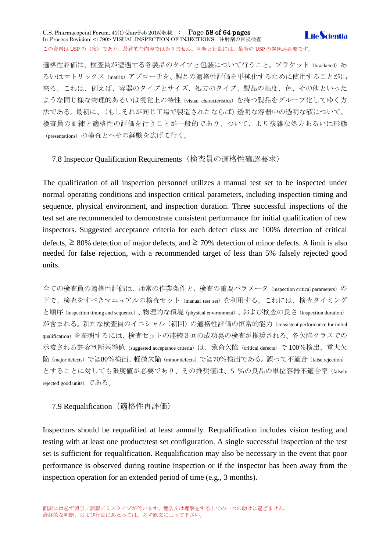U.S. Pharmacopeial Forum, 41(1) (Jan-Feb 2015)収載. : Page 58 of 64 pages **I** ife *Scientia* In-Process Revision: <1790> VISUAL INSPECTION OF INJECTIONS 注射剤の目視検査 この資料は USP の (案) であり、最終的な内容ではありません。判断と行動には、最新の USP の参照が必要です。

適格性評価は、検査員が遭遇する各製品のタイプと包装について行うこと。ブラケット (bracketed) あ るいはマトリックス(matrix)アプローチを、製品の適格性評価を単純化するために使用することが出 来る。これは、例えば、容器のタイプとサイズ、処方のタイプ、製品の粘度、色、その他といった ような同じ様な物理的あるいは視覚上の特性 (visual characteristics) を持つ製品をグループ化してゆく方 法である。最初に、(もしそれが同じ工場で製造されたならば)透明な容器中の透明な液について、 検査員の訓練と適格性の評価を行うことが一般的であり、ついて、より複雑な処方あるいは形態 (presentations)の検査とへその経験を広げて行く。

<span id="page-57-0"></span>7.8 Inspector Qualification Requirements(検査員の適格性確認要求)

The qualification of all inspection personnel utilizes a manual test set to be inspected under normal operating conditions and inspection critical parameters, including inspection timing and sequence, physical environment, and inspection duration. Three successful inspections of the test set are recommended to demonstrate consistent performance for initial qualification of new inspectors. Suggested acceptance criteria for each defect class are 100% detection of critical defects,  $\geq 80\%$  detection of major defects, and  $\geq 70\%$  detection of minor defects. A limit is also needed for false rejection, with a recommended target of less than 5% falsely rejected good units.

全ての検査員の適格性評価は、通常の作業条件と、検査の重要パラメータ (inspection critical parameters) の 下で、検査をすべきマニュアルの検査セット(manual test set)を利用する。これには、検査タイミング と順序(inspection timing and sequence)、物理的な環境(physical environment)、および検査の長さ(inspection duration) が含まれる。新たな検査員のイニシャル(初回)の適格性評価の恒常的能力 (consistent performance for initial qualification)を証明するには、検査セットの連続3回の成功裏の検査が推奨される。各欠陥クラスでの 示唆される許容判断基準値 (suggested acceptance criteria) は、致命欠陥 (critical defects) で 100%検出、重大欠 陥(major defects)で≧80%検出、軽微欠陥(minor defects)で≧70%検出である。誤って不適合(false rejection) とすることに対しても限度値が必要であり、その推奨値は、5%の良品の単位容器不適合率(falsely rejected good units)である。

# <span id="page-57-1"></span>7.9 Requalification (適格性再評価)

Inspectors should be requalified at least annually. Requalification includes vision testing and testing with at least one product/test set configuration. A single successful inspection of the test set is sufficient for requalification. Requalification may also be necessary in the event that poor performance is observed during routine inspection or if the inspector has been away from the inspection operation for an extended period of time (e.g., 3 months).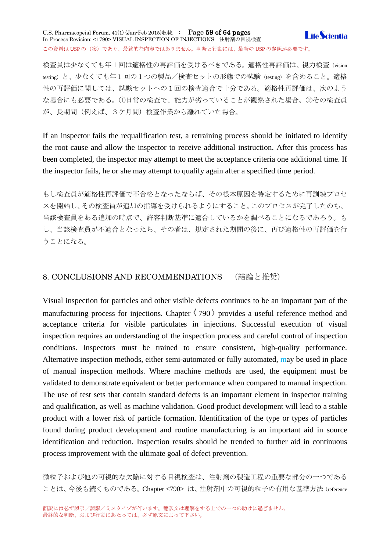### U.S. Pharmacopeial Forum, 41(1) (Jan-Feb 2015)収載. : Page 59 of 64 pages **I** ife *Scientia* In-Process Revision: <1790> VISUAL INSPECTION OF INJECTIONS 注射剤の目視検査 この資料は USP の (案) であり、最終的な内容ではありません。判断と行動には、最新の USP の参照が必要です。

検査員は少なくても年1回は適格性の再評価を受けるべきである。適格性再評価は、視力検査(vision testing)と、少なくても年1回の1つの製品/検査セットの形態での試験 (testing) を含めること。適格 性の再評価に関しては、試験セットへの1回の検査適合で十分である。適格性再評価は、次のよう な場合にも必要である。①日常の検査で、能力が劣っていることが観察された場合。②その検査員 が、長期間(例えば、3ケ月間)検査作業から離れていた場合。

If an inspector fails the requalification test, a retraining process should be initiated to identify the root cause and allow the inspector to receive additional instruction. After this process has been completed, the inspector may attempt to meet the acceptance criteria one additional time. If the inspector fails, he or she may attempt to qualify again after a specified time period.

もし検査員が適格性再評価で不合格となったならば、その根本原因を特定するために再訓練プロセ スを開始し、その検査員が追加の指導を受けられるようにすること。このプロセスが完了したのち、 当該検査員をある追加の時点で、許容判断基準に適合しているかを調べることになるであろう。も し、当該検査員が不適合となったら、その者は、規定された期間の後に、再び適格性の再評価を行 うことになる。

# <span id="page-58-0"></span>8. CONCLUSIONS AND RECOMMENDATIONS (結論と推奨)

Visual inspection for particles and other visible defects continues to be an important part of the manufacturing process for injections. Chapter  $\langle 790 \rangle$  provides a useful reference method and acceptance criteria for visible particulates in injections. Successful execution of visual inspection requires an understanding of the inspection process and careful control of inspection conditions. Inspectors must be trained to ensure consistent, high-quality performance. Alternative inspection methods, either semi-automated or fully automated, may be used in place of manual inspection methods. Where machine methods are used, the equipment must be validated to demonstrate equivalent or better performance when compared to manual inspection. The use of test sets that contain standard defects is an important element in inspector training and qualification, as well as machine validation. Good product development will lead to a stable product with a lower risk of particle formation. Identification of the type or types of particles found during product development and routine manufacturing is an important aid in source identification and reduction. Inspection results should be trended to further aid in continuous process improvement with the ultimate goal of defect prevention.

微粒子および他の可視的な欠陥に対する目視検査は、注射剤の製造工程の重要な部分の一つである ことは、今後も続くものである。Chapter <790>は、注射剤中の可視的粒子の有用な基準方法 (reference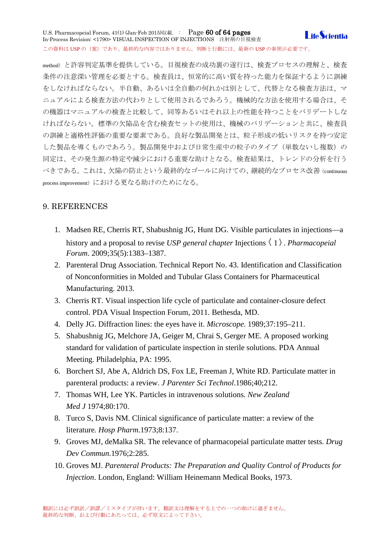U.S. Pharmacopeial Forum, 41(1) (Jan-Feb 2015)収載. : Page 60 of 64 pages **I** ife Scientia In-Process Revision: <1790> VISUAL INSPECTION OF INJECTIONS 注射剤の目視検査 この資料は USP の(案)であり、最終的な内容ではありません。判断と行動には、最新の USP の参照が必要です。

method)と許容判定基準を提供している。目視検査の成功裏の遂行は、検査プロセスの理解と、検査 条件の注意深い管理を必要とする。検査員は、恒常的に高い質を持った能力を保証するように訓練 をしなければならない。半自動、あるいは全自動の何れかは別として、代替となる検査方法は、マ ニュアルによる検査方法の代わりとして使用されるであろう。機械的な方法を使用する場合は、そ の機器はマニュアルの検査と比較して、同等あるいはそれ以上の性能を持つことをバリデートしな ければならない。標準の欠陥品を含む検査セットの使用は、機械のバリデーションと共に、検査員 の訓練と適格性評価の重要な要素である。良好な製品開発とは、粒子形成の低いリスクを持つ安定 した製品を導くものであろう。製品開発中および日常生産中の粒子のタイプ(単数ないし複数)の 同定は、その発生源の特定や減少における重要な助けとなる。検査結果は、トレンドの分析を行う べきである。これは、欠陥の防止という最終的なゴールに向けての、継続的なプロセス改善(continuous process improvement)における更なる助けのためになる。

# <span id="page-59-0"></span>9. REFERENCES

- 1. Madsen RE, Cherris RT, Shabushnig JG, Hunt DG. Visible particulates in injections—a history and a proposal to revise *USP general chapter* Injections  $\langle 1 \rangle$ . *Pharmacopeial Forum*. 2009;35(5):1383–1387.
- 2. Parenteral Drug Association. Technical Report No. 43. Identification and Classification of Nonconformities in Molded and Tubular Glass Containers for Pharmaceutical Manufacturing. 2013.
- 3. Cherris RT. Visual inspection life cycle of particulate and container-closure defect control. PDA Visual Inspection Forum, 2011. Bethesda, MD.
- 4. Delly JG. Diffraction lines: the eyes have it. *Microscope*. 1989;37:195–211.
- 5. Shabushnig JG, Melchore JA, Geiger M, Chrai S, Gerger ME. A proposed working standard for validation of particulate inspection in sterile solutions. PDA Annual Meeting. Philadelphia, PA: 1995.
- 6. Borchert SJ, Abe A, Aldrich DS, Fox LE, Freeman J, White RD. Particulate matter in parenteral products: a review. *J Parenter Sci Technol*.1986;40;212.
- 7. Thomas WH, Lee YK. Particles in intravenous solutions. *New Zealand Med J* 1974;80:170.
- 8. Turco S, Davis NM. Clinical significance of particulate matter: a review of the literature. *Hosp Pharm*.1973;8:137.
- 9. Groves MJ, deMalka SR. The relevance of pharmacopeial particulate matter tests. *Drug Dev Commun*.1976;2:285.
- 10. Groves MJ. *Parenteral Products: The Preparation and Quality Control of Products for Injection*. London, England: William Heinemann Medical Books, 1973.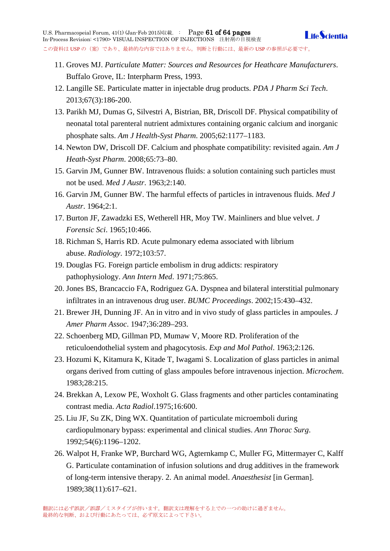- - 11. Groves MJ. *Particulate Matter: Sources and Resources for Heathcare Manufacturers*. Buffalo Grove, IL: Interpharm Press, 1993.
	- 12. Langille SE. Particulate matter in injectable drug products. *PDA J Pharm Sci Tech*. 2013;67(3):186-200.
	- 13. Parikh MJ, Dumas G, Silvestri A, Bistrian, BR, Driscoll DF. Physical compatibility of neonatal total parenteral nutrient admixtures containing organic calcium and inorganic phosphate salts. *Am J Health-Syst Pharm*. 2005;62:1177–1183.
	- 14. Newton DW, Driscoll DF. Calcium and phosphate compatibility: revisited again. *Am J Heath-Syst Pharm*. 2008;65:73–80.
	- 15. Garvin JM, Gunner BW. Intravenous fluids: a solution containing such particles must not be used. *Med J Austr*. 1963;2:140.
	- 16. Garvin JM, Gunner BW. The harmful effects of particles in intravenous fluids. *Med J Austr*. 1964;2:1.
	- 17. Burton JF, Zawadzki ES, Wetherell HR, Moy TW. Mainliners and blue velvet. *J Forensic Sci*. 1965;10:466.
	- 18. Richman S, Harris RD. Acute pulmonary edema associated with librium abuse. *Radiology*. 1972;103:57.
	- 19. Douglas FG. Foreign particle embolism in drug addicts: respiratory pathophysiology. *Ann Intern Med*. 1971;75:865.
	- 20. Jones BS, Brancaccio FA, Rodriguez GA. Dyspnea and bilateral interstitial pulmonary infiltrates in an intravenous drug user. *BUMC Proceedings*. 2002;15:430–432.
	- 21. Brewer JH, Dunning JF. An in vitro and in vivo study of glass particles in ampoules. *J Amer Pharm Assoc*. 1947;36:289–293.
	- 22. Schoenberg MD, Gillman PD, Mumaw V, Moore RD. Proliferation of the reticuloendothelial system and phagocytosis. *Exp and Mol Pathol*. 1963;2:126.
	- 23. Hozumi K, Kitamura K, Kitade T, Iwagami S. Localization of glass particles in animal organs derived from cutting of glass ampoules before intravenous injection. *Microchem*. 1983;28:215.
	- 24. Brekkan A, Lexow PE, Woxholt G. Glass fragments and other particles contaminating contrast media. *Acta Radiol*.1975;16:600.
	- 25. Liu JF, Su ZK, Ding WX. Quantitation of particulate microemboli during cardiopulmonary bypass: experimental and clinical studies. *Ann Thorac Surg*. 1992;54(6):1196–1202.
	- 26. Walpot H, Franke WP, Burchard WG, Agternkamp C, Muller FG, Mittermayer C, Kalff G. Particulate contamination of infusion solutions and drug additives in the framework of long-term intensive therapy. 2. An animal model. *Anaesthesist* [in German]. 1989;38(11):617–621.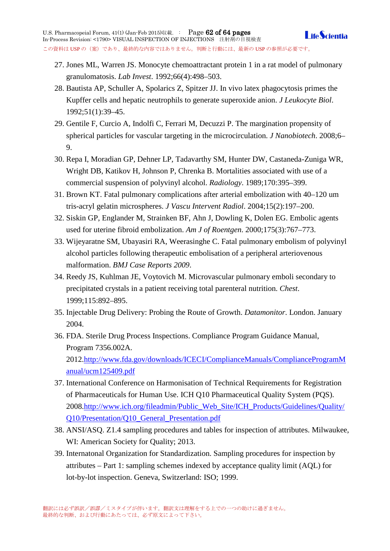- 27. Jones ML, Warren JS. Monocyte chemoattractant protein 1 in a rat model of pulmonary granulomatosis. *Lab Invest*. 1992;66(4):498–503.
- 28. Bautista AP, Schuller A, Spolarics Z, Spitzer JJ. In vivo latex phagocytosis primes the Kupffer cells and hepatic neutrophils to generate superoxide anion. *J Leukocyte Biol*. 1992;51(1):39–45.
- 29. Gentile F, Curcio A, Indolfi C, Ferrari M, Decuzzi P. The margination propensity of spherical particles for vascular targeting in the microcirculation. *J Nanobiotech*. 2008;6– 9.
- 30. Repa I, Moradian GP, Dehner LP, Tadavarthy SM, Hunter DW, Castaneda-Zuniga WR, Wright DB, Katikov H, Johnson P, Chrenka B. Mortalities associated with use of a commercial suspension of polyvinyl alcohol. *Radiology*. 1989;170:395–399.
- 31. Brown KT. Fatal pulmonary complications after arterial embolization with 40–120 um tris-acryl gelatin microspheres. *J Vascu Intervent Radiol*. 2004;15(2):197–200.
- 32. Siskin GP, Englander M, Strainken BF, Ahn J, Dowling K, Dolen EG. Embolic agents used for uterine fibroid embolization. *Am J of Roentgen*. 2000;175(3):767–773.
- 33. Wijeyaratne SM, Ubayasiri RA, Weerasinghe C. Fatal pulmonary embolism of polyvinyl alcohol particles following therapeutic embolisation of a peripheral arteriovenous malformation. *BMJ Case Reports 2009*.
- 34. Reedy JS, Kuhlman JE, Voytovich M. Microvascular pulmonary emboli secondary to precipitated crystals in a patient receiving total parenteral nutrition. *Chest*. 1999;115:892–895.
- 35. Injectable Drug Delivery: Probing the Route of Growth. *Datamonitor*. London. January 2004.
- 36. FDA. Sterile Drug Process Inspections. Compliance Program Guidance Manual, Program 7356.002A. 2012[.http://www.fda.gov/downloads/ICECI/ComplianceManuals/ComplianceProgramM](http://www.fda.gov/downloads/ICECI/ComplianceManuals/ComplianceProgramManual/ucm125409.pdf) [anual/ucm125409.pdf](http://www.fda.gov/downloads/ICECI/ComplianceManuals/ComplianceProgramManual/ucm125409.pdf)
- 37. International Conference on Harmonisation of Technical Requirements for Registration of Pharmaceuticals for Human Use. ICH Q10 Pharmaceutical Quality System (PQS). 2008[.http://www.ich.org/fileadmin/Public\\_Web\\_Site/ICH\\_Products/Guidelines/Quality/](http://www.ich.org/fileadmin/Public_Web_Site/ICH_Products/Guidelines/Quality/Q10/Presentation/Q10_General_Presentation.pdf) [Q10/Presentation/Q10\\_General\\_Presentation.pdf](http://www.ich.org/fileadmin/Public_Web_Site/ICH_Products/Guidelines/Quality/Q10/Presentation/Q10_General_Presentation.pdf)
- 38. ANSI/ASQ. Z1.4 sampling procedures and tables for inspection of attributes. Milwaukee, WI: American Society for Quality; 2013.
- 39. Internatonal Organization for Standardization. Sampling procedures for inspection by attributes – Part 1: sampling schemes indexed by acceptance quality limit (AQL) for lot-by-lot inspection. Geneva, Switzerland: ISO; 1999.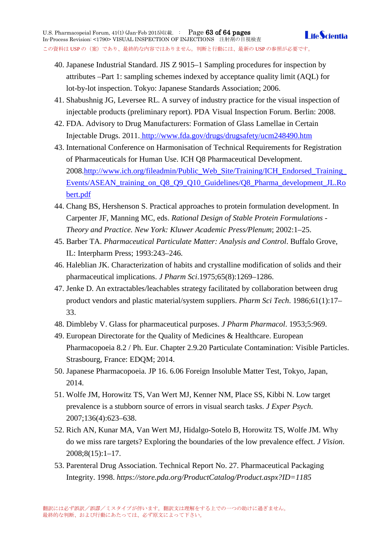- 40. Japanese Industrial Standard. JIS Z 9015–1 Sampling procedures for inspection by attributes –Part 1: sampling schemes indexed by acceptance quality limit (AQL) for lot-by-lot inspection. Tokyo: Japanese Standards Association; 2006.
- 41. Shabushnig JG, Leversee RL. A survey of industry practice for the visual inspection of injectable products (preliminary report). PDA Visual Inspection Forum. Berlin: 2008.
- 42. FDA. Advisory to Drug Manufacturers: Formation of Glass Lamellae in Certain Injectable Drugs. 2011. <http://www.fda.gov/drugs/drugsafety/ucm248490.htm>
- 43. International Conference on Harmonisation of Technical Requirements for Registration of Pharmaceuticals for Human Use. ICH Q8 Pharmaceutical Development. 2008[.http://www.ich.org/fileadmin/Public\\_Web\\_Site/Training/ICH\\_Endorsed\\_Training\\_](http://www.ich.org/fileadmin/Public_Web_Site/Training/ICH_Endorsed_Training_Events/ASEAN_training_on_Q8_Q9_Q10_Guidelines/Q8_Pharma_development_JL.Robert.pdf) [Events/ASEAN\\_training\\_on\\_Q8\\_Q9\\_Q10\\_Guidelines/Q8\\_Pharma\\_development\\_JL.Ro](http://www.ich.org/fileadmin/Public_Web_Site/Training/ICH_Endorsed_Training_Events/ASEAN_training_on_Q8_Q9_Q10_Guidelines/Q8_Pharma_development_JL.Robert.pdf) [bert.pdf](http://www.ich.org/fileadmin/Public_Web_Site/Training/ICH_Endorsed_Training_Events/ASEAN_training_on_Q8_Q9_Q10_Guidelines/Q8_Pharma_development_JL.Robert.pdf)
- 44. Chang BS, Hershenson S. Practical approaches to protein formulation development. In Carpenter JF, Manning MC, eds. *Rational Design of Stable Protein Formulations - Theory and Practice. New York: Kluwer Academic Press/Plenum*; 2002:1–25.
- 45. Barber TA. *Pharmaceutical Particulate Matter: Analysis and Control*. Buffalo Grove, IL: Interpharm Press; 1993:243–246.
- 46. Haleblian JK. Characterization of habits and crystalline modification of solids and their pharmaceutical implications. *J Pharm Sci*.1975;65(8):1269–1286.
- 47. Jenke D. An extractables/leachables strategy facilitated by collaboration between drug product vendors and plastic material/system suppliers. *Pharm Sci Tech*. 1986;61(1):17– 33.
- 48. Dimbleby V. Glass for pharmaceutical purposes. *J Pharm Pharmacol*. 1953;5:969.
- 49. European Directorate for the Quality of Medicines & Healthcare. European Pharmacopoeia 8.2 / Ph. Eur. Chapter 2.9.20 Particulate Contamination: Visible Particles. Strasbourg, France: EDQM; 2014.
- 50. Japanese Pharmacopoeia. JP 16. 6.06 Foreign Insoluble Matter Test, Tokyo, Japan, 2014.
- 51. Wolfe JM, Horowitz TS, Van Wert MJ, Kenner NM, Place SS, Kibbi N. Low target prevalence is a stubborn source of errors in visual search tasks. *J Exper Psych*. 2007;136(4):623–638.
- 52. Rich AN, Kunar MA, Van Wert MJ, Hidalgo-Sotelo B, Horowitz TS, Wolfe JM. Why do we miss rare targets? Exploring the boundaries of the low prevalence effect. *J Vision*. 2008;8(15):1–17.
- 53. Parenteral Drug Association. Technical Report No. 27. Pharmaceutical Packaging Integrity. 1998. *https://store.pda.org/ProductCatalog/Product.aspx?ID=1185*